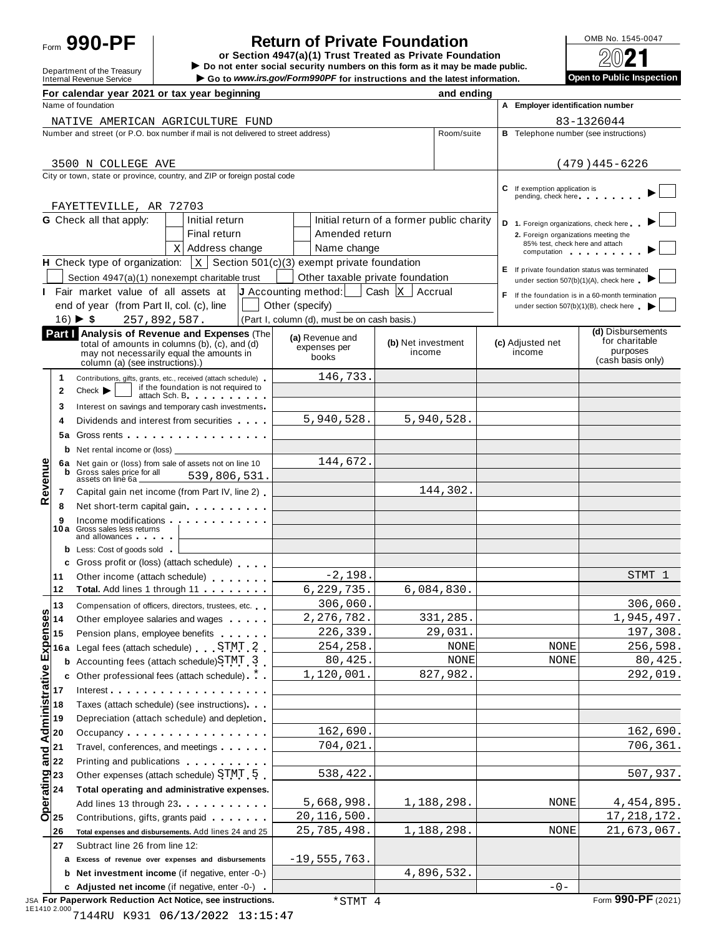

# **Return of Private Foundation**<br>
tion 4947(a)(1) Trust Treated as Private Foundation<br>
2021

Political COOL TRUST TRANSPORT OF Section 4947(a)(1) Trust Treated as Private Foundation<br>
Department of the Treasury **In the Department of the Treasury In the Department of the Treasury in the Department of the United Sta Internal Revenue Service** I internal Revenue Service I internal Revenue Service I internal Revenue Service I internal Revenue Service I internal Revenue Service I internal Revenue Service I internal Revenue Service I in

|         |                                                                   | For calendar year 2021 or tax year beginning                                                                                                                                                                                                                       |                 |                                                                    |                    | and ending                 |  |                                                                    |                                                  |
|---------|-------------------------------------------------------------------|--------------------------------------------------------------------------------------------------------------------------------------------------------------------------------------------------------------------------------------------------------------------|-----------------|--------------------------------------------------------------------|--------------------|----------------------------|--|--------------------------------------------------------------------|--------------------------------------------------|
|         |                                                                   | Name of foundation                                                                                                                                                                                                                                                 |                 |                                                                    |                    |                            |  | A Employer identification number                                   |                                                  |
|         |                                                                   | NATIVE AMERICAN AGRICULTURE FUND                                                                                                                                                                                                                                   |                 |                                                                    |                    |                            |  |                                                                    | 83-1326044                                       |
|         |                                                                   | Number and street (or P.O. box number if mail is not delivered to street address)                                                                                                                                                                                  |                 |                                                                    |                    | Room/suite                 |  | <b>B</b> Telephone number (see instructions)                       |                                                  |
|         |                                                                   |                                                                                                                                                                                                                                                                    |                 |                                                                    |                    |                            |  |                                                                    |                                                  |
|         |                                                                   | 3500 N COLLEGE AVE                                                                                                                                                                                                                                                 |                 |                                                                    |                    |                            |  |                                                                    | $(479)445 - 6226$                                |
|         |                                                                   | City or town, state or province, country, and ZIP or foreign postal code                                                                                                                                                                                           |                 |                                                                    |                    |                            |  |                                                                    |                                                  |
|         |                                                                   |                                                                                                                                                                                                                                                                    |                 |                                                                    |                    |                            |  | C If exemption application is<br>pending, check here experience    |                                                  |
|         |                                                                   | FAYETTEVILLE, AR 72703                                                                                                                                                                                                                                             |                 |                                                                    |                    |                            |  |                                                                    |                                                  |
|         |                                                                   | <b>G</b> Check all that apply:<br>Initial return                                                                                                                                                                                                                   |                 | Initial return of a former public charity                          |                    |                            |  | D 1. Foreign organizations, check here                             |                                                  |
|         |                                                                   | Final return                                                                                                                                                                                                                                                       |                 | Amended return                                                     |                    |                            |  | 2. Foreign organizations meeting the                               |                                                  |
|         |                                                                   | x Address change                                                                                                                                                                                                                                                   |                 | Name change                                                        |                    |                            |  | 85% test, check here and attach<br>computation and the computation |                                                  |
|         |                                                                   | <b>H</b> Check type of organization: $\vert x \vert$ Section 501(c)(3) exempt private foundation                                                                                                                                                                   |                 |                                                                    |                    |                            |  | E If private foundation status was terminated                      |                                                  |
|         |                                                                   | Section 4947(a)(1) nonexempt charitable trust                                                                                                                                                                                                                      |                 | Other taxable private foundation                                   |                    |                            |  | under section 507(b)(1)(A), check here                             |                                                  |
|         |                                                                   | I Fair market value of all assets at                                                                                                                                                                                                                               |                 | <b>J</b> Accounting method: $\vert$ Cash $\vert$ X $\vert$ Accrual |                    |                            |  |                                                                    | F If the foundation is in a 60-month termination |
|         |                                                                   | end of year (from Part II, col. (c), line                                                                                                                                                                                                                          | Other (specify) |                                                                    |                    |                            |  |                                                                    | under section 507(b)(1)(B), check here           |
|         |                                                                   | $16) \triangleright $ \$<br>257,892,587.                                                                                                                                                                                                                           |                 | (Part I, column (d), must be on cash basis.)                       |                    |                            |  |                                                                    |                                                  |
|         |                                                                   | Part   Analysis of Revenue and Expenses (The                                                                                                                                                                                                                       |                 | (a) Revenue and                                                    | (b) Net investment |                            |  |                                                                    | (d) Disbursements<br>for charitable              |
|         |                                                                   | total of amounts in columns (b), (c), and (d)<br>may not necessarily equal the amounts in                                                                                                                                                                          |                 | expenses per<br>books                                              | income             |                            |  | (c) Adjusted net<br>income                                         | purposes                                         |
|         |                                                                   | column (a) (see instructions).)                                                                                                                                                                                                                                    |                 |                                                                    |                    |                            |  |                                                                    | (cash basis only)                                |
|         | 1                                                                 | Contributions, gifts, grants, etc., received (attach schedule)                                                                                                                                                                                                     |                 | 146,733.                                                           |                    |                            |  |                                                                    |                                                  |
|         | $\mathbf{2}$                                                      | if the foundation is not required to<br>$Check$ $\blacktriangleright$<br>attach Sch. B. Particular and The Parties                                                                                                                                                 |                 |                                                                    |                    |                            |  |                                                                    |                                                  |
|         | 3                                                                 | Interest on savings and temporary cash investments                                                                                                                                                                                                                 |                 |                                                                    |                    |                            |  |                                                                    |                                                  |
|         | 4                                                                 | Dividends and interest from securities                                                                                                                                                                                                                             |                 | 5,940,528.                                                         |                    | 5,940,528.                 |  |                                                                    |                                                  |
|         | 5а                                                                | Gross rents <b>contract and contract and contract and contract and contract and contract and contract and contract and contract and contract and contract and contract and contract and contract and contract and contract and c</b>                               |                 |                                                                    |                    |                            |  |                                                                    |                                                  |
|         |                                                                   |                                                                                                                                                                                                                                                                    |                 |                                                                    |                    |                            |  |                                                                    |                                                  |
|         |                                                                   | 6a Net gain or (loss) from sale of assets not on line 10                                                                                                                                                                                                           |                 | 144,672.                                                           |                    |                            |  |                                                                    |                                                  |
|         |                                                                   | Gross sales price for all<br>539,806,531.<br>assets on line 6a _                                                                                                                                                                                                   |                 |                                                                    |                    |                            |  |                                                                    |                                                  |
| Revenue | 7                                                                 | Capital gain net income (from Part IV, line 2)                                                                                                                                                                                                                     |                 |                                                                    |                    | 144,302.                   |  |                                                                    |                                                  |
|         | 8                                                                 | Net short-term capital gain                                                                                                                                                                                                                                        |                 |                                                                    |                    |                            |  |                                                                    |                                                  |
|         | 9                                                                 | Income modifications <b>contained in the container of the container and all the container and all the container and all the container and all the container and all the container and all the container and all the container </b><br>10a Gross sales less returns |                 |                                                                    |                    |                            |  |                                                                    |                                                  |
|         |                                                                   | and allowances and the state of the state of the state of the state of the state of the state of the state of the state of the state of the state of the state of the state of the state of the state of the state of the stat                                     |                 |                                                                    |                    |                            |  |                                                                    |                                                  |
|         |                                                                   | <b>b</b> Less: Cost of goods sold                                                                                                                                                                                                                                  |                 |                                                                    |                    |                            |  |                                                                    |                                                  |
|         |                                                                   | <b>c</b> Gross profit or (loss) (attach schedule)                                                                                                                                                                                                                  |                 |                                                                    |                    |                            |  |                                                                    |                                                  |
|         | 11                                                                | Other income (attach schedule)                                                                                                                                                                                                                                     |                 | $-2,198.$                                                          |                    |                            |  |                                                                    | STMT 1                                           |
|         | 12                                                                |                                                                                                                                                                                                                                                                    |                 | 6, 229, 735.                                                       |                    | 6,084,830.                 |  |                                                                    |                                                  |
| w       | 13                                                                | Compensation of officers, directors, trustees, etc.                                                                                                                                                                                                                |                 | 306,060.                                                           |                    |                            |  |                                                                    | 306,060.                                         |
|         |                                                                   | Other employee salaries and wages                                                                                                                                                                                                                                  |                 | 2, 276, 782.                                                       |                    | 331,285.                   |  |                                                                    | 1,945,497.                                       |
|         |                                                                   | Pension plans, employee benefits                                                                                                                                                                                                                                   |                 | 226,339.                                                           |                    | 29,031.                    |  |                                                                    | 197,308.                                         |
|         | 9900014<br>000015<br>000016<br>000016                             | Legal fees (attach schedule) STMT 2                                                                                                                                                                                                                                |                 | 254,258.                                                           |                    | <b>NONE</b><br><b>NONE</b> |  | <b>NONE</b>                                                        | 256,598.<br>80, 425.                             |
|         |                                                                   | <b>b</b> Accounting fees (attach schedule) STMT 3                                                                                                                                                                                                                  |                 | 80,425.<br>1,120,001.                                              |                    | 827,982.                   |  | NONE                                                               | 292,019.                                         |
|         | c                                                                 | Other professional fees (attach schedule) * .                                                                                                                                                                                                                      |                 |                                                                    |                    |                            |  |                                                                    |                                                  |
|         |                                                                   | Interest<br>Taxes (attach schedule) (see instructions).                                                                                                                                                                                                            |                 |                                                                    |                    |                            |  |                                                                    |                                                  |
|         |                                                                   |                                                                                                                                                                                                                                                                    |                 |                                                                    |                    |                            |  |                                                                    |                                                  |
|         | Administrative<br>2 d a 3<br>20                                   | Depreciation (attach schedule) and depletion<br>Occupancy                                                                                                                                                                                                          |                 | 162,690.                                                           |                    |                            |  |                                                                    | 162,690.                                         |
|         |                                                                   | Travel, conferences, and meetings                                                                                                                                                                                                                                  |                 | 704,021                                                            |                    |                            |  |                                                                    | 706,361.                                         |
|         | $\frac{1}{2}$ $\frac{1}{2}$                                       | Printing and publications <b>Community</b> Printing and publications                                                                                                                                                                                               |                 |                                                                    |                    |                            |  |                                                                    |                                                  |
|         |                                                                   | Other expenses (attach schedule) STMT 5                                                                                                                                                                                                                            |                 | 538,422                                                            |                    |                            |  |                                                                    | 507,937.                                         |
|         | $\begin{array}{c}\n 0 \\  23 \\  24 \\  \hline\n 0\n \end{array}$ | Total operating and administrative expenses.                                                                                                                                                                                                                       |                 |                                                                    |                    |                            |  |                                                                    |                                                  |
|         |                                                                   | Add lines 13 through 23 <b>Add lines</b> 13 through 23                                                                                                                                                                                                             |                 | 5,668,998.                                                         |                    | 1,188,298.                 |  | NONE                                                               | 4,454,895.                                       |
|         |                                                                   | Contributions, gifts, grants paid                                                                                                                                                                                                                                  |                 | 20,116,500.                                                        |                    |                            |  |                                                                    | 17, 218, 172.                                    |
|         | 26                                                                | Total expenses and disbursements. Add lines 24 and 25                                                                                                                                                                                                              |                 | 25,785,498.                                                        |                    | 1,188,298.                 |  | NONE                                                               | 21,673,067.                                      |
|         | 27                                                                | Subtract line 26 from line 12:                                                                                                                                                                                                                                     |                 |                                                                    |                    |                            |  |                                                                    |                                                  |
|         |                                                                   | a Excess of revenue over expenses and disbursements                                                                                                                                                                                                                |                 | $-19,555,763.$                                                     |                    |                            |  |                                                                    |                                                  |
|         |                                                                   | <b>b</b> Net investment income (if negative, enter -0-)                                                                                                                                                                                                            |                 |                                                                    |                    | 4,896,532.                 |  |                                                                    |                                                  |
|         |                                                                   | c Adjusted net income (if negative, enter -0-).                                                                                                                                                                                                                    |                 |                                                                    |                    |                            |  | $-0-$                                                              |                                                  |
|         |                                                                   |                                                                                                                                                                                                                                                                    |                 |                                                                    |                    |                            |  |                                                                    | $\overline{000}$                                 |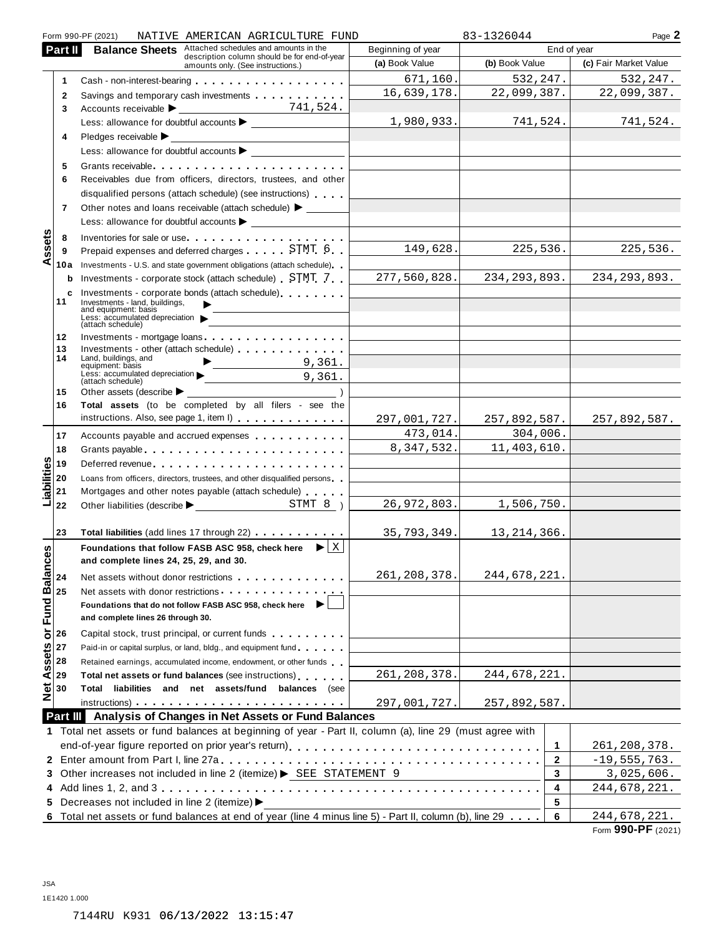|                                                    | Form 990-PF (2021)<br>NATIVE AMERICAN AGRICULTURE FUND                                                                                                                                                                                                 |                                                                            | 83-1326044     | Page 2                      |  |  |
|----------------------------------------------------|--------------------------------------------------------------------------------------------------------------------------------------------------------------------------------------------------------------------------------------------------------|----------------------------------------------------------------------------|----------------|-----------------------------|--|--|
| Part II                                            | <b>Balance Sheets</b> Attached schedules and amounts in the<br>description column should be for end-of-year                                                                                                                                            | Beginning of year                                                          |                | End of year                 |  |  |
|                                                    | amounts only. (See instructions.)                                                                                                                                                                                                                      | (a) Book Value                                                             | (b) Book Value | (c) Fair Market Value       |  |  |
| $\mathbf{1}$                                       | Cash - non-interest-bearing entries and the state of the state of the state of the state of the state of the state of the state of the state of the state of the state of the state of the state of the state of the state of                          | 671, 160.                                                                  | 532, 247.      | 532,247.                    |  |  |
| $\mathbf{2}$                                       | Savings and temporary cash investments                                                                                                                                                                                                                 | 16,639,178.                                                                | 22,099,387.    | 22,099,387.                 |  |  |
| 3                                                  |                                                                                                                                                                                                                                                        |                                                                            |                |                             |  |  |
|                                                    |                                                                                                                                                                                                                                                        | 1,980,933.                                                                 | 741,524.       | 741,524.                    |  |  |
| 4                                                  | $P$ ledges receivable $\blacktriangleright$                                                                                                                                                                                                            |                                                                            |                |                             |  |  |
|                                                    | <u> 1980 - Johann Barnett, fransk konge</u>                                                                                                                                                                                                            | <u> 1980 - Andrea Station Books, actor</u>                                 |                |                             |  |  |
| 5                                                  |                                                                                                                                                                                                                                                        |                                                                            |                |                             |  |  |
| 6                                                  | Receivables due from officers, directors, trustees, and other                                                                                                                                                                                          |                                                                            |                |                             |  |  |
|                                                    | disqualified persons (attach schedule) (see instructions)                                                                                                                                                                                              |                                                                            |                |                             |  |  |
| 7                                                  | Other notes and loans receivable (attach schedule) > _______                                                                                                                                                                                           |                                                                            |                |                             |  |  |
|                                                    |                                                                                                                                                                                                                                                        |                                                                            |                |                             |  |  |
|                                                    |                                                                                                                                                                                                                                                        |                                                                            |                |                             |  |  |
| ssets<br>8                                         | Inventories for sale or use<br>Prepaid expenses and deferred charges STMT 6                                                                                                                                                                            | 149,628.                                                                   | 225,536.       | 225,536.                    |  |  |
| 9<br>⋖                                             |                                                                                                                                                                                                                                                        |                                                                            |                |                             |  |  |
|                                                    | <b>10a</b> Investments - U.S. and state government obligations (attach schedule)                                                                                                                                                                       | 277,560,828.                                                               | 234, 293, 893. | 234, 293, 893.              |  |  |
|                                                    | <b>b</b> Investments - corporate stock (attach schedule) STMT 7                                                                                                                                                                                        |                                                                            |                |                             |  |  |
| 11                                                 | c Investments - corporate bonds (attach schedule)<br>Investments - land, buildings,                                                                                                                                                                    |                                                                            |                |                             |  |  |
|                                                    | and equipment: basis<br>Less: accumulated depreciation                                                                                                                                                                                                 |                                                                            |                |                             |  |  |
|                                                    | (attach schedule)                                                                                                                                                                                                                                      |                                                                            |                |                             |  |  |
| 12                                                 | Investments - mortgage loans                                                                                                                                                                                                                           | the control of the control of the control of the control of the control of |                |                             |  |  |
| 13<br>14                                           | Investments - other (attach schedule) [19] [19] and the schedule of the schedule of the schedule of the schedule of the schedule of the schedule of the schedule of the schedule of the schedule of the schedule of the schedu<br>Land, buildings, and |                                                                            |                |                             |  |  |
|                                                    | $\begin{array}{c c} \hline \end{array}$ 9,361.<br>equipment: basis<br>Less: accumulated depreciation<br>(1995) accumulated depreciation<br>(1996) 261.                                                                                                 |                                                                            |                |                             |  |  |
|                                                    | (attach schedule)                                                                                                                                                                                                                                      |                                                                            |                |                             |  |  |
| 15                                                 | $\overline{\phantom{a}}$<br>Other assets (describe $\blacktriangleright$                                                                                                                                                                               |                                                                            |                |                             |  |  |
| 16                                                 | Total assets (to be completed by all filers - see the<br>instructions. Also, see page 1, item I)                                                                                                                                                       |                                                                            |                |                             |  |  |
|                                                    |                                                                                                                                                                                                                                                        | 297,001,727.                                                               |                | $257,892,587.$ 257,892,587. |  |  |
| 17                                                 | Accounts payable and accrued expenses extensive and accrued expenses                                                                                                                                                                                   | 473,014.                                                                   | 304,006.       |                             |  |  |
| 18                                                 | Grants payable entering the service of the service of the service of the service of the service of the service                                                                                                                                         | 8,347,532.                                                                 | 11,403,610.    |                             |  |  |
| 19                                                 | Deferred revenue                                                                                                                                                                                                                                       |                                                                            |                |                             |  |  |
| 20                                                 | Loans from officers, directors, trustees, and other disqualified persons                                                                                                                                                                               |                                                                            |                |                             |  |  |
| Liabilities<br>21                                  | Mortgages and other notes payable (attach schedule)                                                                                                                                                                                                    |                                                                            |                |                             |  |  |
| 22                                                 |                                                                                                                                                                                                                                                        | 26,972,803.                                                                | 1,506,750.     |                             |  |  |
|                                                    |                                                                                                                                                                                                                                                        |                                                                            |                |                             |  |  |
| 23                                                 | Total liabilities (add lines 17 through 22)                                                                                                                                                                                                            | 35, 793, 349.                                                              | 13, 214, 366.  |                             |  |  |
| or Fund Balances<br>$\frac{6}{x}$<br>$\frac{1}{x}$ | Foundations that follow FASB ASC 958, check here $\mathbf{E}[\mathbf{X}]$                                                                                                                                                                              |                                                                            |                |                             |  |  |
|                                                    | and complete lines 24, 25, 29, and 30.                                                                                                                                                                                                                 |                                                                            |                |                             |  |  |
|                                                    | Net assets without donor restrictions example as a set of the set of the set of the set of the set of the set of the set of the set of the set of the set of the set of the set of the set of the set of the set of the set of                         | 261, 208, 378.                                                             | 244,678,221.   |                             |  |  |
|                                                    | Net assets with donor restrictions example as a set of the set of the set of the set of the set of the set of the set of the set of the set of the set of the set of the set of the set of the set of the set of the set of th                         |                                                                            |                |                             |  |  |
|                                                    | Foundations that do not follow FASB ASC 958, check here                                                                                                                                                                                                |                                                                            |                |                             |  |  |
|                                                    | and complete lines 26 through 30.                                                                                                                                                                                                                      |                                                                            |                |                             |  |  |
|                                                    | Capital stock, trust principal, or current funds                                                                                                                                                                                                       |                                                                            |                |                             |  |  |
| 27                                                 | Paid-in or capital surplus, or land, bldg., and equipment fund                                                                                                                                                                                         |                                                                            |                |                             |  |  |
| 28                                                 | Retained earnings, accumulated income, endowment, or other funds                                                                                                                                                                                       |                                                                            |                |                             |  |  |
| 29                                                 | Total net assets or fund balances (see instructions)                                                                                                                                                                                                   | 261, 208, 378.                                                             | 244,678,221.   |                             |  |  |
| <b>Net Assets</b><br>30                            | Total liabilities and net assets/fund balances (see                                                                                                                                                                                                    |                                                                            |                |                             |  |  |
|                                                    | instructions) and the contract of the contract of the contract of the contract of the contract of the contract of the contract of the contract of the contract of the contract of the contract of the contract of the contract                         | 297,001,727.                                                               | 257,892,587.   |                             |  |  |
|                                                    | Part III Analysis of Changes in Net Assets or Fund Balances                                                                                                                                                                                            |                                                                            |                |                             |  |  |
|                                                    | 1 Total net assets or fund balances at beginning of year - Part II, column (a), line 29 (must agree with                                                                                                                                               |                                                                            |                |                             |  |  |
|                                                    | end-of-year figure reported on prior year's return) enterchangeral content of the set of the set of the set of                                                                                                                                         |                                                                            | 1              | 261, 208, 378.              |  |  |
|                                                    |                                                                                                                                                                                                                                                        |                                                                            | 2              | $-19,555,763.$              |  |  |
|                                                    | 3 Other increases not included in line 2 (itemize) > SEE STATEMENT 9                                                                                                                                                                                   |                                                                            | 3              | 3,025,606.                  |  |  |
|                                                    |                                                                                                                                                                                                                                                        |                                                                            | 4              | 244,678,221.                |  |  |
|                                                    | 5 Decreases not included in line 2 (itemize) >                                                                                                                                                                                                         |                                                                            | 5              |                             |  |  |
|                                                    | 6 Total net assets or fund balances at end of year (line 4 minus line 5) - Part II, column (b), line 29                                                                                                                                                |                                                                            | 6              | 244,678,221.                |  |  |

| Form 990-PF (2021) |  |  |
|--------------------|--|--|
|--------------------|--|--|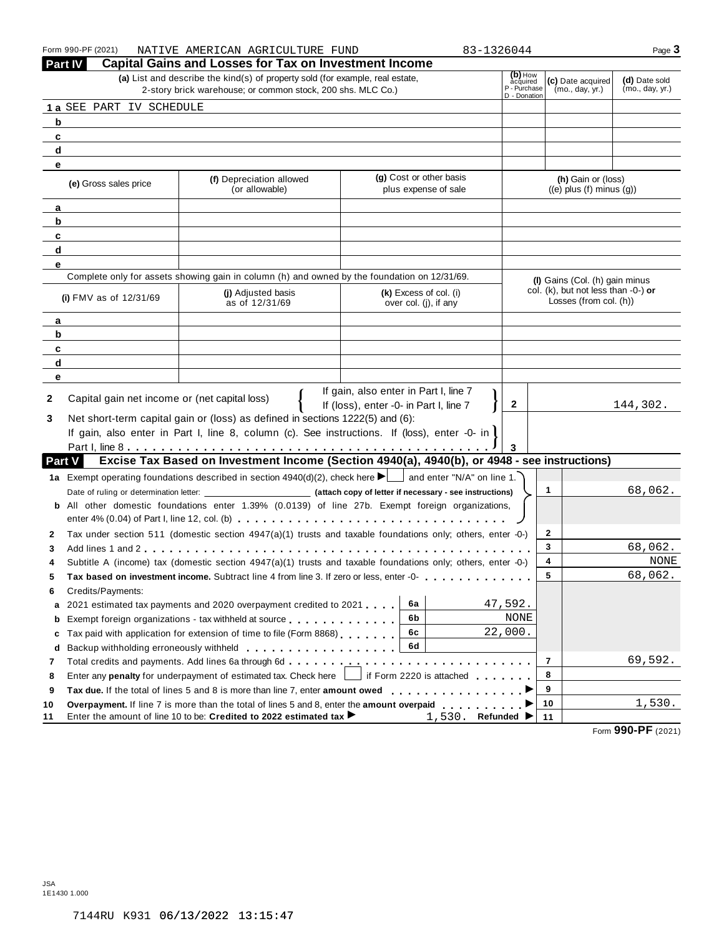|               | Form 990-PF (2021)                            | NATIVE AMERICAN AGRICULTURE FUND                                                                                                                                              |                                                                                 | 83-1326044                                          |                                                               | Page 3                           |
|---------------|-----------------------------------------------|-------------------------------------------------------------------------------------------------------------------------------------------------------------------------------|---------------------------------------------------------------------------------|-----------------------------------------------------|---------------------------------------------------------------|----------------------------------|
|               | Part IV                                       | <b>Capital Gains and Losses for Tax on Investment Income</b>                                                                                                                  |                                                                                 |                                                     |                                                               |                                  |
|               |                                               | (a) List and describe the kind(s) of property sold (for example, real estate,<br>2-story brick warehouse; or common stock, 200 shs. MLC Co.)                                  |                                                                                 | (b) How<br>acquired<br>P - Purchase<br>D - Donation | (c) Date acquired<br>(mo., day, yr.)                          | (d) Date sold<br>(mo., day, yr.) |
|               | 1 a SEE PART IV SCHEDULE                      |                                                                                                                                                                               |                                                                                 |                                                     |                                                               |                                  |
| b             |                                               |                                                                                                                                                                               |                                                                                 |                                                     |                                                               |                                  |
| c             |                                               |                                                                                                                                                                               |                                                                                 |                                                     |                                                               |                                  |
| d             |                                               |                                                                                                                                                                               |                                                                                 |                                                     |                                                               |                                  |
| е             |                                               |                                                                                                                                                                               |                                                                                 |                                                     |                                                               |                                  |
|               | (e) Gross sales price                         | (f) Depreciation allowed<br>(or allowable)                                                                                                                                    | (g) Cost or other basis<br>plus expense of sale                                 |                                                     | (h) Gain or (loss)<br>$((e)$ plus $(f)$ minus $(g)$ )         |                                  |
| a             |                                               |                                                                                                                                                                               |                                                                                 |                                                     |                                                               |                                  |
| b             |                                               |                                                                                                                                                                               |                                                                                 |                                                     |                                                               |                                  |
| c             |                                               |                                                                                                                                                                               |                                                                                 |                                                     |                                                               |                                  |
| d             |                                               |                                                                                                                                                                               |                                                                                 |                                                     |                                                               |                                  |
| е             |                                               |                                                                                                                                                                               |                                                                                 |                                                     |                                                               |                                  |
|               |                                               | Complete only for assets showing gain in column (h) and owned by the foundation on 12/31/69.                                                                                  |                                                                                 |                                                     | (I) Gains (Col. (h) gain minus                                |                                  |
|               | (i) $FMV$ as of $12/31/69$                    | (i) Adjusted basis<br>as of 12/31/69                                                                                                                                          | (k) Excess of col. (i)<br>over col. (j), if any                                 |                                                     | col. (k), but not less than -0-) or<br>Losses (from col. (h)) |                                  |
| a             |                                               |                                                                                                                                                                               |                                                                                 |                                                     |                                                               |                                  |
| b             |                                               |                                                                                                                                                                               |                                                                                 |                                                     |                                                               |                                  |
| с             |                                               |                                                                                                                                                                               |                                                                                 |                                                     |                                                               |                                  |
| d             |                                               |                                                                                                                                                                               |                                                                                 |                                                     |                                                               |                                  |
| е             |                                               |                                                                                                                                                                               |                                                                                 |                                                     |                                                               |                                  |
| 2<br>3        | Capital gain net income or (net capital loss) | Net short-term capital gain or (loss) as defined in sections 1222(5) and (6):<br>If gain, also enter in Part I, line 8, column (c). See instructions. If (loss), enter -0- in | If gain, also enter in Part I, line 7<br>If (loss), enter -0- in Part I, line 7 | $\mathbf{2}$                                        |                                                               | 144,302.                         |
|               |                                               |                                                                                                                                                                               |                                                                                 |                                                     |                                                               |                                  |
| <b>Part V</b> |                                               | Excise Tax Based on Investment Income (Section 4940(a), 4940(b), or 4948 - see instructions)                                                                                  |                                                                                 |                                                     |                                                               |                                  |
|               |                                               |                                                                                                                                                                               |                                                                                 |                                                     |                                                               |                                  |
|               |                                               | 1a Exempt operating foundations described in section $4940(d)(2)$ , check here $\blacktriangleright$ and enter "N/A" on line 1.                                               |                                                                                 |                                                     | $\mathbf{1}$                                                  | 68,062.                          |
|               |                                               |                                                                                                                                                                               |                                                                                 |                                                     |                                                               |                                  |
|               |                                               | <b>b</b> All other domestic foundations enter 1.39% (0.0139) of line 27b. Exempt foreign organizations,                                                                       |                                                                                 |                                                     |                                                               |                                  |
|               |                                               | enter 4% (0.04) of Part I, line 12, col. (b) $\ldots \ldots \ldots \ldots \ldots \ldots \ldots \ldots \ldots \ldots \ldots \ldots \ldots$                                     |                                                                                 |                                                     |                                                               |                                  |
| 2             |                                               | Tax under section 511 (domestic section $4947(a)(1)$ trusts and taxable foundations only; others, enter -0-)                                                                  |                                                                                 |                                                     | 2                                                             |                                  |
| 3             |                                               |                                                                                                                                                                               |                                                                                 |                                                     | 3                                                             | 68,062.                          |
|               |                                               | Subtitle A (income) tax (domestic section 4947(a)(1) trusts and taxable foundations only; others, enter -0-)                                                                  |                                                                                 |                                                     | 4                                                             | NONE                             |
| °             |                                               |                                                                                                                                                                               |                                                                                 |                                                     | 5                                                             | 68,062.                          |
| 6             | Credits/Payments:                             |                                                                                                                                                                               |                                                                                 |                                                     |                                                               |                                  |
| a             |                                               | 2021 estimated tax payments and 2020 overpayment credited to 2021                                                                                                             | 6a                                                                              | 47,592.                                             |                                                               |                                  |
| b             |                                               | Exempt foreign organizations - tax withheld at source                                                                                                                         | 6b                                                                              | NONE                                                |                                                               |                                  |
| c             |                                               | Tax paid with application for extension of time to file (Form 8868)                                                                                                           | 6с                                                                              | 22,000.                                             |                                                               |                                  |
| d             |                                               |                                                                                                                                                                               | 6d                                                                              |                                                     |                                                               |                                  |
| 7             |                                               | Total credits and payments. Add lines 6a through 6d                                                                                                                           |                                                                                 |                                                     | $\overline{7}$                                                | 69,592.                          |
| 8             |                                               | Enter any <b>penalty</b> for underpayment of estimated tax. Check here                                                                                                        | if Form 2220 is attached                                                        |                                                     | 8                                                             |                                  |
| 9             |                                               | Tax due. If the total of lines 5 and 8 is more than line 7, enter amount owed                                                                                                 |                                                                                 |                                                     | 9                                                             |                                  |
| 10            |                                               |                                                                                                                                                                               |                                                                                 |                                                     | 10                                                            | 1,530.                           |
| 11            |                                               | Enter the amount of line 10 to be: Credited to 2022 estimated tax ▶                                                                                                           | 1,530.                                                                          | Refunded                                            | 11                                                            | 0.0000                           |

Form **990-PF** (2021)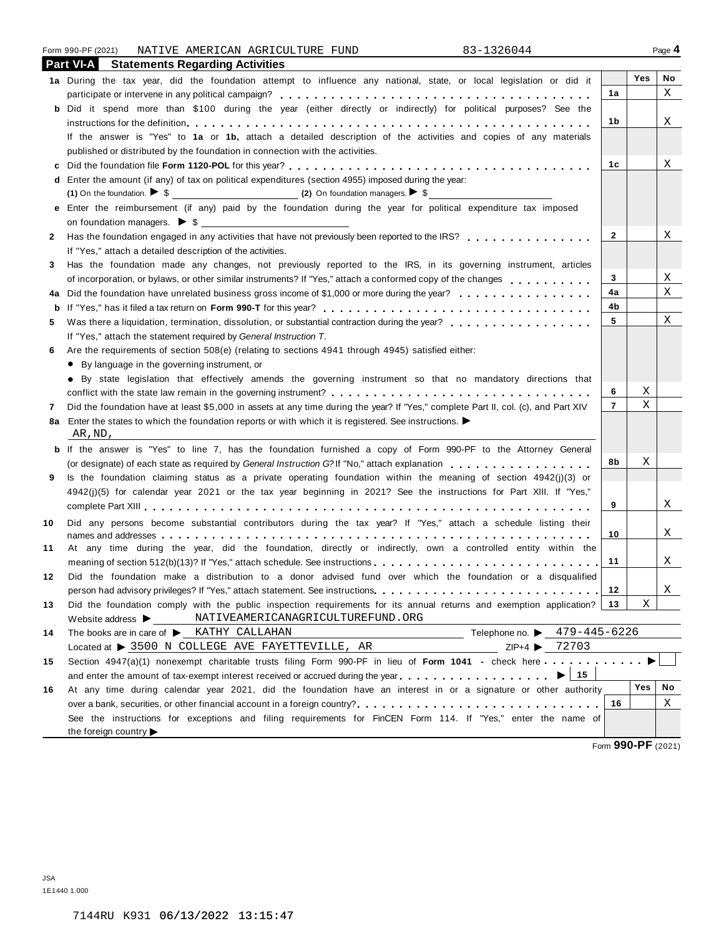| Form 990-PF (2021) | AMERICAN<br>NATIVE | AGRICULTURE<br>FUND | 22601<br>49∪0∠بـ<br>$\sim$ $-$ | Page 4 |
|--------------------|--------------------|---------------------|--------------------------------|--------|
|--------------------|--------------------|---------------------|--------------------------------|--------|

| Yes |  | or did it | n |
|-----|--|-----------|---|
|     |  |           |   |

|    | <b>Part VI-A</b> Statements Regarding Activities                                                                                   |                |         |    |
|----|------------------------------------------------------------------------------------------------------------------------------------|----------------|---------|----|
|    | 1a During the tax year, did the foundation attempt to influence any national, state, or local legislation or did it                |                | Yes     | No |
|    |                                                                                                                                    | 1a             |         | Χ  |
| b  | Did it spend more than \$100 during the year (either directly or indirectly) for political purposes? See the                       |                |         |    |
|    |                                                                                                                                    | 1b             |         | Χ  |
|    | If the answer is "Yes" to 1a or 1b, attach a detailed description of the activities and copies of any materials                    |                |         |    |
|    | published or distributed by the foundation in connection with the activities.                                                      |                |         |    |
| c  |                                                                                                                                    | 1c             |         | X  |
| d  | Enter the amount (if any) of tax on political expenditures (section 4955) imposed during the year:                                 |                |         |    |
|    |                                                                                                                                    |                |         |    |
|    | e Enter the reimbursement (if any) paid by the foundation during the year for political expenditure tax imposed                    |                |         |    |
|    |                                                                                                                                    |                |         |    |
| 2  | Has the foundation engaged in any activities that have not previously been reported to the IRS?                                    | $\overline{2}$ |         | Χ  |
|    | If "Yes," attach a detailed description of the activities.                                                                         |                |         |    |
| 3. | Has the foundation made any changes, not previously reported to the IRS, in its governing instrument, articles                     |                |         |    |
|    | of incorporation, or bylaws, or other similar instruments? If "Yes," attach a conformed copy of the changes                        | 3              |         | Χ  |
| 4a | Did the foundation have unrelated business gross income of \$1,000 or more during the year?                                        | 4a             |         | Χ  |
| b  |                                                                                                                                    | 4b             |         |    |
| 5  |                                                                                                                                    | 5              |         | Χ  |
|    | If "Yes," attach the statement required by General Instruction T.                                                                  |                |         |    |
| 6  | Are the requirements of section 508(e) (relating to sections 4941 through 4945) satisfied either:                                  |                |         |    |
|    | • By language in the governing instrument, or                                                                                      |                |         |    |
|    | · By state legislation that effectively amends the governing instrument so that no mandatory directions that                       |                |         |    |
|    |                                                                                                                                    | 6              | Χ       |    |
| 7  | Did the foundation have at least \$5,000 in assets at any time during the year? If "Yes," complete Part II, col. (c), and Part XIV | $\overline{7}$ | Χ       |    |
| 8а | Enter the states to which the foundation reports or with which it is registered. See instructions. $\blacktriangleright$           |                |         |    |
|    | AR, ND,                                                                                                                            |                |         |    |
|    | <b>b</b> If the answer is "Yes" to line 7, has the foundation furnished a copy of Form 990-PF to the Attorney General              |                |         |    |
|    |                                                                                                                                    | 8b             | Χ       |    |
| 9  | Is the foundation claiming status as a private operating foundation within the meaning of section $4942(j)(3)$ or                  |                |         |    |
|    | 4942(j)(5) for calendar year 2021 or the tax year beginning in 2021? See the instructions for Part XIII. If "Yes,"                 |                |         |    |
|    |                                                                                                                                    | 9              |         | Χ  |
| 10 | Did any persons become substantial contributors during the tax year? If "Yes," attach a schedule listing their                     |                |         |    |
|    |                                                                                                                                    | 10             |         | X  |
| 11 | At any time during the year, did the foundation, directly or indirectly, own a controlled entity within the                        |                |         |    |
|    | meaning of section 512(b)(13)? If "Yes," attach schedule. See instructions                                                         | 11             |         | X  |
| 12 | Did the foundation make a distribution to a donor advised fund over which the foundation or a disqualified                         |                |         |    |
|    | person had advisory privileges? If "Yes," attach statement. See instructions.                                                      | 12             |         | X  |
| 13 | Did the foundation comply with the public inspection requirements for its annual returns and exemption application?   13           |                | Χ       |    |
|    | NATIVEAMERICANAGRICULTUREFUND.ORG<br>Website address $\blacktriangleright$                                                         |                |         |    |
| 14 | ────────────Telephone no. ▶ 479-445-6226<br>The books are in care of KATHY CALLAHAN                                                |                |         |    |
|    | ZIP+4 ▶ 72703<br>Located at $\triangleright$ 3500 N COLLEGE AVE FAYETTEVILLE, AR                                                   |                |         |    |
| 15 | Section 4947(a)(1) nonexempt charitable trusts filing Form 990-PF in lieu of Form 1041 - check here                                |                |         |    |
|    | 15<br>and enter the amount of tax-exempt interest received or accrued during the year<br>$\blacktriangleright$ 1                   |                |         |    |
| 16 | At any time during calendar year 2021, did the foundation have an interest in or a signature or other authority                    |                | Yes     | No |
|    |                                                                                                                                    | 16             |         | X  |
|    | See the instructions for exceptions and filing requirements for FinCEN Form 114. If "Yes," enter the name of                       |                |         |    |
|    | the foreign country $\blacktriangleright$                                                                                          |                | 0.00000 |    |

Form **990-PF** (2021)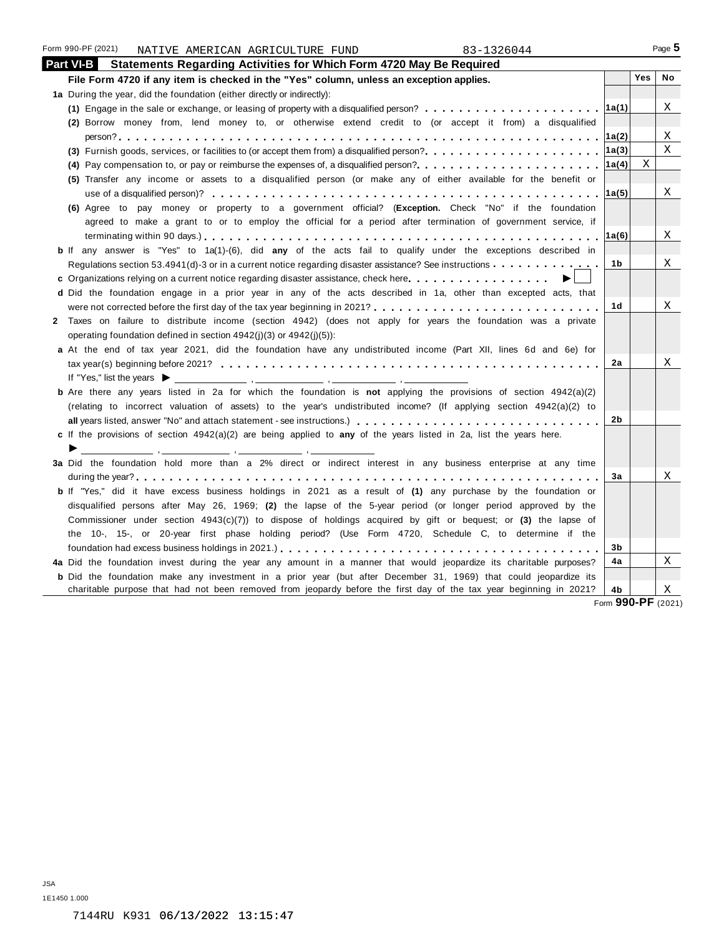| <b>JSA</b>   |  |                                 |  |
|--------------|--|---------------------------------|--|
| 1E1450 1.000 |  |                                 |  |
|              |  | 7144RU K931 06/13/2022 13:15:47 |  |
|              |  |                                 |  |
|              |  |                                 |  |

| Χ<br>(1) Engage in the sale or exchange, or leasing of property with a disqualified person? $\ldots$ , $\ldots$ , $\ldots$ , $\ldots$ , $\ldots$<br>∣1a(1)<br>(2) Borrow money from, lend money to, or otherwise extend credit to (or accept it from) a disqualified<br>Χ<br> 1a(2) <br>X<br> 1a(3) <br>(3) Furnish goods, services, or facilities to (or accept them from) a disqualified person?<br>X<br> 1a(4) <br>(5) Transfer any income or assets to a disqualified person (or make any of either available for the benefit or<br>Χ<br> 1a(5) <br>(6) Agree to pay money or property to a government official? (Exception. Check "No" if the foundation<br>agreed to make a grant to or to employ the official for a period after termination of government service, if<br>Χ<br>1a(6)<br>b If any answer is "Yes" to 1a(1)-(6), did any of the acts fail to qualify under the exceptions described in<br>Χ<br>1b<br>c Organizations relying on a current notice regarding disaster assistance, check here<br>d Did the foundation engage in a prior year in any of the acts described in 1a, other than excepted acts, that<br>Χ<br>1d<br>2 Taxes on failure to distribute income (section 4942) (does not apply for years the foundation was a private<br>operating foundation defined in section $4942(i)(3)$ or $4942(i)(5)$ :<br>a At the end of tax year 2021, did the foundation have any undistributed income (Part XII, lines 6d and 6e) for<br>X<br>2a<br><b>b</b> Are there any years listed in 2a for which the foundation is not applying the provisions of section $4942(a)(2)$<br>(relating to incorrect valuation of assets) to the year's undistributed income? (If applying section 4942(a)(2) to<br>2b<br>c If the provisions of section $4942(a)(2)$ are being applied to any of the years listed in 2a, list the years here.<br>3a Did the foundation hold more than a 2% direct or indirect interest in any business enterprise at any time<br>Χ<br>За<br><b>b</b> If "Yes," did it have excess business holdings in 2021 as a result of (1) any purchase by the foundation or<br>disqualified persons after May 26, 1969; (2) the lapse of the 5-year period (or longer period approved by the<br>Commissioner under section $4943(c)(7)$ ) to dispose of holdings acquired by gift or bequest; or (3) the lapse of<br>the 10-, 15-, or 20-year first phase holding period? (Use Form 4720, Schedule C, to determine if the<br>3b<br>Χ<br>4a Did the foundation invest during the year any amount in a manner that would jeopardize its charitable purposes?<br>4a<br><b>b</b> Did the foundation make any investment in a prior year (but after December 31, 1969) that could jeopardize its<br>charitable purpose that had not been removed from jeopardy before the first day of the tax year beginning in 2021?<br>Χ<br>4b<br>Form 990-PF (2021 | 1a During the year, did the foundation (either directly or indirectly): |  |  |
|---------------------------------------------------------------------------------------------------------------------------------------------------------------------------------------------------------------------------------------------------------------------------------------------------------------------------------------------------------------------------------------------------------------------------------------------------------------------------------------------------------------------------------------------------------------------------------------------------------------------------------------------------------------------------------------------------------------------------------------------------------------------------------------------------------------------------------------------------------------------------------------------------------------------------------------------------------------------------------------------------------------------------------------------------------------------------------------------------------------------------------------------------------------------------------------------------------------------------------------------------------------------------------------------------------------------------------------------------------------------------------------------------------------------------------------------------------------------------------------------------------------------------------------------------------------------------------------------------------------------------------------------------------------------------------------------------------------------------------------------------------------------------------------------------------------------------------------------------------------------------------------------------------------------------------------------------------------------------------------------------------------------------------------------------------------------------------------------------------------------------------------------------------------------------------------------------------------------------------------------------------------------------------------------------------------------------------------------------------------------------------------------------------------------------------------------------------------------------------------------------------------------------------------------------------------------------------------------------------------------------------------------------------------------------------------------------------------------------------------------------------------------------------------------------------------------------------------------------------------------------------|-------------------------------------------------------------------------|--|--|
|                                                                                                                                                                                                                                                                                                                                                                                                                                                                                                                                                                                                                                                                                                                                                                                                                                                                                                                                                                                                                                                                                                                                                                                                                                                                                                                                                                                                                                                                                                                                                                                                                                                                                                                                                                                                                                                                                                                                                                                                                                                                                                                                                                                                                                                                                                                                                                                                                                                                                                                                                                                                                                                                                                                                                                                                                                                                                 |                                                                         |  |  |
|                                                                                                                                                                                                                                                                                                                                                                                                                                                                                                                                                                                                                                                                                                                                                                                                                                                                                                                                                                                                                                                                                                                                                                                                                                                                                                                                                                                                                                                                                                                                                                                                                                                                                                                                                                                                                                                                                                                                                                                                                                                                                                                                                                                                                                                                                                                                                                                                                                                                                                                                                                                                                                                                                                                                                                                                                                                                                 |                                                                         |  |  |
|                                                                                                                                                                                                                                                                                                                                                                                                                                                                                                                                                                                                                                                                                                                                                                                                                                                                                                                                                                                                                                                                                                                                                                                                                                                                                                                                                                                                                                                                                                                                                                                                                                                                                                                                                                                                                                                                                                                                                                                                                                                                                                                                                                                                                                                                                                                                                                                                                                                                                                                                                                                                                                                                                                                                                                                                                                                                                 |                                                                         |  |  |
|                                                                                                                                                                                                                                                                                                                                                                                                                                                                                                                                                                                                                                                                                                                                                                                                                                                                                                                                                                                                                                                                                                                                                                                                                                                                                                                                                                                                                                                                                                                                                                                                                                                                                                                                                                                                                                                                                                                                                                                                                                                                                                                                                                                                                                                                                                                                                                                                                                                                                                                                                                                                                                                                                                                                                                                                                                                                                 |                                                                         |  |  |
|                                                                                                                                                                                                                                                                                                                                                                                                                                                                                                                                                                                                                                                                                                                                                                                                                                                                                                                                                                                                                                                                                                                                                                                                                                                                                                                                                                                                                                                                                                                                                                                                                                                                                                                                                                                                                                                                                                                                                                                                                                                                                                                                                                                                                                                                                                                                                                                                                                                                                                                                                                                                                                                                                                                                                                                                                                                                                 |                                                                         |  |  |
|                                                                                                                                                                                                                                                                                                                                                                                                                                                                                                                                                                                                                                                                                                                                                                                                                                                                                                                                                                                                                                                                                                                                                                                                                                                                                                                                                                                                                                                                                                                                                                                                                                                                                                                                                                                                                                                                                                                                                                                                                                                                                                                                                                                                                                                                                                                                                                                                                                                                                                                                                                                                                                                                                                                                                                                                                                                                                 |                                                                         |  |  |
|                                                                                                                                                                                                                                                                                                                                                                                                                                                                                                                                                                                                                                                                                                                                                                                                                                                                                                                                                                                                                                                                                                                                                                                                                                                                                                                                                                                                                                                                                                                                                                                                                                                                                                                                                                                                                                                                                                                                                                                                                                                                                                                                                                                                                                                                                                                                                                                                                                                                                                                                                                                                                                                                                                                                                                                                                                                                                 |                                                                         |  |  |
|                                                                                                                                                                                                                                                                                                                                                                                                                                                                                                                                                                                                                                                                                                                                                                                                                                                                                                                                                                                                                                                                                                                                                                                                                                                                                                                                                                                                                                                                                                                                                                                                                                                                                                                                                                                                                                                                                                                                                                                                                                                                                                                                                                                                                                                                                                                                                                                                                                                                                                                                                                                                                                                                                                                                                                                                                                                                                 |                                                                         |  |  |
|                                                                                                                                                                                                                                                                                                                                                                                                                                                                                                                                                                                                                                                                                                                                                                                                                                                                                                                                                                                                                                                                                                                                                                                                                                                                                                                                                                                                                                                                                                                                                                                                                                                                                                                                                                                                                                                                                                                                                                                                                                                                                                                                                                                                                                                                                                                                                                                                                                                                                                                                                                                                                                                                                                                                                                                                                                                                                 |                                                                         |  |  |
|                                                                                                                                                                                                                                                                                                                                                                                                                                                                                                                                                                                                                                                                                                                                                                                                                                                                                                                                                                                                                                                                                                                                                                                                                                                                                                                                                                                                                                                                                                                                                                                                                                                                                                                                                                                                                                                                                                                                                                                                                                                                                                                                                                                                                                                                                                                                                                                                                                                                                                                                                                                                                                                                                                                                                                                                                                                                                 |                                                                         |  |  |
|                                                                                                                                                                                                                                                                                                                                                                                                                                                                                                                                                                                                                                                                                                                                                                                                                                                                                                                                                                                                                                                                                                                                                                                                                                                                                                                                                                                                                                                                                                                                                                                                                                                                                                                                                                                                                                                                                                                                                                                                                                                                                                                                                                                                                                                                                                                                                                                                                                                                                                                                                                                                                                                                                                                                                                                                                                                                                 |                                                                         |  |  |
|                                                                                                                                                                                                                                                                                                                                                                                                                                                                                                                                                                                                                                                                                                                                                                                                                                                                                                                                                                                                                                                                                                                                                                                                                                                                                                                                                                                                                                                                                                                                                                                                                                                                                                                                                                                                                                                                                                                                                                                                                                                                                                                                                                                                                                                                                                                                                                                                                                                                                                                                                                                                                                                                                                                                                                                                                                                                                 |                                                                         |  |  |
|                                                                                                                                                                                                                                                                                                                                                                                                                                                                                                                                                                                                                                                                                                                                                                                                                                                                                                                                                                                                                                                                                                                                                                                                                                                                                                                                                                                                                                                                                                                                                                                                                                                                                                                                                                                                                                                                                                                                                                                                                                                                                                                                                                                                                                                                                                                                                                                                                                                                                                                                                                                                                                                                                                                                                                                                                                                                                 |                                                                         |  |  |
|                                                                                                                                                                                                                                                                                                                                                                                                                                                                                                                                                                                                                                                                                                                                                                                                                                                                                                                                                                                                                                                                                                                                                                                                                                                                                                                                                                                                                                                                                                                                                                                                                                                                                                                                                                                                                                                                                                                                                                                                                                                                                                                                                                                                                                                                                                                                                                                                                                                                                                                                                                                                                                                                                                                                                                                                                                                                                 |                                                                         |  |  |
|                                                                                                                                                                                                                                                                                                                                                                                                                                                                                                                                                                                                                                                                                                                                                                                                                                                                                                                                                                                                                                                                                                                                                                                                                                                                                                                                                                                                                                                                                                                                                                                                                                                                                                                                                                                                                                                                                                                                                                                                                                                                                                                                                                                                                                                                                                                                                                                                                                                                                                                                                                                                                                                                                                                                                                                                                                                                                 |                                                                         |  |  |
|                                                                                                                                                                                                                                                                                                                                                                                                                                                                                                                                                                                                                                                                                                                                                                                                                                                                                                                                                                                                                                                                                                                                                                                                                                                                                                                                                                                                                                                                                                                                                                                                                                                                                                                                                                                                                                                                                                                                                                                                                                                                                                                                                                                                                                                                                                                                                                                                                                                                                                                                                                                                                                                                                                                                                                                                                                                                                 |                                                                         |  |  |
|                                                                                                                                                                                                                                                                                                                                                                                                                                                                                                                                                                                                                                                                                                                                                                                                                                                                                                                                                                                                                                                                                                                                                                                                                                                                                                                                                                                                                                                                                                                                                                                                                                                                                                                                                                                                                                                                                                                                                                                                                                                                                                                                                                                                                                                                                                                                                                                                                                                                                                                                                                                                                                                                                                                                                                                                                                                                                 |                                                                         |  |  |
|                                                                                                                                                                                                                                                                                                                                                                                                                                                                                                                                                                                                                                                                                                                                                                                                                                                                                                                                                                                                                                                                                                                                                                                                                                                                                                                                                                                                                                                                                                                                                                                                                                                                                                                                                                                                                                                                                                                                                                                                                                                                                                                                                                                                                                                                                                                                                                                                                                                                                                                                                                                                                                                                                                                                                                                                                                                                                 |                                                                         |  |  |
|                                                                                                                                                                                                                                                                                                                                                                                                                                                                                                                                                                                                                                                                                                                                                                                                                                                                                                                                                                                                                                                                                                                                                                                                                                                                                                                                                                                                                                                                                                                                                                                                                                                                                                                                                                                                                                                                                                                                                                                                                                                                                                                                                                                                                                                                                                                                                                                                                                                                                                                                                                                                                                                                                                                                                                                                                                                                                 |                                                                         |  |  |
|                                                                                                                                                                                                                                                                                                                                                                                                                                                                                                                                                                                                                                                                                                                                                                                                                                                                                                                                                                                                                                                                                                                                                                                                                                                                                                                                                                                                                                                                                                                                                                                                                                                                                                                                                                                                                                                                                                                                                                                                                                                                                                                                                                                                                                                                                                                                                                                                                                                                                                                                                                                                                                                                                                                                                                                                                                                                                 |                                                                         |  |  |
|                                                                                                                                                                                                                                                                                                                                                                                                                                                                                                                                                                                                                                                                                                                                                                                                                                                                                                                                                                                                                                                                                                                                                                                                                                                                                                                                                                                                                                                                                                                                                                                                                                                                                                                                                                                                                                                                                                                                                                                                                                                                                                                                                                                                                                                                                                                                                                                                                                                                                                                                                                                                                                                                                                                                                                                                                                                                                 |                                                                         |  |  |
|                                                                                                                                                                                                                                                                                                                                                                                                                                                                                                                                                                                                                                                                                                                                                                                                                                                                                                                                                                                                                                                                                                                                                                                                                                                                                                                                                                                                                                                                                                                                                                                                                                                                                                                                                                                                                                                                                                                                                                                                                                                                                                                                                                                                                                                                                                                                                                                                                                                                                                                                                                                                                                                                                                                                                                                                                                                                                 |                                                                         |  |  |
|                                                                                                                                                                                                                                                                                                                                                                                                                                                                                                                                                                                                                                                                                                                                                                                                                                                                                                                                                                                                                                                                                                                                                                                                                                                                                                                                                                                                                                                                                                                                                                                                                                                                                                                                                                                                                                                                                                                                                                                                                                                                                                                                                                                                                                                                                                                                                                                                                                                                                                                                                                                                                                                                                                                                                                                                                                                                                 |                                                                         |  |  |
|                                                                                                                                                                                                                                                                                                                                                                                                                                                                                                                                                                                                                                                                                                                                                                                                                                                                                                                                                                                                                                                                                                                                                                                                                                                                                                                                                                                                                                                                                                                                                                                                                                                                                                                                                                                                                                                                                                                                                                                                                                                                                                                                                                                                                                                                                                                                                                                                                                                                                                                                                                                                                                                                                                                                                                                                                                                                                 |                                                                         |  |  |
|                                                                                                                                                                                                                                                                                                                                                                                                                                                                                                                                                                                                                                                                                                                                                                                                                                                                                                                                                                                                                                                                                                                                                                                                                                                                                                                                                                                                                                                                                                                                                                                                                                                                                                                                                                                                                                                                                                                                                                                                                                                                                                                                                                                                                                                                                                                                                                                                                                                                                                                                                                                                                                                                                                                                                                                                                                                                                 |                                                                         |  |  |
|                                                                                                                                                                                                                                                                                                                                                                                                                                                                                                                                                                                                                                                                                                                                                                                                                                                                                                                                                                                                                                                                                                                                                                                                                                                                                                                                                                                                                                                                                                                                                                                                                                                                                                                                                                                                                                                                                                                                                                                                                                                                                                                                                                                                                                                                                                                                                                                                                                                                                                                                                                                                                                                                                                                                                                                                                                                                                 |                                                                         |  |  |
|                                                                                                                                                                                                                                                                                                                                                                                                                                                                                                                                                                                                                                                                                                                                                                                                                                                                                                                                                                                                                                                                                                                                                                                                                                                                                                                                                                                                                                                                                                                                                                                                                                                                                                                                                                                                                                                                                                                                                                                                                                                                                                                                                                                                                                                                                                                                                                                                                                                                                                                                                                                                                                                                                                                                                                                                                                                                                 |                                                                         |  |  |
|                                                                                                                                                                                                                                                                                                                                                                                                                                                                                                                                                                                                                                                                                                                                                                                                                                                                                                                                                                                                                                                                                                                                                                                                                                                                                                                                                                                                                                                                                                                                                                                                                                                                                                                                                                                                                                                                                                                                                                                                                                                                                                                                                                                                                                                                                                                                                                                                                                                                                                                                                                                                                                                                                                                                                                                                                                                                                 |                                                                         |  |  |
|                                                                                                                                                                                                                                                                                                                                                                                                                                                                                                                                                                                                                                                                                                                                                                                                                                                                                                                                                                                                                                                                                                                                                                                                                                                                                                                                                                                                                                                                                                                                                                                                                                                                                                                                                                                                                                                                                                                                                                                                                                                                                                                                                                                                                                                                                                                                                                                                                                                                                                                                                                                                                                                                                                                                                                                                                                                                                 |                                                                         |  |  |
|                                                                                                                                                                                                                                                                                                                                                                                                                                                                                                                                                                                                                                                                                                                                                                                                                                                                                                                                                                                                                                                                                                                                                                                                                                                                                                                                                                                                                                                                                                                                                                                                                                                                                                                                                                                                                                                                                                                                                                                                                                                                                                                                                                                                                                                                                                                                                                                                                                                                                                                                                                                                                                                                                                                                                                                                                                                                                 |                                                                         |  |  |
|                                                                                                                                                                                                                                                                                                                                                                                                                                                                                                                                                                                                                                                                                                                                                                                                                                                                                                                                                                                                                                                                                                                                                                                                                                                                                                                                                                                                                                                                                                                                                                                                                                                                                                                                                                                                                                                                                                                                                                                                                                                                                                                                                                                                                                                                                                                                                                                                                                                                                                                                                                                                                                                                                                                                                                                                                                                                                 |                                                                         |  |  |
|                                                                                                                                                                                                                                                                                                                                                                                                                                                                                                                                                                                                                                                                                                                                                                                                                                                                                                                                                                                                                                                                                                                                                                                                                                                                                                                                                                                                                                                                                                                                                                                                                                                                                                                                                                                                                                                                                                                                                                                                                                                                                                                                                                                                                                                                                                                                                                                                                                                                                                                                                                                                                                                                                                                                                                                                                                                                                 |                                                                         |  |  |
|                                                                                                                                                                                                                                                                                                                                                                                                                                                                                                                                                                                                                                                                                                                                                                                                                                                                                                                                                                                                                                                                                                                                                                                                                                                                                                                                                                                                                                                                                                                                                                                                                                                                                                                                                                                                                                                                                                                                                                                                                                                                                                                                                                                                                                                                                                                                                                                                                                                                                                                                                                                                                                                                                                                                                                                                                                                                                 |                                                                         |  |  |
|                                                                                                                                                                                                                                                                                                                                                                                                                                                                                                                                                                                                                                                                                                                                                                                                                                                                                                                                                                                                                                                                                                                                                                                                                                                                                                                                                                                                                                                                                                                                                                                                                                                                                                                                                                                                                                                                                                                                                                                                                                                                                                                                                                                                                                                                                                                                                                                                                                                                                                                                                                                                                                                                                                                                                                                                                                                                                 |                                                                         |  |  |
|                                                                                                                                                                                                                                                                                                                                                                                                                                                                                                                                                                                                                                                                                                                                                                                                                                                                                                                                                                                                                                                                                                                                                                                                                                                                                                                                                                                                                                                                                                                                                                                                                                                                                                                                                                                                                                                                                                                                                                                                                                                                                                                                                                                                                                                                                                                                                                                                                                                                                                                                                                                                                                                                                                                                                                                                                                                                                 |                                                                         |  |  |

**File Form 4720 if any item is checked in the "Yes" column, unless an exception applies. Yes No**

#### Form 990-PF (2021) NATIVE AMERICAN AGRICULTURE FUND 83-1326044 **Part VI-B Statements Regarding Activities for Which Form 4720 May Be Required**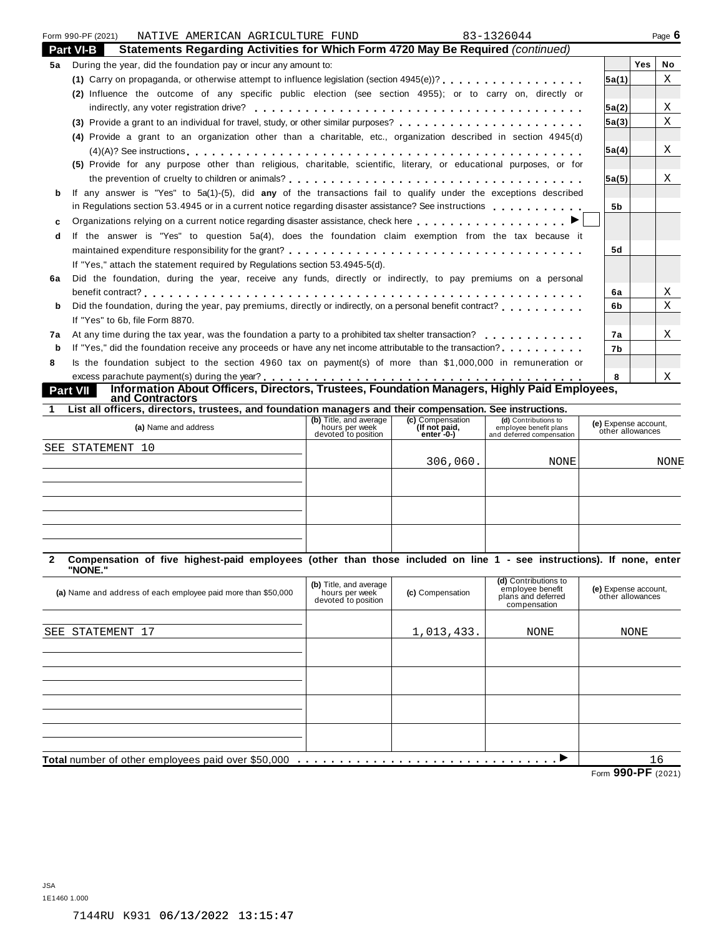|              | Form 990-PF (2021)<br>NATIVE AMERICAN AGRICULTURE FUND                                                              |                                       |                                  | 83-1326044                                          |                                          |     | Page 6      |
|--------------|---------------------------------------------------------------------------------------------------------------------|---------------------------------------|----------------------------------|-----------------------------------------------------|------------------------------------------|-----|-------------|
|              | Statements Regarding Activities for Which Form 4720 May Be Required (continued)<br>Part VI-B                        |                                       |                                  |                                                     |                                          |     |             |
| 5а           | During the year, did the foundation pay or incur any amount to:                                                     |                                       |                                  |                                                     |                                          | Yes | No          |
|              | (1) Carry on propaganda, or otherwise attempt to influence legislation (section 4945(e))?                           |                                       |                                  |                                                     | 5a(1)                                    |     | X           |
|              | (2) Influence the outcome of any specific public election (see section 4955); or to carry on, directly or           |                                       |                                  |                                                     |                                          |     |             |
|              |                                                                                                                     |                                       |                                  |                                                     | 5a(2)                                    |     | Χ           |
|              |                                                                                                                     |                                       |                                  |                                                     | 5a(3)                                    |     | $\mathbf X$ |
|              | (4) Provide a grant to an organization other than a charitable, etc., organization described in section 4945(d)     |                                       |                                  |                                                     |                                          |     |             |
|              |                                                                                                                     |                                       |                                  |                                                     | 5a(4)                                    |     | X           |
|              | (5) Provide for any purpose other than religious, charitable, scientific, literary, or educational purposes, or for |                                       |                                  |                                                     |                                          |     |             |
|              |                                                                                                                     |                                       |                                  |                                                     | 5a(5)                                    |     | X           |
| b            | If any answer is "Yes" to 5a(1)-(5), did any of the transactions fail to qualify under the exceptions described     |                                       |                                  |                                                     |                                          |     |             |
|              | in Regulations section 53.4945 or in a current notice regarding disaster assistance? See instructions               |                                       |                                  |                                                     | 5b                                       |     |             |
| $\mathbf{c}$ |                                                                                                                     |                                       |                                  |                                                     |                                          |     |             |
| d            | If the answer is "Yes" to question 5a(4), does the foundation claim exemption from the tax because it               |                                       |                                  |                                                     |                                          |     |             |
|              |                                                                                                                     |                                       |                                  |                                                     | 5d                                       |     |             |
|              | If "Yes," attach the statement required by Requiations section 53.4945-5(d).                                        |                                       |                                  |                                                     |                                          |     |             |
| 6a           | Did the foundation, during the year, receive any funds, directly or indirectly, to pay premiums on a personal       |                                       |                                  |                                                     |                                          |     |             |
|              |                                                                                                                     |                                       |                                  |                                                     | 6a                                       |     | Χ           |
| b            | Did the foundation, during the year, pay premiums, directly or indirectly, on a personal benefit contract?          |                                       |                                  |                                                     | 6b                                       |     | X           |
|              | If "Yes" to 6b, file Form 8870.                                                                                     |                                       |                                  |                                                     |                                          |     |             |
| 7а           | At any time during the tax year, was the foundation a party to a prohibited tax shelter transaction?                |                                       |                                  |                                                     | 7a                                       |     | X           |
| b            |                                                                                                                     |                                       |                                  |                                                     | 7b                                       |     |             |
| 8            | Is the foundation subject to the section 4960 tax on payment(s) of more than \$1,000,000 in remuneration or         |                                       |                                  |                                                     |                                          |     |             |
|              |                                                                                                                     |                                       |                                  |                                                     | 8                                        |     | Χ           |
|              | Information About Officers, Directors, Trustees, Foundation Managers, Highly Paid Employees,<br>Part VII            |                                       |                                  |                                                     |                                          |     |             |
|              | and Contractors                                                                                                     |                                       |                                  |                                                     |                                          |     |             |
| 1            | List all officers, directors, trustees, and foundation managers and their compensation. See instructions.           | (b) Title, and average                | (c) Compensation                 | (d) Contributions to                                |                                          |     |             |
|              | (a) Name and address                                                                                                | hours per week<br>devoted to position | (If not paid,<br>$enter - 0 - 1$ | employee benefit plans<br>and deferred compensation | (e) Expense account,<br>other allowances |     |             |
|              | SEE STATEMENT 10                                                                                                    |                                       |                                  |                                                     |                                          |     |             |
|              |                                                                                                                     |                                       | 306,060.                         | NONE                                                |                                          |     | NONE        |
|              |                                                                                                                     |                                       |                                  |                                                     |                                          |     |             |
|              |                                                                                                                     |                                       |                                  |                                                     |                                          |     |             |
|              |                                                                                                                     |                                       |                                  |                                                     |                                          |     |             |

| Compensation of five highest-paid employees (other than those included on line 1 - see instructions). If none, enter<br>2<br>"NONE." |                                                                 |                  |                                                                                |                                          |
|--------------------------------------------------------------------------------------------------------------------------------------|-----------------------------------------------------------------|------------------|--------------------------------------------------------------------------------|------------------------------------------|
| (a) Name and address of each employee paid more than \$50,000                                                                        | (b) Title, and average<br>hours per week<br>devoted to position | (c) Compensation | (d) Contributions to<br>employee benefit<br>plans and deferred<br>compensation | (e) Expense account,<br>other allowances |
| SEE STATEMENT 17                                                                                                                     |                                                                 | 1,013,433.       | NONE                                                                           | NONE                                     |
|                                                                                                                                      |                                                                 |                  |                                                                                |                                          |
|                                                                                                                                      |                                                                 |                  |                                                                                |                                          |
|                                                                                                                                      |                                                                 |                  |                                                                                |                                          |
|                                                                                                                                      |                                                                 |                  |                                                                                |                                          |
| <b>Total</b> number of other employees paid over \$50,000                                                                            |                                                                 |                  | . 1                                                                            | 16                                       |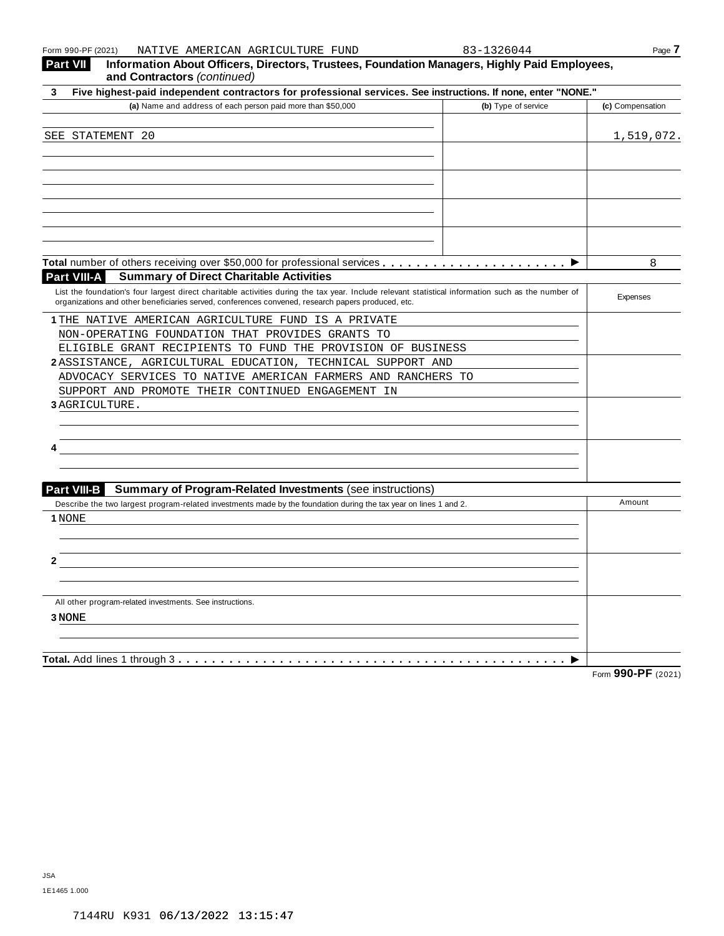| Dest VIII          |  |                                  |            | . - Information About Officers, Diverters, Turntees, Foundation Monomena, Highly Daid Fundayses, I |      |
|--------------------|--|----------------------------------|------------|----------------------------------------------------------------------------------------------------|------|
| Form 990-PF (2021) |  | NATIVE AMERICAN AGRICULTURE FUND | 83-1326044 |                                                                                                    | Page |

| 3-1396044 |  |  |  |
|-----------|--|--|--|

| Five highest-paid independent contractors for professional services. See instructions. If none, enter "NONE."<br>3                                                                                                                                        |                                         |
|-----------------------------------------------------------------------------------------------------------------------------------------------------------------------------------------------------------------------------------------------------------|-----------------------------------------|
| (a) Name and address of each person paid more than \$50,000                                                                                                                                                                                               | (b) Type of service<br>(c) Compensation |
| SEE STATEMENT 20                                                                                                                                                                                                                                          | 1,519,072.                              |
|                                                                                                                                                                                                                                                           |                                         |
|                                                                                                                                                                                                                                                           |                                         |
|                                                                                                                                                                                                                                                           |                                         |
|                                                                                                                                                                                                                                                           |                                         |
|                                                                                                                                                                                                                                                           |                                         |
|                                                                                                                                                                                                                                                           | 8                                       |
| <b>Part VIII-A</b><br><b>Summary of Direct Charitable Activities</b>                                                                                                                                                                                      |                                         |
| List the foundation's four largest direct charitable activities during the tax year. Include relevant statistical information such as the number of<br>organizations and other beneficiaries served, conferences convened, research papers produced, etc. | Expenses                                |
| 1 THE NATIVE AMERICAN AGRICULTURE FUND IS A PRIVATE                                                                                                                                                                                                       |                                         |
| NON-OPERATING FOUNDATION THAT PROVIDES GRANTS TO                                                                                                                                                                                                          |                                         |
| ELIGIBLE GRANT RECIPIENTS TO FUND THE PROVISION OF BUSINESS                                                                                                                                                                                               |                                         |
| 2ASSISTANCE, AGRICULTURAL EDUCATION, TECHNICAL SUPPORT AND                                                                                                                                                                                                |                                         |
| ADVOCACY SERVICES TO NATIVE AMERICAN FARMERS AND RANCHERS TO                                                                                                                                                                                              |                                         |
| SUPPORT AND PROMOTE THEIR CONTINUED ENGAGEMENT IN<br>3 AGRICULTURE.                                                                                                                                                                                       |                                         |
|                                                                                                                                                                                                                                                           |                                         |
|                                                                                                                                                                                                                                                           |                                         |
|                                                                                                                                                                                                                                                           |                                         |
| <b>Part VIII-B</b><br><b>Summary of Program-Related Investments (see instructions)</b>                                                                                                                                                                    |                                         |
| Describe the two largest program-related investments made by the foundation during the tax year on lines 1 and 2.                                                                                                                                         | Amount                                  |
| 1 NONE                                                                                                                                                                                                                                                    |                                         |
|                                                                                                                                                                                                                                                           |                                         |
|                                                                                                                                                                                                                                                           |                                         |
|                                                                                                                                                                                                                                                           |                                         |
| All other program-related investments. See instructions.                                                                                                                                                                                                  |                                         |
| 3 NONE                                                                                                                                                                                                                                                    |                                         |
|                                                                                                                                                                                                                                                           |                                         |
| Total. Add lines 1 through 3                                                                                                                                                                                                                              | Form 990-PF (2021)                      |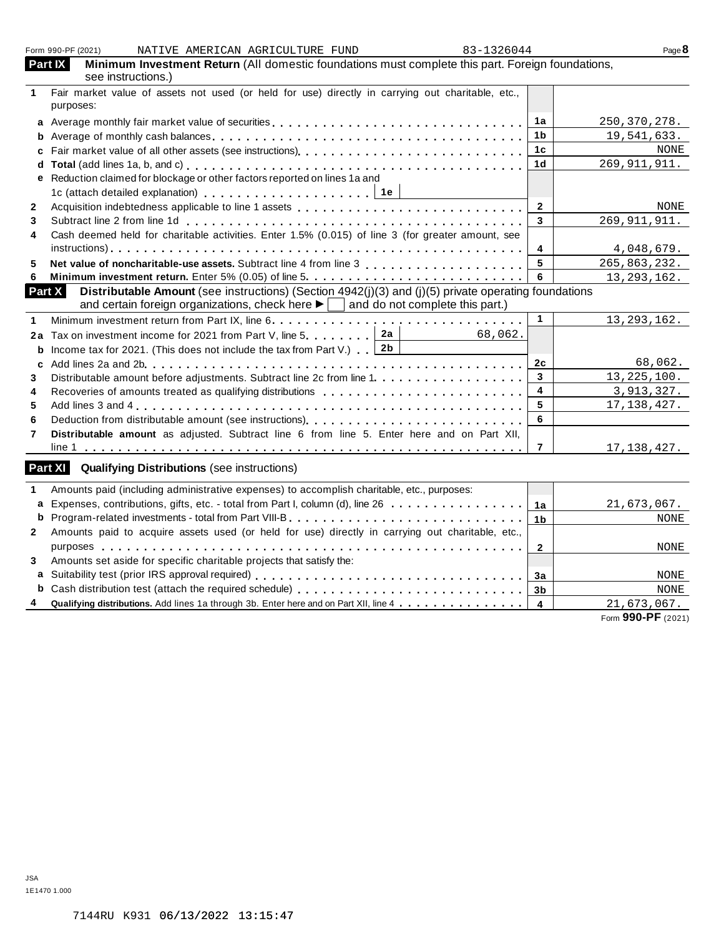|                | Form 990-PF (2021)<br>83-1326044<br>NATIVE AMERICAN AGRICULTURE FUND                                                    |                         | Page $8$                          |
|----------------|-------------------------------------------------------------------------------------------------------------------------|-------------------------|-----------------------------------|
| Part IX        | Minimum Investment Return (All domestic foundations must complete this part. Foreign foundations,<br>see instructions.) |                         |                                   |
| $\mathbf 1$    | Fair market value of assets not used (or held for use) directly in carrying out charitable, etc.,                       |                         |                                   |
|                | purposes:                                                                                                               |                         |                                   |
|                |                                                                                                                         | 1a                      | 250, 370, 278.                    |
| b              |                                                                                                                         | 1 <sub>b</sub>          | 19,541,633.                       |
| c              |                                                                                                                         | 1 <sub>c</sub>          | NONE                              |
|                |                                                                                                                         | 1 <sub>d</sub>          | 269, 911, 911.                    |
|                | e Reduction claimed for blockage or other factors reported on lines 1a and                                              |                         |                                   |
|                |                                                                                                                         |                         |                                   |
| $\mathbf{2}$   |                                                                                                                         | $\mathbf{2}$            | NONE                              |
| 3              |                                                                                                                         | 3                       | 269, 911, 911.                    |
| 4              | Cash deemed held for charitable activities. Enter 1.5% (0.015) of line 3 (for greater amount, see                       |                         |                                   |
|                |                                                                                                                         | 4                       | 4,048,679.                        |
| 5              |                                                                                                                         | 5                       | 265,863,232.                      |
| 6              |                                                                                                                         | 6                       | 13, 293, 162.                     |
| <b>Part X</b>  | Distributable Amount (see instructions) (Section 4942(j)(3) and (j)(5) private operating foundations                    |                         |                                   |
|                | and certain foreign organizations, check here $\blacktriangleright$ and do not complete this part.)                     |                         |                                   |
| 1              |                                                                                                                         | $\blacktriangleleft$    | 13, 293, 162.                     |
| 2a             | Tax on investment income for 2021 from Part V, line 5. 2a<br>68,062.                                                    |                         |                                   |
| b              | Income tax for 2021. (This does not include the tax from Part V.) $\boxed{2b}$                                          |                         |                                   |
| c              |                                                                                                                         | 2c                      | 68,062.                           |
| 3              | Distributable amount before adjustments. Subtract line 2c from line 1.                                                  | 3                       | 13, 225, 100.                     |
| 4              | Recoveries of amounts treated as qualifying distributions                                                               | $\overline{\mathbf{4}}$ | 3,913,327.                        |
| 5              |                                                                                                                         | 5                       | 17, 138, 427.                     |
| 6              |                                                                                                                         | 6                       |                                   |
| $\overline{7}$ | Distributable amount as adjusted. Subtract line 6 from line 5. Enter here and on Part XII,                              |                         |                                   |
|                |                                                                                                                         | 7                       | 17,138,427.                       |
| Part XI        | <b>Qualifying Distributions (see instructions)</b>                                                                      |                         |                                   |
| 1              | Amounts paid (including administrative expenses) to accomplish charitable, etc., purposes:                              |                         |                                   |
| a              | Expenses, contributions, gifts, etc. - total from Part I, column (d), line 26                                           | 1a                      | 21,673,067.                       |
| b              |                                                                                                                         | 1 <sub>b</sub>          | NONE                              |
| $\mathbf{2}$   | Amounts paid to acquire assets used (or held for use) directly in carrying out charitable, etc.,                        |                         |                                   |
|                |                                                                                                                         | $\overline{2}$          | NONE                              |
| 3              | Amounts set aside for specific charitable projects that satisfy the:                                                    |                         |                                   |
|                |                                                                                                                         |                         |                                   |
|                |                                                                                                                         | 3a                      | NONE                              |
| b              |                                                                                                                         | 3 <sub>b</sub>          | NONE                              |
|                | Qualifying distributions. Add lines 1a through 3b. Enter here and on Part XII, line 4                                   | $\overline{4}$          | 21,673,067.<br>Form 990-PF (2021) |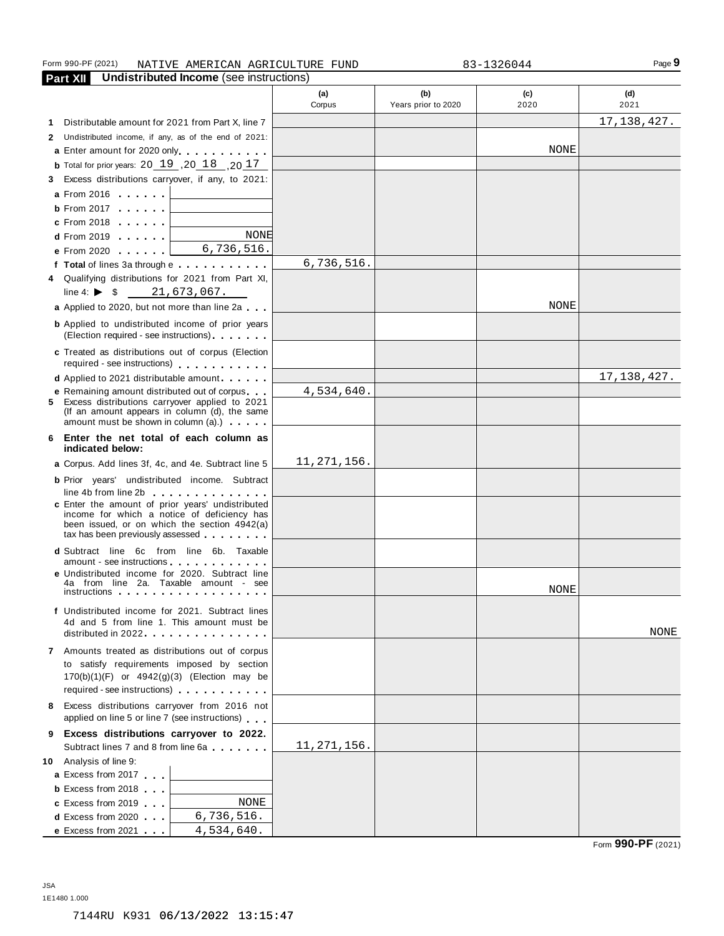#### Form 990-PF (2021) NATIVE AMERICAN AGRICULTURE FUND 83-1326044

**Part XII Undistributed Income** (see instructions) **(a)** Corpus **(b)** Years prior to 2020 **(c)** 2020 **(d)** 2021 **1** Distributable amount for 2021 from Part X, line 7 **2** Undistributed income, if any, as of the end of 2021: **a** Enter amount for 2020 only **b** Total for prior years:  $20$   $19$  ,  $20$   $18$  ,  $20$   $17$ **3** Excess distributions carryover, if any, to 2021: **a** From 2016 **mm m m b** From 2017 **mm** m **c** From 2018 **mm** m **d** From 2019 **mm** mm **e** From 2020 **mm** m m **f Total** of lines 3a through e **4** Qualifying distributions for 2021 from Part XI, line 4:  $\triangleright$  \$ **a** Applied to 2020, but not more than line 2a **b** Applied to undistributed income of prior years (Election required - see instructions) **c** Treated as distributions out of corpus (Election required - see instructions) m m m m m m m m m m m **d** Applied to 2021 distributable amount m m m m **e** Remaining amount distributed out of corpus **5** Excess distributions carryover applied to 2021 (If an amount appears in column  $(d)$ , the same amount must be shown in column  $(a)$ .)  $\cdots$  m m **6 Enter the net total of each column as indicated below: a** Corpus. Add lines 3f, 4c, and 4e. Subtract line 5 **b** Prior years' undistributed income. Subtract line 4b from line 2b m m m m m m m m m m m m m m **<sup>c</sup>** Enter the amount of prior years' undistributed income for which a notice of deficiency has been issued, or on which the section 4942(a)<br>tax has been previously assessed **d** Subtract line 6c from line 6b. Taxable<br>amount - see instructions metals are mediated income for 2020. Subtract line  $\begin{bmatrix} 4a & \text{from line 1} \\ 4a & \text{from line 2} \\ 4a & \text{from line 2} \\ 4a & \text{from line 2} \\ 4a & \text{from line 2} \\ 4a & \text{from line 2} \\ 4a & \text{from line 2} \\ 4a & \text{from line 2} \\ 4a & \text{from line 2} \\ 4a & \text{from line 2} \\ 4a & \text{from line 2} \\ 4a & \text{from line 2} \\ 4a & \text{from line 2} \\ 4a & \text{from line 2} \\ 4a &$ **f** Undistributed income for 2021. Subtract lines 4d and 5 from line 1. This amount must be distributed in 2022.  $\ldots$  .  $\ldots$  .  $\ldots$  .  $\ldots$  . **7** Amounts treated as distributions out of corpus to satisfy requirements imposed by section 170(b)(1)(F) or 4942(g)(3) (Election may be required - see instructions) m m m m m m m m m m m **8** Excess distributions carryover from 2016 not applied on line 5 or line 7 (see instructions) **9 Excess distributions carryover to 2022.** Subtract lines <sup>7</sup> and <sup>8</sup> from line 6a m m m m m m m **10** Analysis of line 9: **a** Excess from 2017 **b** Excess from 2018 **c** Excess from 2019 **d** Excess from 2020 **m e** Excess from 2021 **m** m 6,736,516. 17,138,427. NONE NONE 6,736,516. 21,673,067. 4,534,640. 11,271,156. NONE 17,138,427. NONE NONE 11,271,156. NONE 6,736,516. 4,534,640.

JSA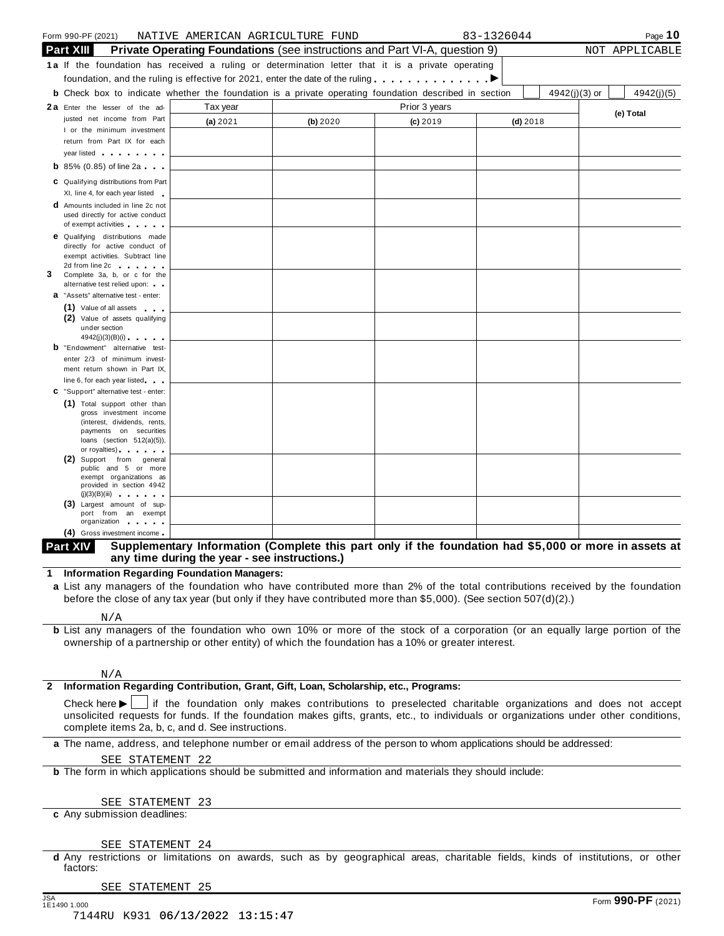| Form 990-PF (2021)                                                                                                                                 | NATIVE AMERICAN AGRICULTURE FUND                                                                       |          |               | 83-1326044 |                 | Page 10        |
|----------------------------------------------------------------------------------------------------------------------------------------------------|--------------------------------------------------------------------------------------------------------|----------|---------------|------------|-----------------|----------------|
| <b>Part XIII</b>                                                                                                                                   | <b>Private Operating Foundations</b> (see instructions and Part VI-A, question 9)                      |          |               |            |                 | NOT APPLICABLE |
| <b>1a</b> If the foundation has received a ruling or determination letter that it is a private operating                                           |                                                                                                        |          |               |            |                 |                |
| foundation, and the ruling is effective for 2021, enter the date of the ruling $\blacksquare$                                                      |                                                                                                        |          |               |            |                 |                |
| <b>b</b> Check box to indicate whether the foundation is a private operating foundation described in section                                       |                                                                                                        |          |               |            | $4942(j)(3)$ or | 4942(j)(5)     |
| 2a Enter the lesser of the ad-                                                                                                                     | Tax year                                                                                               |          | Prior 3 years |            |                 |                |
| justed net income from Part                                                                                                                        | (a) 2021                                                                                               | (b) 2020 | $(c)$ 2019    | $(d)$ 2018 |                 | (e) Total      |
| I or the minimum investment                                                                                                                        |                                                                                                        |          |               |            |                 |                |
| return from Part IX for each                                                                                                                       |                                                                                                        |          |               |            |                 |                |
| year listed                                                                                                                                        |                                                                                                        |          |               |            |                 |                |
| <b>b</b> 85% (0.85) of line 2a                                                                                                                     |                                                                                                        |          |               |            |                 |                |
| C Qualifying distributions from Part                                                                                                               |                                                                                                        |          |               |            |                 |                |
| XI, line 4, for each year listed                                                                                                                   |                                                                                                        |          |               |            |                 |                |
| <b>d</b> Amounts included in line 2c not<br>used directly for active conduct                                                                       |                                                                                                        |          |               |            |                 |                |
| of exempt activities and the state of                                                                                                              |                                                                                                        |          |               |            |                 |                |
| <b>e</b> Qualifying distributions made                                                                                                             |                                                                                                        |          |               |            |                 |                |
| directly for active conduct of<br>exempt activities. Subtract line                                                                                 |                                                                                                        |          |               |            |                 |                |
| 2d from line 2c and the set of the set of the set of the set of the set of the set of the set of the set of the                                    |                                                                                                        |          |               |            |                 |                |
| Complete 3a, b, or c for the                                                                                                                       |                                                                                                        |          |               |            |                 |                |
| alternative test relied upon:<br>a "Assets" alternative test - enter:                                                                              |                                                                                                        |          |               |            |                 |                |
| (1) Value of all assets                                                                                                                            |                                                                                                        |          |               |            |                 |                |
| (2) Value of assets qualifying                                                                                                                     |                                                                                                        |          |               |            |                 |                |
| under section                                                                                                                                      |                                                                                                        |          |               |            |                 |                |
| 4942(j)(3)(B)(i)<br><b>b</b> "Endowment" alternative test-                                                                                         |                                                                                                        |          |               |            |                 |                |
| enter 2/3 of minimum invest-                                                                                                                       |                                                                                                        |          |               |            |                 |                |
| ment return shown in Part IX,                                                                                                                      |                                                                                                        |          |               |            |                 |                |
| line 6, for each year listed                                                                                                                       |                                                                                                        |          |               |            |                 |                |
| C "Support" alternative test - enter:                                                                                                              |                                                                                                        |          |               |            |                 |                |
| (1) Total support other than<br>gross investment income                                                                                            |                                                                                                        |          |               |            |                 |                |
| (interest, dividends, rents,                                                                                                                       |                                                                                                        |          |               |            |                 |                |
| payments on securities<br>loans (section $512(a)(5)$ ),                                                                                            |                                                                                                        |          |               |            |                 |                |
| or royalties) and the control of                                                                                                                   |                                                                                                        |          |               |            |                 |                |
| (2) Support from general<br>public and 5 or more                                                                                                   |                                                                                                        |          |               |            |                 |                |
| exempt organizations as                                                                                                                            |                                                                                                        |          |               |            |                 |                |
| provided in section 4942<br>(j)(3)(B)(iii)                                                                                                         |                                                                                                        |          |               |            |                 |                |
| (3) Largest amount of sup-                                                                                                                         |                                                                                                        |          |               |            |                 |                |
| port from an exempt<br>organization and the state                                                                                                  |                                                                                                        |          |               |            |                 |                |
| (4) Gross investment income                                                                                                                        |                                                                                                        |          |               |            |                 |                |
| Part XIV                                                                                                                                           | Supplementary Information (Complete this part only if the foundation had \$5,000 or more in assets at  |          |               |            |                 |                |
|                                                                                                                                                    | any time during the year - see instructions.)                                                          |          |               |            |                 |                |
| 1 Information Regarding Foundation Managers:                                                                                                       |                                                                                                        |          |               |            |                 |                |
| a List any managers of the foundation who have contributed more than 2% of the total contributions received by the foundation                      |                                                                                                        |          |               |            |                 |                |
| before the close of any tax year (but only if they have contributed more than \$5,000). (See section 507(d)(2).)                                   |                                                                                                        |          |               |            |                 |                |
|                                                                                                                                                    |                                                                                                        |          |               |            |                 |                |
| N/A<br><b>b</b> List any managers of the foundation who own 10% or more of the stock of a corporation (or an equally large portion of the          |                                                                                                        |          |               |            |                 |                |
| ownership of a partnership or other entity) of which the foundation has a 10% or greater interest.                                                 |                                                                                                        |          |               |            |                 |                |
|                                                                                                                                                    |                                                                                                        |          |               |            |                 |                |
|                                                                                                                                                    |                                                                                                        |          |               |            |                 |                |
| N/A                                                                                                                                                |                                                                                                        |          |               |            |                 |                |
| Information Regarding Contribution, Grant, Gift, Loan, Scholarship, etc., Programs:                                                                |                                                                                                        |          |               |            |                 |                |
| Check here $\blacktriangleright$                                                                                                                   | If the foundation only makes contributions to preselected charitable organizations and does not accept |          |               |            |                 |                |
| unsolicited requests for funds. If the foundation makes gifts, grants, etc., to individuals or organizations under other conditions,               |                                                                                                        |          |               |            |                 |                |
| complete items 2a, b, c, and d. See instructions.                                                                                                  |                                                                                                        |          |               |            |                 |                |
| a The name, address, and telephone number or email address of the person to whom applications should be addressed:                                 |                                                                                                        |          |               |            |                 |                |
| SEE STATEMENT 22                                                                                                                                   |                                                                                                        |          |               |            |                 |                |
| <b>b</b> The form in which applications should be submitted and information and materials they should include:                                     |                                                                                                        |          |               |            |                 |                |
|                                                                                                                                                    |                                                                                                        |          |               |            |                 |                |
| SEE STATEMENT 23                                                                                                                                   |                                                                                                        |          |               |            |                 |                |
| c Any submission deadlines:                                                                                                                        |                                                                                                        |          |               |            |                 |                |
|                                                                                                                                                    |                                                                                                        |          |               |            |                 |                |
|                                                                                                                                                    |                                                                                                        |          |               |            |                 |                |
| SEE STATEMENT 24<br>d Any restrictions or limitations on awards, such as by geographical areas, charitable fields, kinds of institutions, or other |                                                                                                        |          |               |            |                 |                |
| factors:                                                                                                                                           |                                                                                                        |          |               |            |                 |                |

[SEE STATEMENT 25](#page-40-0)

JSA Form **990-PF** (2021) 7144RU K931 06/13/2022 13:15:47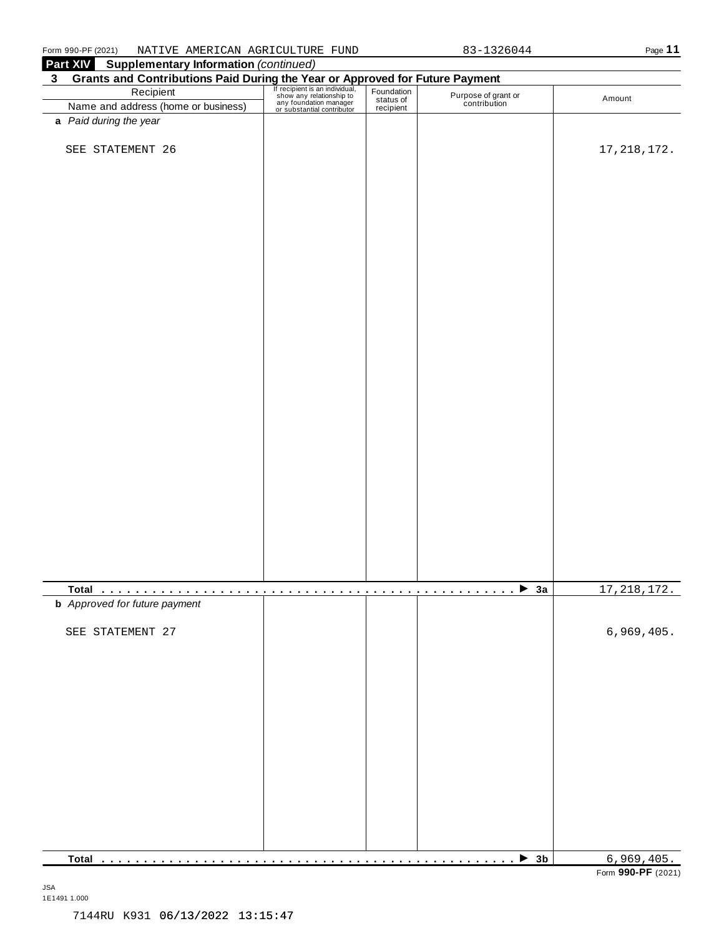| Grants and Contributions Paid During the Year or Approved for Future Payment<br>Recipient Recipient Recipient San individual, Foundation Purpose of grand<br>Name and address (home or business) and redition manager and recipien<br>Purpose of grant or<br>contribution<br>Name and address (home or business)<br>a Paid during the year | Amount        |
|--------------------------------------------------------------------------------------------------------------------------------------------------------------------------------------------------------------------------------------------------------------------------------------------------------------------------------------------|---------------|
|                                                                                                                                                                                                                                                                                                                                            |               |
|                                                                                                                                                                                                                                                                                                                                            |               |
|                                                                                                                                                                                                                                                                                                                                            |               |
|                                                                                                                                                                                                                                                                                                                                            |               |
| SEE STATEMENT 26                                                                                                                                                                                                                                                                                                                           | 17, 218, 172. |
|                                                                                                                                                                                                                                                                                                                                            |               |
|                                                                                                                                                                                                                                                                                                                                            |               |
|                                                                                                                                                                                                                                                                                                                                            |               |
|                                                                                                                                                                                                                                                                                                                                            |               |
|                                                                                                                                                                                                                                                                                                                                            |               |
|                                                                                                                                                                                                                                                                                                                                            |               |
|                                                                                                                                                                                                                                                                                                                                            |               |
|                                                                                                                                                                                                                                                                                                                                            |               |
|                                                                                                                                                                                                                                                                                                                                            |               |
|                                                                                                                                                                                                                                                                                                                                            |               |
|                                                                                                                                                                                                                                                                                                                                            |               |
|                                                                                                                                                                                                                                                                                                                                            |               |
|                                                                                                                                                                                                                                                                                                                                            |               |
|                                                                                                                                                                                                                                                                                                                                            |               |
|                                                                                                                                                                                                                                                                                                                                            |               |
|                                                                                                                                                                                                                                                                                                                                            |               |
|                                                                                                                                                                                                                                                                                                                                            |               |
|                                                                                                                                                                                                                                                                                                                                            |               |
|                                                                                                                                                                                                                                                                                                                                            |               |
|                                                                                                                                                                                                                                                                                                                                            |               |
|                                                                                                                                                                                                                                                                                                                                            |               |
|                                                                                                                                                                                                                                                                                                                                            |               |
|                                                                                                                                                                                                                                                                                                                                            |               |
|                                                                                                                                                                                                                                                                                                                                            |               |
|                                                                                                                                                                                                                                                                                                                                            |               |
|                                                                                                                                                                                                                                                                                                                                            |               |
|                                                                                                                                                                                                                                                                                                                                            |               |
|                                                                                                                                                                                                                                                                                                                                            |               |
|                                                                                                                                                                                                                                                                                                                                            |               |
|                                                                                                                                                                                                                                                                                                                                            |               |
|                                                                                                                                                                                                                                                                                                                                            |               |
| $\blacktriangleright$ 3a                                                                                                                                                                                                                                                                                                                   | 17, 218, 172. |
| <b>b</b> Approved for future payment                                                                                                                                                                                                                                                                                                       |               |
|                                                                                                                                                                                                                                                                                                                                            |               |
| SEE STATEMENT 27                                                                                                                                                                                                                                                                                                                           | 6,969,405.    |
|                                                                                                                                                                                                                                                                                                                                            |               |
|                                                                                                                                                                                                                                                                                                                                            |               |
|                                                                                                                                                                                                                                                                                                                                            |               |
|                                                                                                                                                                                                                                                                                                                                            |               |
|                                                                                                                                                                                                                                                                                                                                            |               |
|                                                                                                                                                                                                                                                                                                                                            |               |
|                                                                                                                                                                                                                                                                                                                                            |               |
|                                                                                                                                                                                                                                                                                                                                            |               |
|                                                                                                                                                                                                                                                                                                                                            |               |
|                                                                                                                                                                                                                                                                                                                                            |               |
|                                                                                                                                                                                                                                                                                                                                            |               |
|                                                                                                                                                                                                                                                                                                                                            |               |
|                                                                                                                                                                                                                                                                                                                                            |               |
|                                                                                                                                                                                                                                                                                                                                            |               |
|                                                                                                                                                                                                                                                                                                                                            |               |
|                                                                                                                                                                                                                                                                                                                                            |               |
| $\blacktriangleright$ 3b                                                                                                                                                                                                                                                                                                                   | 6,969,405.    |

JSA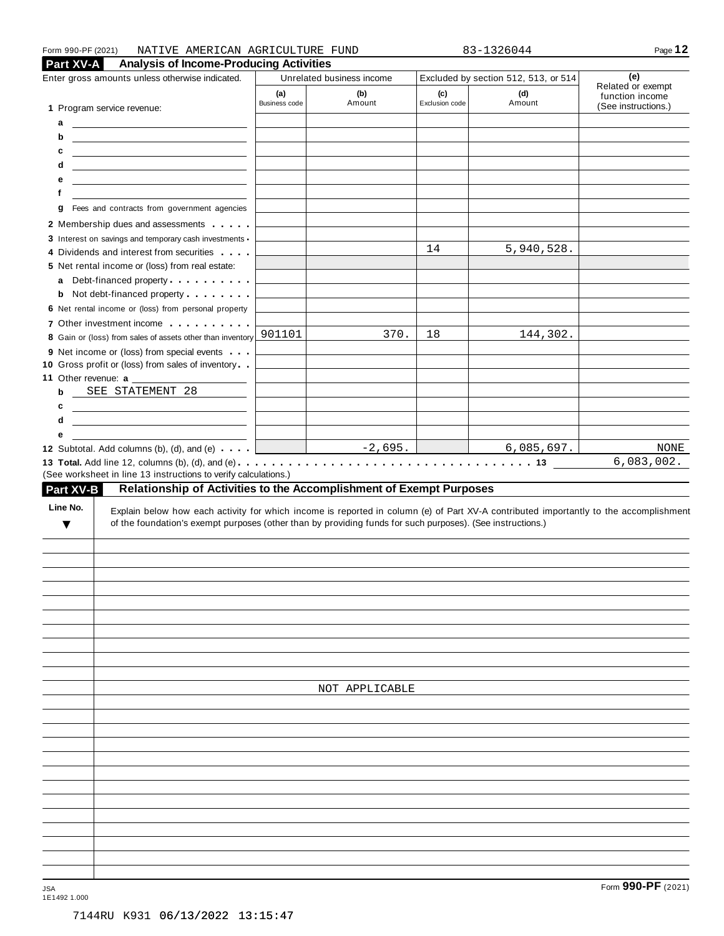| <b>Analysis of Income-Producing Activities</b><br>Part XV-A                                                                                                                                                                                                                                              |                      |                           |                       |                                      |                                        |
|----------------------------------------------------------------------------------------------------------------------------------------------------------------------------------------------------------------------------------------------------------------------------------------------------------|----------------------|---------------------------|-----------------------|--------------------------------------|----------------------------------------|
| Enter gross amounts unless otherwise indicated.                                                                                                                                                                                                                                                          |                      | Unrelated business income |                       | Excluded by section 512, 513, or 514 | (e)<br>Related or exempt               |
| 1 Program service revenue:                                                                                                                                                                                                                                                                               | (a)<br>Business code | (b)<br>Amount             | (c)<br>Exclusion code | (d)<br>Amount                        | function income<br>(See instructions.) |
| а<br><u> Alexandria de la contrada de la contrada de la contrada de la contrada de la contrada de la contrada de la c</u>                                                                                                                                                                                |                      |                           |                       |                                      |                                        |
| b<br><u> 1999 - Johann Harry Harry Harry Harry Harry Harry Harry Harry Harry Harry Harry Harry Harry Harry Harry Harry</u>                                                                                                                                                                               |                      |                           |                       |                                      |                                        |
| с<br><u> 1989 - John Stein, Amerikaansk politiker (</u>                                                                                                                                                                                                                                                  |                      |                           |                       |                                      |                                        |
| d<br><u> 1989 - Johann Harry Harry Harry Harry Harry Harry Harry Harry Harry Harry Harry Harry Harry Harry Harry Harry</u>                                                                                                                                                                               |                      |                           |                       |                                      |                                        |
| е<br><u> 1999 - Johann Harry Harry Harry Harry Harry Harry Harry Harry Harry Harry Harry Harry Harry Harry Harry Harry</u>                                                                                                                                                                               |                      |                           |                       |                                      |                                        |
| f                                                                                                                                                                                                                                                                                                        |                      |                           |                       |                                      |                                        |
| Fees and contracts from government agencies<br>g                                                                                                                                                                                                                                                         |                      |                           |                       |                                      |                                        |
| 2 Membership dues and assessments                                                                                                                                                                                                                                                                        |                      |                           |                       |                                      |                                        |
| 3 Interest on savings and temporary cash investments                                                                                                                                                                                                                                                     |                      |                           |                       |                                      |                                        |
| 4 Dividends and interest from securities                                                                                                                                                                                                                                                                 |                      |                           | 14                    | 5,940,528.                           |                                        |
| 5 Net rental income or (loss) from real estate:                                                                                                                                                                                                                                                          |                      |                           |                       |                                      |                                        |
| Debt-financed property entertainment of the state of<br>a                                                                                                                                                                                                                                                |                      |                           |                       |                                      |                                        |
| Not debt-financed property entitled to the state of<br>b                                                                                                                                                                                                                                                 |                      |                           |                       |                                      |                                        |
| 6 Net rental income or (loss) from personal property                                                                                                                                                                                                                                                     |                      |                           |                       |                                      |                                        |
| 7 Other investment income                                                                                                                                                                                                                                                                                |                      |                           |                       |                                      |                                        |
| 8 Gain or (loss) from sales of assets other than inventory                                                                                                                                                                                                                                               | 901101               | 370.                      | 18                    | 144,302.                             |                                        |
| 9 Net income or (loss) from special events                                                                                                                                                                                                                                                               |                      |                           |                       |                                      |                                        |
| 10 Gross profit or (loss) from sales of inventory                                                                                                                                                                                                                                                        |                      |                           |                       |                                      |                                        |
| 11 Other revenue: a                                                                                                                                                                                                                                                                                      |                      |                           |                       |                                      |                                        |
| SEE STATEMENT 28<br>b                                                                                                                                                                                                                                                                                    |                      |                           |                       |                                      |                                        |
| <u> Alexandria (Carlo Carlo Carlo Carlo Carlo Carlo Carlo Carlo Carlo Carlo Carlo Carlo Carlo Carlo Carlo Carlo Ca</u><br>c                                                                                                                                                                              |                      |                           |                       |                                      |                                        |
| d<br><u> 1989 - Johann Harry Harry Harry Harry Harry Harry Harry Harry Harry Harry Harry Harry Harry Harry Harry Harry</u>                                                                                                                                                                               |                      |                           |                       |                                      |                                        |
| е                                                                                                                                                                                                                                                                                                        |                      |                           |                       |                                      |                                        |
| 12 Subtotal. Add columns (b), (d), and (e) $\cdots$                                                                                                                                                                                                                                                      |                      |                           |                       |                                      |                                        |
| (See worksheet in line 13 instructions to verify calculations.)<br>Relationship of Activities to the Accomplishment of Exempt Purposes<br>Part XV-B<br>Line No.<br>Explain below how each activity for which income is reported in column (e) of Part XV-A contributed importantly to the accomplishment |                      | $-2,695.$                 |                       | 6,085,697.                           |                                        |
| of the foundation's exempt purposes (other than by providing funds for such purposes). (See instructions.)<br>v                                                                                                                                                                                          |                      |                           |                       |                                      |                                        |
|                                                                                                                                                                                                                                                                                                          |                      |                           |                       |                                      |                                        |
|                                                                                                                                                                                                                                                                                                          |                      |                           |                       |                                      | NONE<br>6,083,002.                     |
|                                                                                                                                                                                                                                                                                                          |                      |                           |                       |                                      |                                        |
|                                                                                                                                                                                                                                                                                                          |                      |                           |                       |                                      |                                        |
|                                                                                                                                                                                                                                                                                                          |                      |                           |                       |                                      |                                        |
|                                                                                                                                                                                                                                                                                                          |                      |                           |                       |                                      |                                        |
|                                                                                                                                                                                                                                                                                                          |                      |                           |                       |                                      |                                        |
|                                                                                                                                                                                                                                                                                                          |                      |                           |                       |                                      |                                        |
|                                                                                                                                                                                                                                                                                                          |                      |                           |                       |                                      |                                        |
|                                                                                                                                                                                                                                                                                                          |                      |                           |                       |                                      |                                        |
|                                                                                                                                                                                                                                                                                                          |                      | NOT APPLICABLE            |                       |                                      |                                        |
|                                                                                                                                                                                                                                                                                                          |                      |                           |                       |                                      |                                        |
|                                                                                                                                                                                                                                                                                                          |                      |                           |                       |                                      |                                        |
|                                                                                                                                                                                                                                                                                                          |                      |                           |                       |                                      |                                        |
|                                                                                                                                                                                                                                                                                                          |                      |                           |                       |                                      |                                        |
|                                                                                                                                                                                                                                                                                                          |                      |                           |                       |                                      |                                        |
|                                                                                                                                                                                                                                                                                                          |                      |                           |                       |                                      |                                        |
|                                                                                                                                                                                                                                                                                                          |                      |                           |                       |                                      |                                        |
|                                                                                                                                                                                                                                                                                                          |                      |                           |                       |                                      |                                        |
|                                                                                                                                                                                                                                                                                                          |                      |                           |                       |                                      |                                        |
|                                                                                                                                                                                                                                                                                                          |                      |                           |                       |                                      |                                        |
|                                                                                                                                                                                                                                                                                                          |                      |                           |                       |                                      |                                        |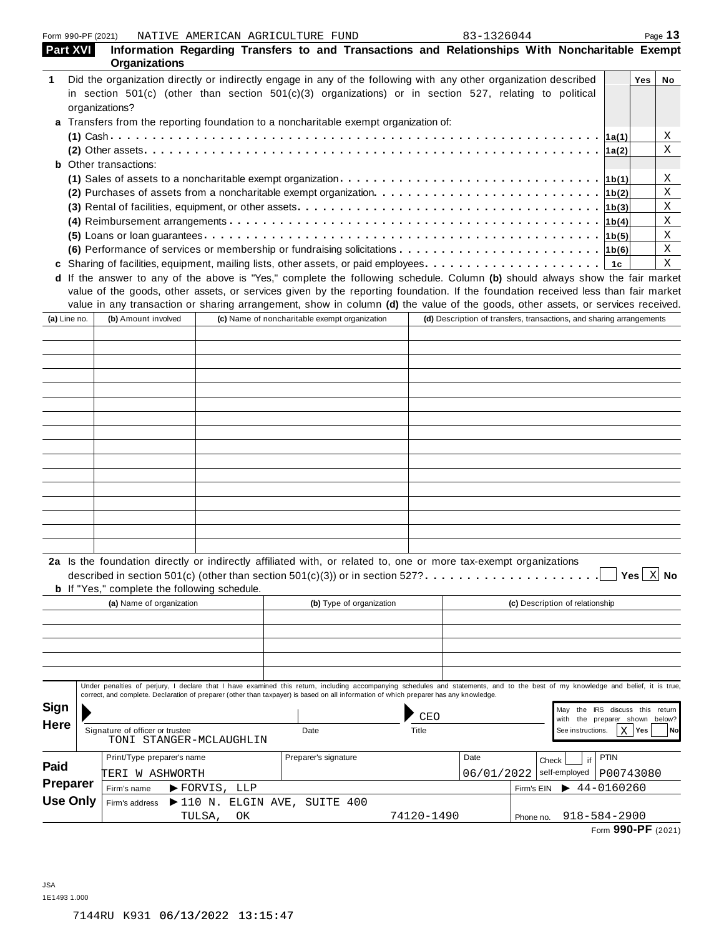| Form 990-PF (2021) |                 |                                                                                                                                                                                                                                                                                                                           | NATIVE AMERICAN AGRICULTURE FUND                  |      |                                               |            | 83-1326044                                                           |            |                                  |                                                          | Page 13                     |
|--------------------|-----------------|---------------------------------------------------------------------------------------------------------------------------------------------------------------------------------------------------------------------------------------------------------------------------------------------------------------------------|---------------------------------------------------|------|-----------------------------------------------|------------|----------------------------------------------------------------------|------------|----------------------------------|----------------------------------------------------------|-----------------------------|
| Part XVI           |                 | Information Regarding Transfers to and Transactions and Relationships With Noncharitable Exempt<br>Organizations                                                                                                                                                                                                          |                                                   |      |                                               |            |                                                                      |            |                                  |                                                          |                             |
|                    |                 | Did the organization directly or indirectly engage in any of the following with any other organization described                                                                                                                                                                                                          |                                                   |      |                                               |            |                                                                      |            |                                  | Yes                                                      | No                          |
|                    |                 | in section 501(c) (other than section 501(c)(3) organizations) or in section 527, relating to political                                                                                                                                                                                                                   |                                                   |      |                                               |            |                                                                      |            |                                  |                                                          |                             |
|                    |                 | organizations?                                                                                                                                                                                                                                                                                                            |                                                   |      |                                               |            |                                                                      |            |                                  |                                                          |                             |
|                    |                 | a Transfers from the reporting foundation to a noncharitable exempt organization of:                                                                                                                                                                                                                                      |                                                   |      |                                               |            |                                                                      |            |                                  |                                                          |                             |
|                    |                 |                                                                                                                                                                                                                                                                                                                           |                                                   |      |                                               |            |                                                                      |            |                                  |                                                          | X                           |
|                    |                 |                                                                                                                                                                                                                                                                                                                           |                                                   |      |                                               |            |                                                                      |            |                                  | 1a(2)                                                    | Χ                           |
|                    |                 | <b>b</b> Other transactions:                                                                                                                                                                                                                                                                                              |                                                   |      |                                               |            |                                                                      |            |                                  |                                                          |                             |
|                    |                 | (1) Sales of assets to a noncharitable exempt organization $\cdots \cdots \cdots \cdots \cdots \cdots \cdots \cdots \cdots \cdots$                                                                                                                                                                                        |                                                   |      |                                               |            |                                                                      |            |                                  |                                                          | Χ                           |
|                    |                 | (2) Purchases of assets from a noncharitable exempt organization $\cdots \cdots \cdots \cdots \cdots \cdots \cdots \cdots$                                                                                                                                                                                                |                                                   |      |                                               |            |                                                                      |            |                                  |                                                          | Χ                           |
|                    |                 |                                                                                                                                                                                                                                                                                                                           |                                                   |      |                                               |            |                                                                      |            |                                  |                                                          | X                           |
|                    |                 |                                                                                                                                                                                                                                                                                                                           |                                                   |      |                                               |            |                                                                      |            |                                  |                                                          | X                           |
|                    |                 |                                                                                                                                                                                                                                                                                                                           |                                                   |      |                                               |            |                                                                      |            |                                  |                                                          | X                           |
|                    |                 | (6) Performance of services or membership or fundraising solicitations $\cdots \cdots \cdots \cdots \cdots \cdots \cdots$                                                                                                                                                                                                 |                                                   |      |                                               |            |                                                                      |            |                                  |                                                          | Χ                           |
|                    |                 |                                                                                                                                                                                                                                                                                                                           |                                                   |      |                                               |            |                                                                      |            |                                  |                                                          | Χ                           |
|                    |                 | d If the answer to any of the above is "Yes," complete the following schedule. Column (b) should always show the fair market                                                                                                                                                                                              |                                                   |      |                                               |            |                                                                      |            |                                  |                                                          |                             |
|                    |                 | value of the goods, other assets, or services given by the reporting foundation. If the foundation received less than fair market<br>value in any transaction or sharing arrangement, show in column (d) the value of the goods, other assets, or services received.                                                      |                                                   |      |                                               |            |                                                                      |            |                                  |                                                          |                             |
| (a) Line no.       |                 | (b) Amount involved                                                                                                                                                                                                                                                                                                       |                                                   |      | (c) Name of noncharitable exempt organization |            | (d) Description of transfers, transactions, and sharing arrangements |            |                                  |                                                          |                             |
|                    |                 |                                                                                                                                                                                                                                                                                                                           |                                                   |      |                                               |            |                                                                      |            |                                  |                                                          |                             |
|                    |                 |                                                                                                                                                                                                                                                                                                                           |                                                   |      |                                               |            |                                                                      |            |                                  |                                                          |                             |
|                    |                 |                                                                                                                                                                                                                                                                                                                           |                                                   |      |                                               |            |                                                                      |            |                                  |                                                          |                             |
|                    |                 |                                                                                                                                                                                                                                                                                                                           |                                                   |      |                                               |            |                                                                      |            |                                  |                                                          |                             |
|                    |                 |                                                                                                                                                                                                                                                                                                                           |                                                   |      |                                               |            |                                                                      |            |                                  |                                                          |                             |
|                    |                 |                                                                                                                                                                                                                                                                                                                           |                                                   |      |                                               |            |                                                                      |            |                                  |                                                          |                             |
|                    |                 |                                                                                                                                                                                                                                                                                                                           |                                                   |      |                                               |            |                                                                      |            |                                  |                                                          |                             |
|                    |                 |                                                                                                                                                                                                                                                                                                                           |                                                   |      |                                               |            |                                                                      |            |                                  |                                                          |                             |
|                    |                 |                                                                                                                                                                                                                                                                                                                           |                                                   |      |                                               |            |                                                                      |            |                                  |                                                          |                             |
|                    |                 |                                                                                                                                                                                                                                                                                                                           |                                                   |      |                                               |            |                                                                      |            |                                  |                                                          |                             |
|                    |                 |                                                                                                                                                                                                                                                                                                                           |                                                   |      |                                               |            |                                                                      |            |                                  |                                                          |                             |
|                    |                 |                                                                                                                                                                                                                                                                                                                           |                                                   |      |                                               |            |                                                                      |            |                                  |                                                          |                             |
|                    |                 |                                                                                                                                                                                                                                                                                                                           |                                                   |      |                                               |            |                                                                      |            |                                  |                                                          |                             |
|                    |                 |                                                                                                                                                                                                                                                                                                                           |                                                   |      |                                               |            |                                                                      |            |                                  |                                                          |                             |
|                    |                 |                                                                                                                                                                                                                                                                                                                           |                                                   |      |                                               |            |                                                                      |            |                                  |                                                          |                             |
|                    |                 |                                                                                                                                                                                                                                                                                                                           |                                                   |      |                                               |            |                                                                      |            |                                  |                                                          |                             |
|                    |                 |                                                                                                                                                                                                                                                                                                                           |                                                   |      |                                               |            |                                                                      |            |                                  |                                                          |                             |
|                    |                 | 2a Is the foundation directly or indirectly affiliated with, or related to, one or more tax-exempt organizations<br>described in section 501(c) (other than section 501(c)(3)) or in section 527? $\ldots$<br><b>b</b> If "Yes," complete the following schedule.                                                         |                                                   |      |                                               |            |                                                                      |            |                                  |                                                          | Yes $\boxed{\mathbf{X}}$ No |
|                    |                 | (a) Name of organization                                                                                                                                                                                                                                                                                                  |                                                   |      | (b) Type of organization                      |            |                                                                      |            | (c) Description of relationship  |                                                          |                             |
|                    |                 |                                                                                                                                                                                                                                                                                                                           |                                                   |      |                                               |            |                                                                      |            |                                  |                                                          |                             |
|                    |                 |                                                                                                                                                                                                                                                                                                                           |                                                   |      |                                               |            |                                                                      |            |                                  |                                                          |                             |
|                    |                 |                                                                                                                                                                                                                                                                                                                           |                                                   |      |                                               |            |                                                                      |            |                                  |                                                          |                             |
|                    |                 |                                                                                                                                                                                                                                                                                                                           |                                                   |      |                                               |            |                                                                      |            |                                  |                                                          |                             |
|                    |                 | Under penalties of perjury, I declare that I have examined this return, including accompanying schedules and statements, and to the best of my knowledge and belief, it is true,<br>correct, and complete. Declaration of preparer (other than taxpayer) is based on all information of which preparer has any knowledge. |                                                   |      |                                               |            |                                                                      |            |                                  |                                                          |                             |
| <b>Sign</b>        |                 |                                                                                                                                                                                                                                                                                                                           |                                                   |      |                                               |            |                                                                      |            |                                  |                                                          |                             |
|                    |                 |                                                                                                                                                                                                                                                                                                                           |                                                   |      |                                               | CEO        |                                                                      |            | May<br>with                      | the IRS discuss this return<br>the preparer shown below? |                             |
| <b>Here</b>        |                 | Signature of officer or trustee                                                                                                                                                                                                                                                                                           |                                                   | Date |                                               | Title      |                                                                      |            | See instructions.                | $X$   Yes                                                | No                          |
|                    |                 | TONI STANGER-MCLAUGHLIN                                                                                                                                                                                                                                                                                                   |                                                   |      |                                               |            |                                                                      |            |                                  |                                                          |                             |
|                    |                 | Print/Type preparer's name                                                                                                                                                                                                                                                                                                |                                                   |      | Preparer's signature                          |            | Date                                                                 | Check      | if                               | <b>PTIN</b>                                              |                             |
| Paid               |                 | TERI W ASHWORTH                                                                                                                                                                                                                                                                                                           |                                                   |      |                                               |            | 06/01/2022                                                           |            | self-employed                    | P00743080                                                |                             |
| <b>Preparer</b>    |                 |                                                                                                                                                                                                                                                                                                                           |                                                   |      |                                               |            |                                                                      |            | $\blacktriangleright$ 44-0160260 |                                                          |                             |
|                    | <b>Use Only</b> | Firm's name                                                                                                                                                                                                                                                                                                               | $\blacktriangleright$ FORVIS, LLP                 |      |                                               |            |                                                                      | Firm's EIN |                                  |                                                          |                             |
|                    |                 | Firm's address                                                                                                                                                                                                                                                                                                            | $\blacktriangleright$ 110 N. ELGIN AVE, SUITE 400 |      |                                               |            |                                                                      |            |                                  |                                                          |                             |
|                    |                 |                                                                                                                                                                                                                                                                                                                           | TULSA,<br>ΟK                                      |      |                                               | 74120-1490 |                                                                      | Phone no.  | $918 - 584 - 2900$               |                                                          |                             |

Form **990-PF** (2021)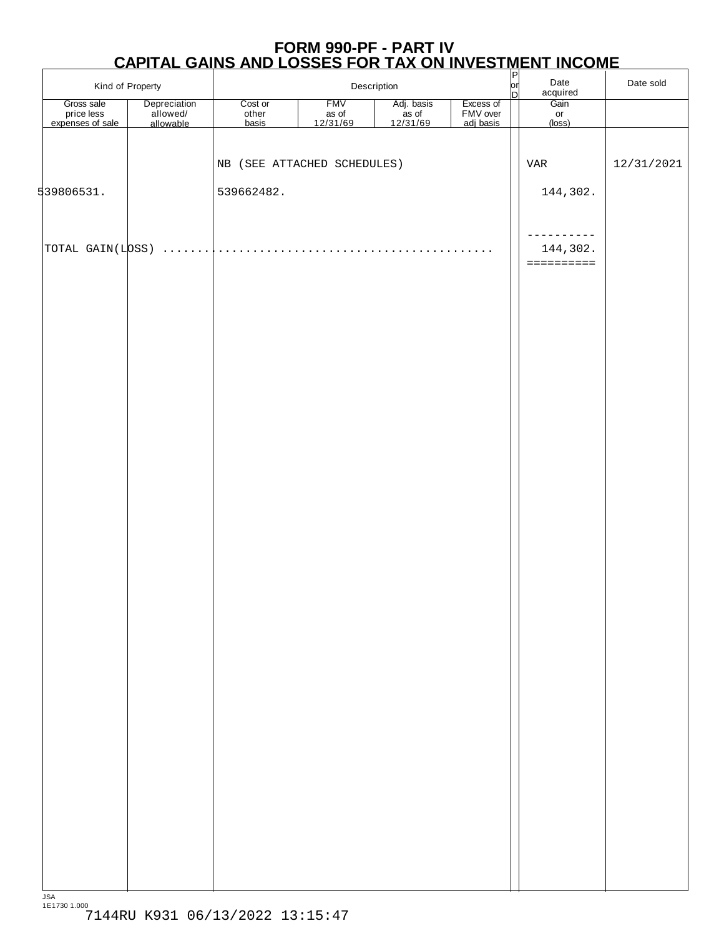## **FORM 990-PF - PART IV CAPITAL GAINS AND LOSSES FOR TAX ON INVESTMENT INCOME** P

|                                              | Kind of Property                      | Description               |                                 |                                   |                                    | $\frac{P}{P}$ | Date<br>acquired      | Date sold  |
|----------------------------------------------|---------------------------------------|---------------------------|---------------------------------|-----------------------------------|------------------------------------|---------------|-----------------------|------------|
| Gross sale<br>price less<br>expenses of sale | Depreciation<br>allowed/<br>allowable | Cost or<br>other<br>basis | <b>FMV</b><br>as of<br>12/31/69 | Adj. basis<br>as of<br>$12/31/69$ | Excess of<br>FMV over<br>adj basis |               | Gain<br>or<br>(loss)  |            |
|                                              |                                       |                           |                                 |                                   |                                    |               |                       |            |
|                                              |                                       |                           | NB (SEE ATTACHED SCHEDULES)     |                                   |                                    |               | VAR                   | 12/31/2021 |
| 539806531.                                   |                                       | 539662482.                |                                 |                                   |                                    |               | 144, 302.             |            |
|                                              |                                       |                           |                                 |                                   |                                    |               |                       |            |
|                                              |                                       |                           |                                 |                                   |                                    |               | ---------<br>144,302. |            |
|                                              |                                       |                           |                                 |                                   |                                    |               | ==========            |            |
|                                              |                                       |                           |                                 |                                   |                                    |               |                       |            |
|                                              |                                       |                           |                                 |                                   |                                    |               |                       |            |
|                                              |                                       |                           |                                 |                                   |                                    |               |                       |            |
|                                              |                                       |                           |                                 |                                   |                                    |               |                       |            |
|                                              |                                       |                           |                                 |                                   |                                    |               |                       |            |
|                                              |                                       |                           |                                 |                                   |                                    |               |                       |            |
|                                              |                                       |                           |                                 |                                   |                                    |               |                       |            |
|                                              |                                       |                           |                                 |                                   |                                    |               |                       |            |
|                                              |                                       |                           |                                 |                                   |                                    |               |                       |            |
|                                              |                                       |                           |                                 |                                   |                                    |               |                       |            |
|                                              |                                       |                           |                                 |                                   |                                    |               |                       |            |
|                                              |                                       |                           |                                 |                                   |                                    |               |                       |            |
|                                              |                                       |                           |                                 |                                   |                                    |               |                       |            |
|                                              |                                       |                           |                                 |                                   |                                    |               |                       |            |
|                                              |                                       |                           |                                 |                                   |                                    |               |                       |            |
|                                              |                                       |                           |                                 |                                   |                                    |               |                       |            |
|                                              |                                       |                           |                                 |                                   |                                    |               |                       |            |
|                                              |                                       |                           |                                 |                                   |                                    |               |                       |            |
|                                              |                                       |                           |                                 |                                   |                                    |               |                       |            |
|                                              |                                       |                           |                                 |                                   |                                    |               |                       |            |
|                                              |                                       |                           |                                 |                                   |                                    |               |                       |            |
|                                              |                                       |                           |                                 |                                   |                                    |               |                       |            |
|                                              |                                       |                           |                                 |                                   |                                    |               |                       |            |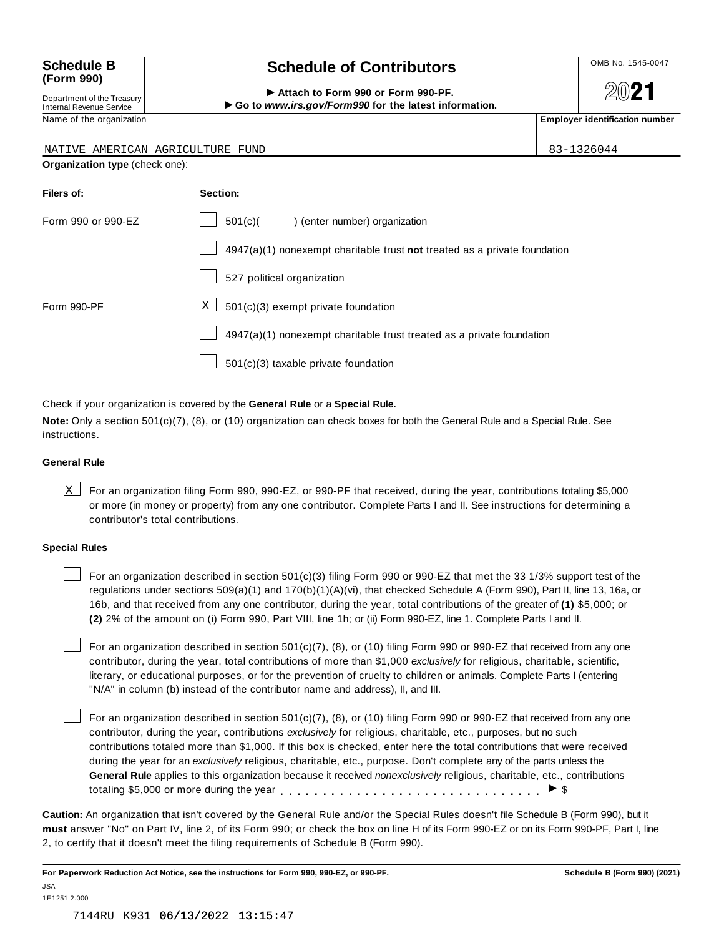## **(Form 990)**

Department of the Treasury<br>Internal Revenue Service

## Schedule B  $\left\{\n\begin{array}{c}\n\text{OnB No. 1545-0047}\n\end{array}\n\right\}$

**2021** 

 $\text{Department of the Treasury}\n\begin{array}{r|l}\n\text{Department of the Treasury}\n\end{array}\n\begin{array}{r|l}\n\end{array}\n\begin{array}{r|l}\n\end{array}\n\begin{array}{r|l}\n\end{array}\n\begin{array}{r|l}\n\end{array}\n\begin{array}{r|l}\n\end{array}\n\end{array}\n\begin{array}{r|l}\n\end{array}\n\begin{array}{r|l}\n\end{array}\n\begin{array}{r|l}\n\end{array}\n\end{array}\n\begin{array}{r|l}\n\end{array}\n\begin{array}{r|l}\n\end{array}\n\end{array}\n\begin{array}{r|l$ 

| NATIVE AMERICAN AGRICULTURE    | 83-1326044                                                                  |  |  |  |  |
|--------------------------------|-----------------------------------------------------------------------------|--|--|--|--|
| Organization type (check one): |                                                                             |  |  |  |  |
| Filers of:                     | Section:                                                                    |  |  |  |  |
| Form 990 or 990-EZ             | 501(c)(<br>) (enter number) organization                                    |  |  |  |  |
|                                | $4947(a)(1)$ nonexempt charitable trust not treated as a private foundation |  |  |  |  |
|                                | 527 political organization                                                  |  |  |  |  |
| Form 990-PF                    | 501(c)(3) exempt private foundation<br>X <sub>1</sub>                       |  |  |  |  |
|                                | 4947(a)(1) nonexempt charitable trust treated as a private foundation       |  |  |  |  |
|                                | $501(c)(3)$ taxable private foundation                                      |  |  |  |  |

Check if your organization is covered by the **General Rule** or a **Special Rule.**

**Note:** Only a section 501(c)(7), (8), or (10) organization can check boxes for both the General Rule and a Special Rule. See instructions.

#### **General Rule**

 $\times$  For an organization filing Form 990, 990-EZ, or 990-PF that received, during the year, contributions totaling \$5,000 or more (in money or property) from any one contributor. Complete Parts I and II. See instructions for determining a contributor's total contributions.

#### **Special Rules**

For an organization described in section 501(c)(3) filing Form 990 or 990-EZ that met the 33 1/3% support test of the regulations under sections 509(a)(1) and 170(b)(1)(A)(vi), that checked Schedule A (Form 990), Part II, line 13, 16a, or 16b, and that received from any one contributor, during the year, total contributions of the greater of **(1)** \$5,000; or **(2)** 2% of the amount on (i) Form 990, Part VIII, line 1h; or (ii) Form 990-EZ, line 1. Complete Parts I and II.

For an organization described in section 501(c)(7), (8), or (10) filing Form 990 or 990-EZ that received from any one contributor, during the year, total contributions of more than \$1,000 *exclusively* for religious, charitable, scientific, literary, or educational purposes, or for the prevention of cruelty to children or animals. Complete Parts I (entering "N/A" in column (b) instead of the contributor name and address), II, and III.

For an organization described in section 501(c)(7), (8), or (10) filing Form 990 or 990-EZ that received from any one contributor, during the year, contributions *exclusively* for religious, charitable, etc., purposes, but no such contributions totaled more than \$1,000. If this box is checked, enter here the total contributions that were received during the year for an *exclusively* religious, charitable, etc., purpose. Don't complete any of the parts unless the **General Rule** applies to this organization because it received *nonexclusively* religious, charitable, etc., contributions totaling \$5,000 or more during the year  $\ldots \ldots \ldots \ldots \ldots \ldots \ldots \ldots \ldots \vdots$ 

**Caution:** An organization that isn't covered by the General Rule and/or the Special Rules doesn't file Schedule B (Form 990), but it **must** answer "No" on Part IV, line 2, of its Form 990; or check the box on line H of its Form 990-EZ or on its Form 990-PF, Part I, line 2, to certify that it doesn't meet the filing requirements of Schedule B (Form 990).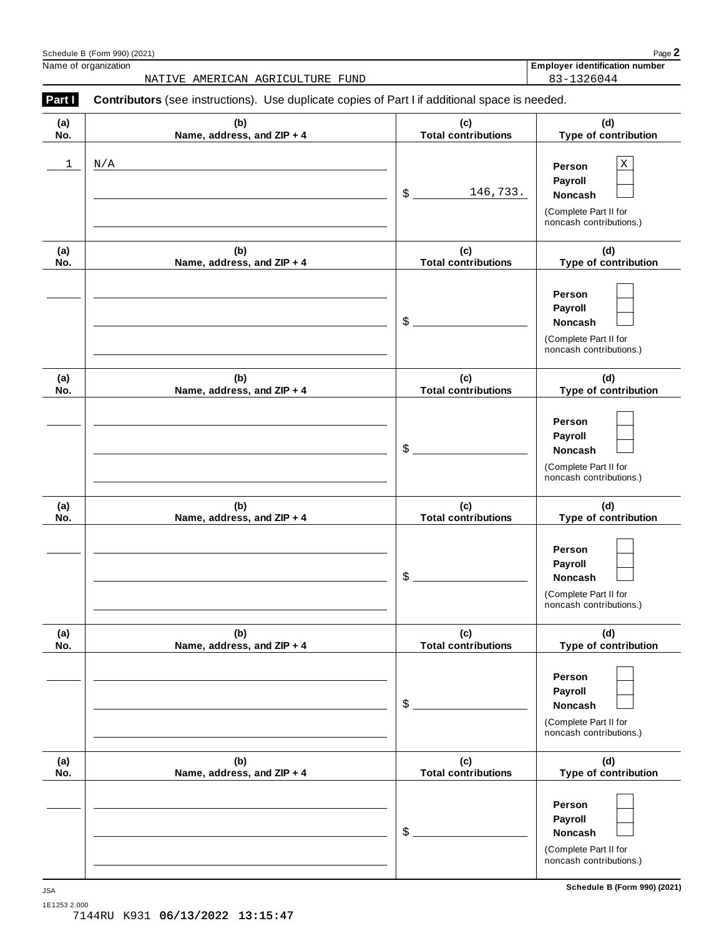|            | NATIVE AMERICAN AGRICULTURE FUND                                                               |                                   | 83-1326044                                                                                             |
|------------|------------------------------------------------------------------------------------------------|-----------------------------------|--------------------------------------------------------------------------------------------------------|
| Part I     | Contributors (see instructions). Use duplicate copies of Part I if additional space is needed. |                                   |                                                                                                        |
| (a)<br>No. | (b)<br>Name, address, and ZIP + 4                                                              | (c)<br><b>Total contributions</b> | (d)<br>Type of contribution                                                                            |
| 1          | N/A                                                                                            | \$<br>146,733.                    | $\mathbf X$<br>Person<br>Payroll<br><b>Noncash</b><br>(Complete Part II for<br>noncash contributions.) |
| (a)<br>No. | (b)<br>Name, address, and ZIP + 4                                                              | (c)<br><b>Total contributions</b> | (d)<br>Type of contribution                                                                            |
|            |                                                                                                | \$                                | Person<br>Payroll<br><b>Noncash</b><br>(Complete Part II for<br>noncash contributions.)                |
| (a)<br>No. | (b)<br>Name, address, and ZIP + 4                                                              | (c)<br><b>Total contributions</b> | (d)<br>Type of contribution                                                                            |
|            |                                                                                                | \$                                | Person<br>Payroll<br><b>Noncash</b><br>(Complete Part II for<br>noncash contributions.)                |
| (a)<br>No. | (b)<br>Name, address, and ZIP + 4                                                              | (c)<br><b>Total contributions</b> | (d)<br>Type of contribution                                                                            |
|            |                                                                                                | \$                                | Person<br>Payroll<br><b>Noncash</b><br>(Complete Part II for<br>noncash contributions.)                |
| (a)<br>No. | (b)<br>Name, address, and ZIP + 4                                                              | (c)<br><b>Total contributions</b> | (d)<br>Type of contribution                                                                            |
|            |                                                                                                | \$                                | Person<br>Payroll<br>Noncash<br>(Complete Part II for<br>noncash contributions.)                       |
| (a)<br>No. | (b)<br>Name, address, and ZIP + 4                                                              | (c)<br><b>Total contributions</b> | (d)<br>Type of contribution                                                                            |
|            |                                                                                                | \$                                | Person<br>Payroll<br>Noncash<br>(Complete Part II for<br>noncash contributions.)                       |

| Name<br>$\sim$<br>organization<br>υ<br>. . | $- - -$<br>identification.<br>numbe<br>ulover. |
|--------------------------------------------|------------------------------------------------|
|                                            | .                                              |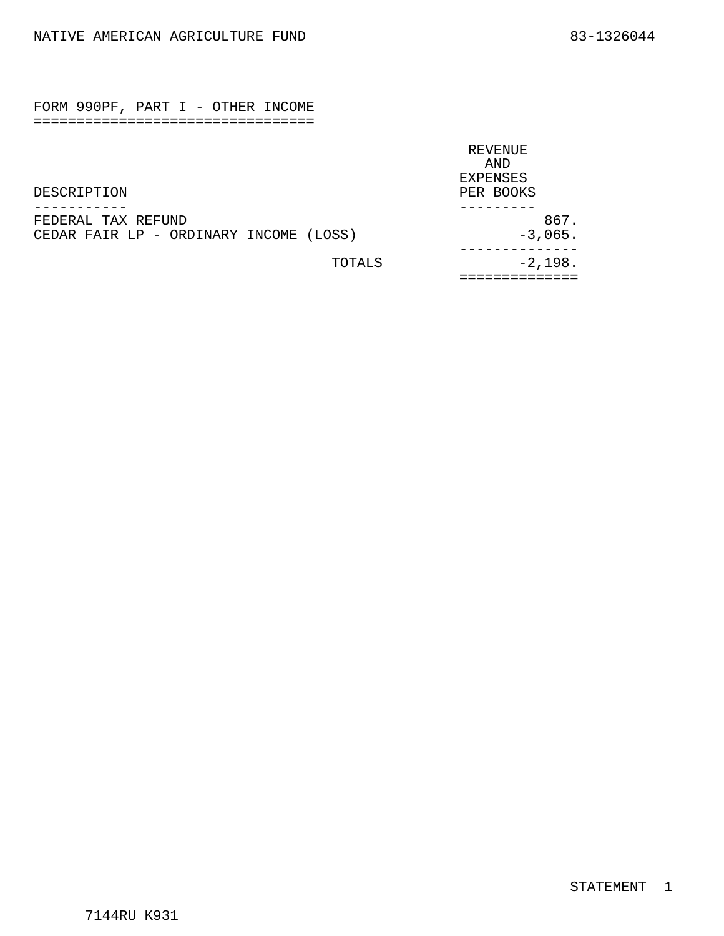<span id="page-16-0"></span>FORM 990PF, PART I - OTHER INCOME =================================

|                                        | REVENUE         |
|----------------------------------------|-----------------|
|                                        | AND             |
|                                        | <b>EXPENSES</b> |
| DESCRIPTION                            | PER BOOKS       |
|                                        |                 |
| FEDERAL TAX REFUND                     | 867.            |
| CEDAR FAIR LP - ORDINARY INCOME (LOSS) | $-3,065.$       |
| TOTALS                                 | $-2,198.$       |
|                                        |                 |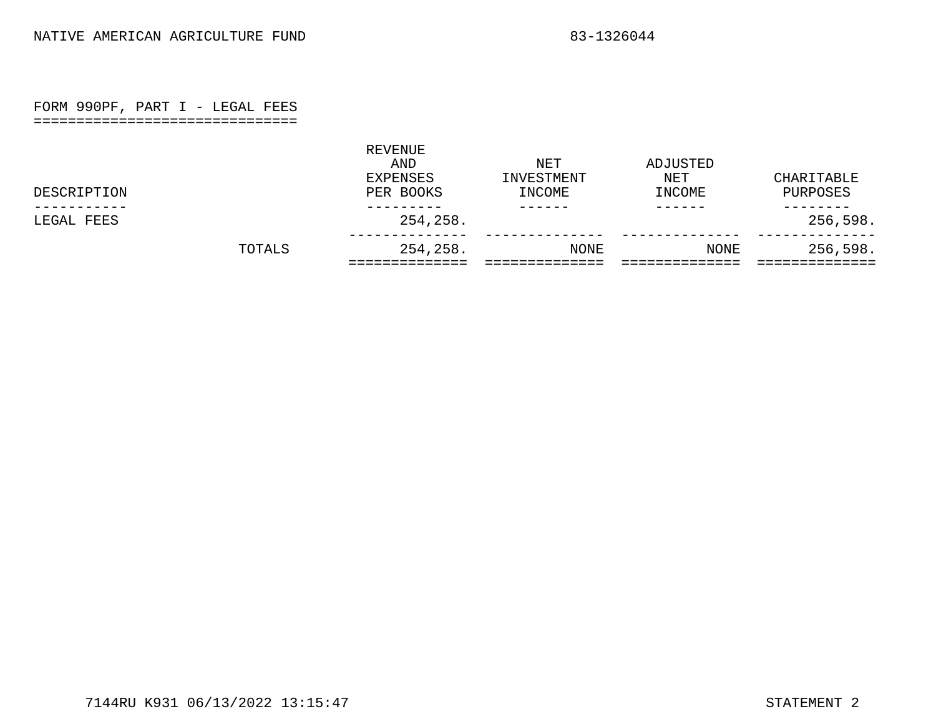### FORM 990PF, PART I - LEGAL FEES

===============================

<span id="page-17-0"></span>

|             | TOTALS | 254,258.                                | NONE                        | NONE                      | 256,598.               |
|-------------|--------|-----------------------------------------|-----------------------------|---------------------------|------------------------|
| LEGAL FEES  |        | 254,258.                                |                             |                           | 256,598.               |
| DESCRIPTION |        | REVENUE<br>AND<br>EXPENSES<br>PER BOOKS | NET<br>INVESTMENT<br>INCOME | ADJUSTED<br>NET<br>INCOME | CHARITABLE<br>PURPOSES |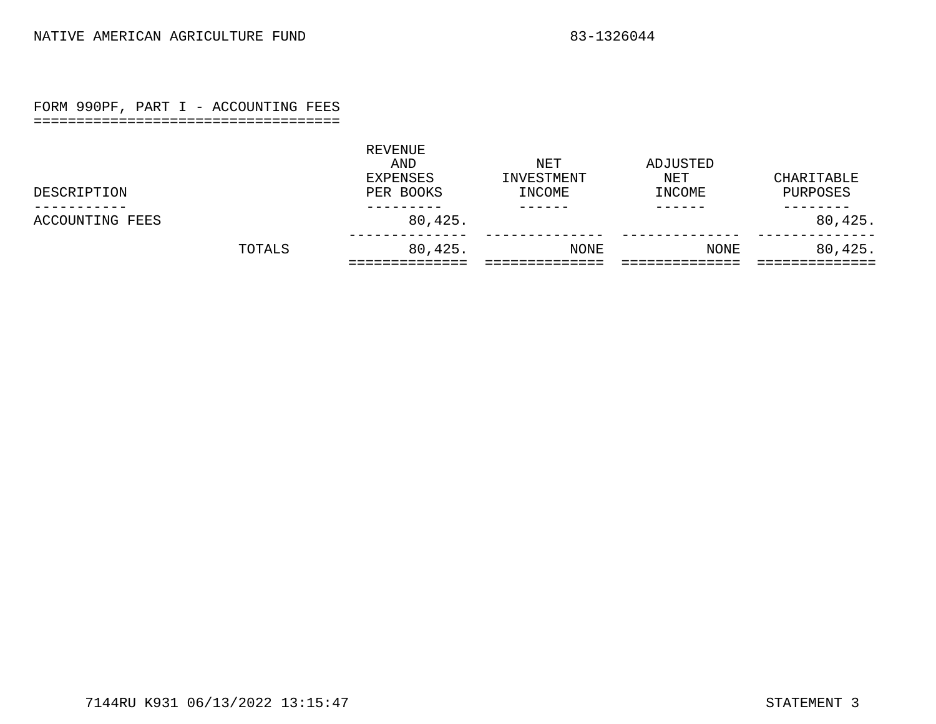### FORM 990PF, PART I - ACCOUNTING FEES

#### ====================================

<span id="page-18-0"></span>

|                 | TOTALS | 80,425.                                 | NONE                        | NONE                      | 80,425.                |
|-----------------|--------|-----------------------------------------|-----------------------------|---------------------------|------------------------|
| ACCOUNTING FEES |        | 80,425.                                 |                             |                           | 80,425.                |
| DESCRIPTION     |        | REVENUE<br>AND<br>EXPENSES<br>PER BOOKS | NET<br>INVESTMENT<br>INCOME | ADJUSTED<br>NET<br>INCOME | CHARITABLE<br>PURPOSES |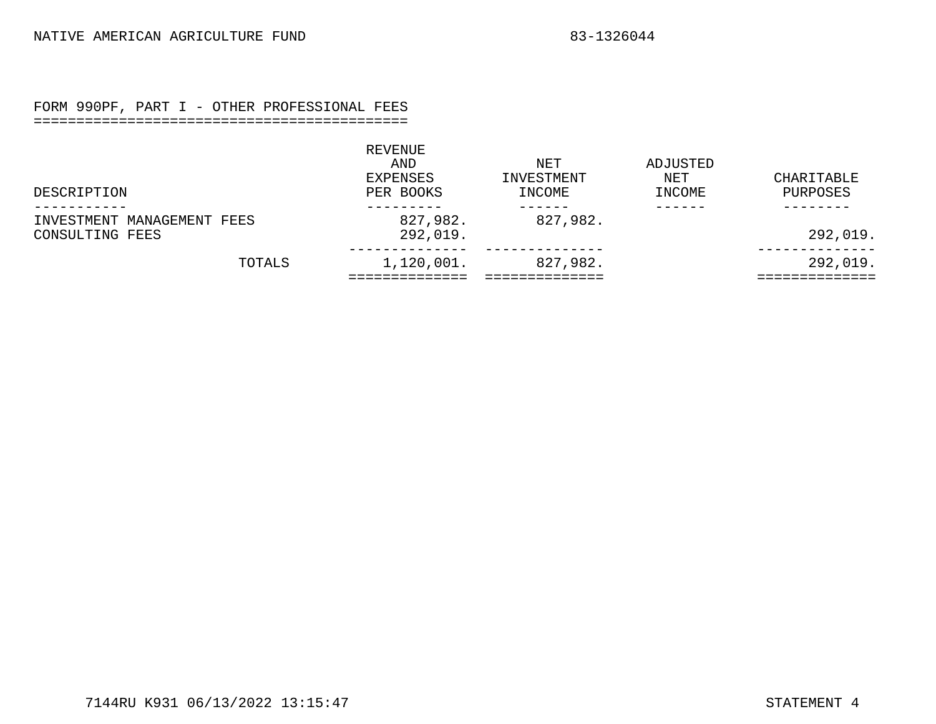#### FORM 990PF, PART I - OTHER PROFESSIONAL FEES

#### ============================================

<span id="page-19-0"></span>

|                                               | REVENUE<br>AND<br>EXPENSES | NET<br>INVESTMENT | ADJUSTED<br>NET | CHARITABLE |
|-----------------------------------------------|----------------------------|-------------------|-----------------|------------|
| DESCRIPTION                                   | PER BOOKS                  | INCOME            | INCOME          | PURPOSES   |
| INVESTMENT MANAGEMENT FEES<br>CONSULTING FEES | 827,982.<br>292,019.       | 827,982.          |                 | 292,019.   |
| TOTALS                                        | 1,120,001.                 | 827,982.          |                 | 292,019.   |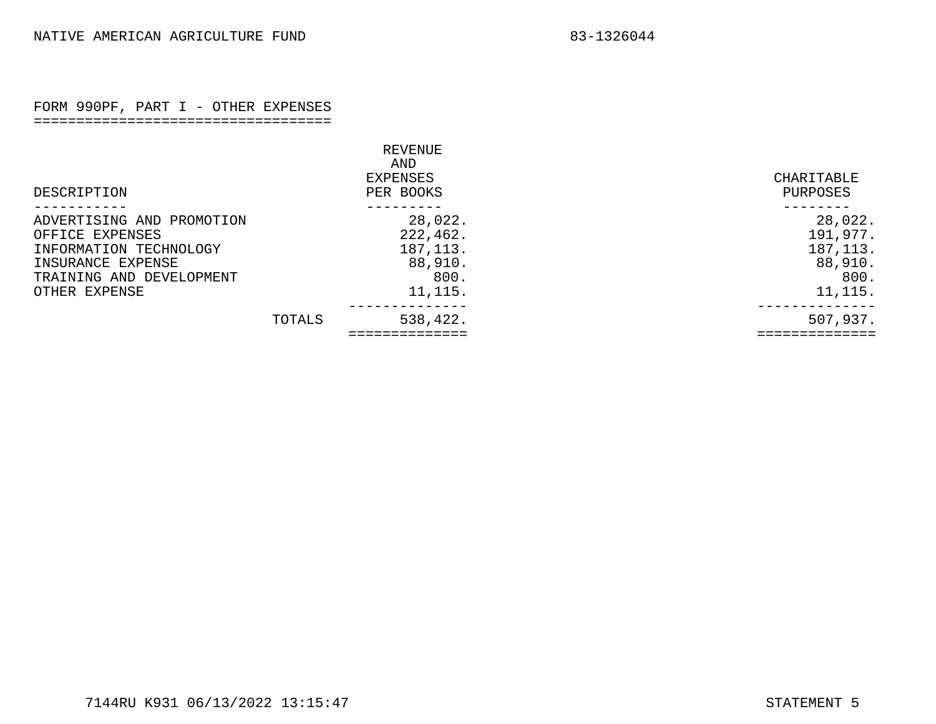#### FORM 990PF, PART I - OTHER EXPENSES ===================================

<span id="page-20-0"></span>

|                           |        | <b>REVENUE</b>               |                        |
|---------------------------|--------|------------------------------|------------------------|
| DESCRIPTION               |        | AND<br>EXPENSES<br>PER BOOKS | CHARITABLE<br>PURPOSES |
| ADVERTISING AND PROMOTION |        | 28,022.                      | 28,022.                |
| OFFICE EXPENSES           |        | 222,462.                     | 191,977.               |
| INFORMATION TECHNOLOGY    |        | 187, 113.                    | 187, 113.              |
| INSURANCE EXPENSE         |        | 88,910.                      | 88,910.                |
| TRAINING AND DEVELOPMENT  |        | 800.                         | 800.                   |
| OTHER EXPENSE             |        | 11, 115.                     | 11, 115.               |
|                           | TOTALS | 538,422.                     | 507,937.               |
|                           |        |                              |                        |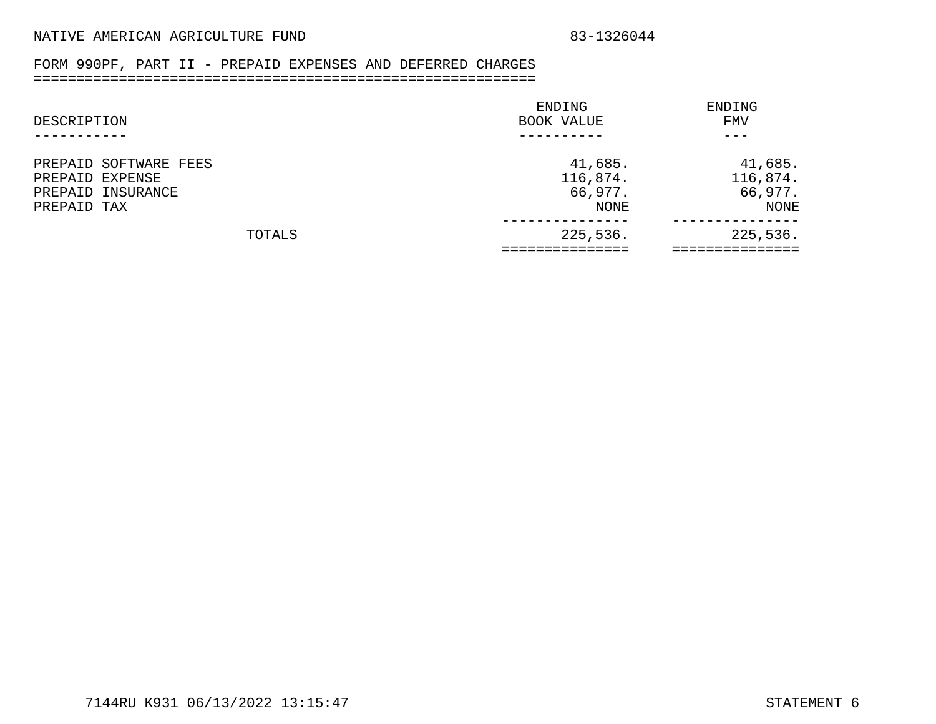## FORM 990PF, PART II - PREPAID EXPENSES AND DEFERRED CHARGES

## ===========================================================

<span id="page-21-0"></span>

| ENDING     | ENDING   |
|------------|----------|
| BOOK VALUE | FMV      |
|            |          |
| 41,685.    | 41,685.  |
| 116,874.   | 116,874. |
| 66,977.    | 66,977.  |
| NONE       | NONE     |
| 225,536.   | 225,536. |
|            |          |
|            |          |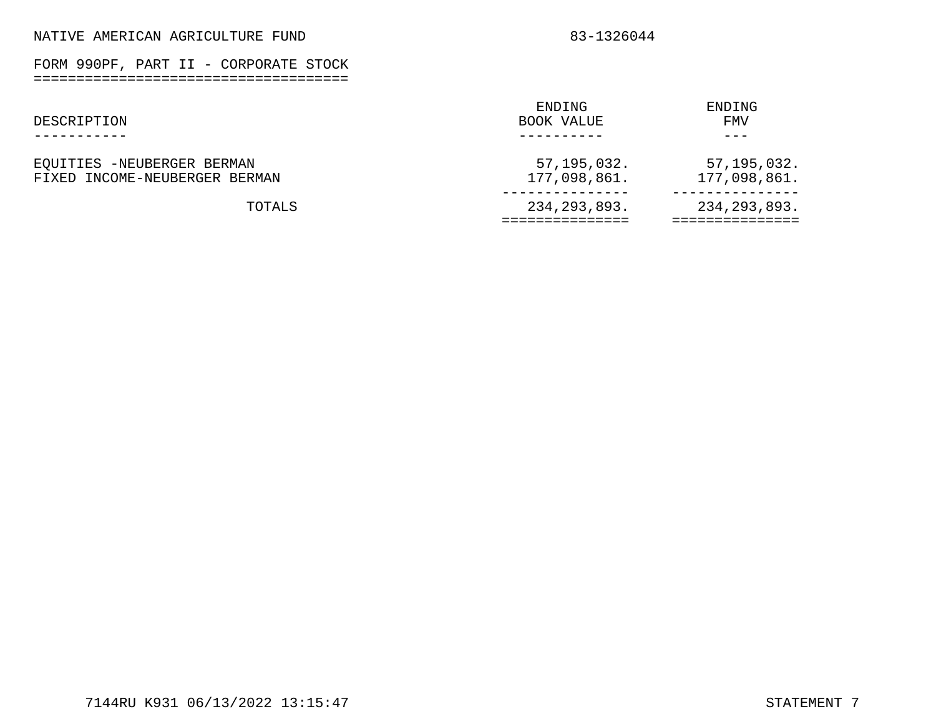FORM 990PF, PART II - CORPORATE STOCK =====================================

<span id="page-22-0"></span>

|                               | ENDING         | ENDING         |
|-------------------------------|----------------|----------------|
| DESCRIPTION                   | BOOK VALUE     | FMV            |
|                               |                | - - -          |
| EQUITIES -NEUBERGER BERMAN    | 57,195,032.    | 57,195,032.    |
| FIXED INCOME-NEUBERGER BERMAN | 177,098,861.   | 177,098,861.   |
| TOTALS                        | 234, 293, 893. | 234, 293, 893. |
|                               |                |                |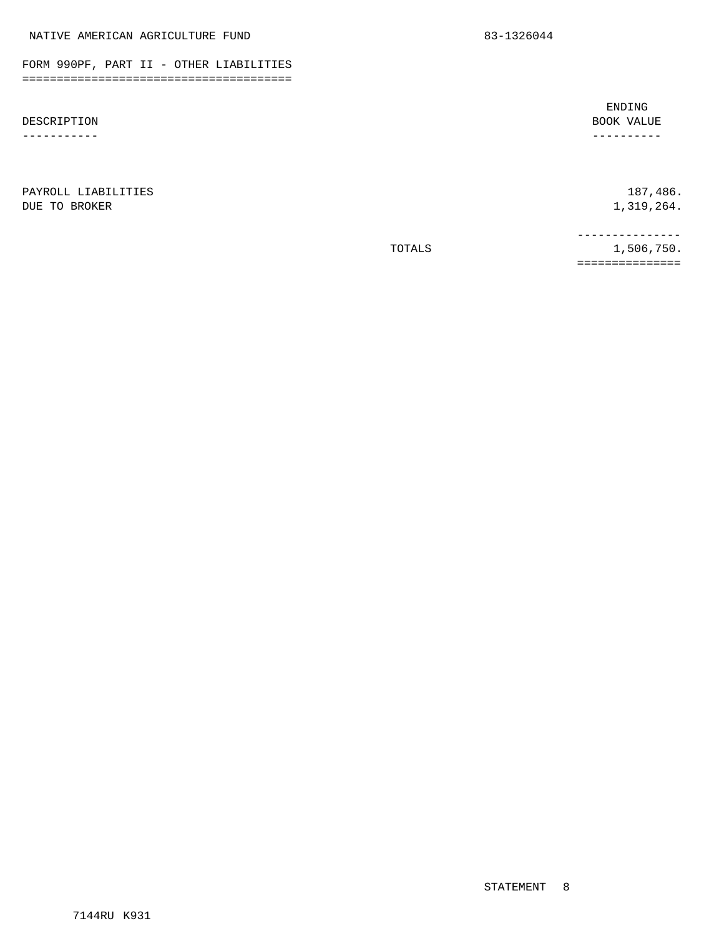FORM 990PF, PART II - OTHER LIABILITIES =======================================

DESCRIPTION -----------

DUE TO BROKER 1,319,264.

PAYROLL LIABILITIES 187,486.

TOTALS 1,506,750. ===============

<span id="page-23-0"></span>NATIVE AMERICAN AGRICULTURE FUND 83-1326044

ENDING BOOK VALUE ----------

---------------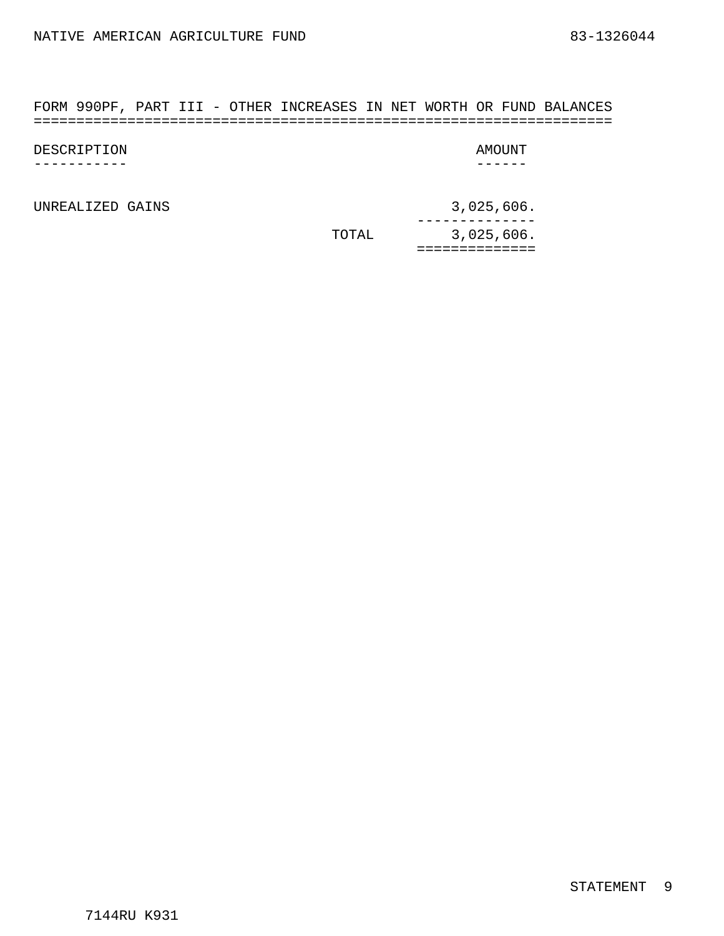<span id="page-24-0"></span>FORM 990PF, PART III - OTHER INCREASES IN NET WORTH OR FUND BALANCES ====================================================================

| DESCRIPTION | AMOUNT |
|-------------|--------|
|             |        |

UNREALIZED GAINS 3,025,606.

TOTAL 3,025,606. -------------- ==============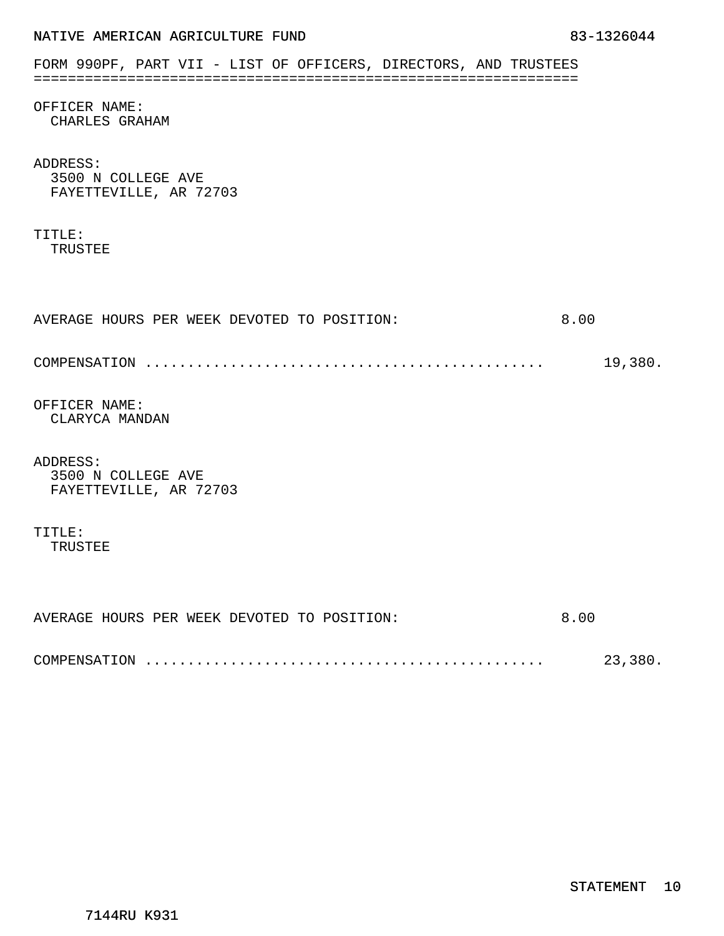<span id="page-25-0"></span>

|  | NATIVE AMERICAN AGRICULTURE FUND |  |
|--|----------------------------------|--|
|  |                                  |  |

| FORM 990PF, PART VII - LIST OF OFFICERS, DIRECTORS, AND TRUSTEES |         |
|------------------------------------------------------------------|---------|
| OFFICER NAME:<br>CHARLES GRAHAM                                  |         |
| ADDRESS:<br>3500 N COLLEGE AVE<br>FAYETTEVILLE, AR 72703         |         |
| TITLE:<br>TRUSTEE                                                |         |
| AVERAGE HOURS PER WEEK DEVOTED TO POSITION:                      | 8.00    |
|                                                                  | 19,380. |
| OFFICER NAME:<br>CLARYCA MANDAN                                  |         |
| ADDRESS:<br>3500 N COLLEGE AVE<br>FAYETTEVILLE, AR 72703         |         |
| TITLE:<br>TRUSTEE                                                |         |
|                                                                  |         |
| AVERAGE HOURS PER WEEK DEVOTED TO POSITION:                      | 8.00    |
|                                                                  | 23,380. |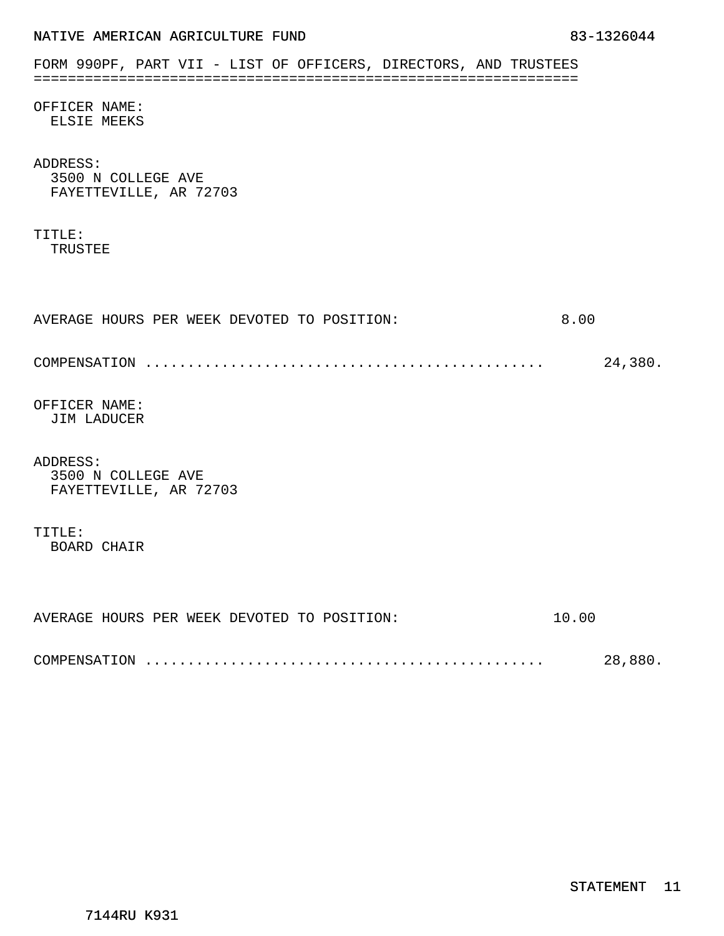| FORM 990PF, PART VII - LIST OF OFFICERS, DIRECTORS, AND TRUSTEES |  |  |  |       |         |
|------------------------------------------------------------------|--|--|--|-------|---------|
|                                                                  |  |  |  |       |         |
| OFFICER NAME:<br>ELSIE MEEKS                                     |  |  |  |       |         |
| ADDRESS:<br>3500 N COLLEGE AVE<br>FAYETTEVILLE, AR 72703         |  |  |  |       |         |
| TITLE:<br>TRUSTEE                                                |  |  |  |       |         |
| AVERAGE HOURS PER WEEK DEVOTED TO POSITION:                      |  |  |  | 8.00  |         |
|                                                                  |  |  |  |       | 24,380. |
| OFFICER NAME:<br>JIM LADUCER                                     |  |  |  |       |         |
| ADDRESS:<br>3500 N COLLEGE AVE<br>FAYETTEVILLE, AR 72703         |  |  |  |       |         |
| TITLE:<br><b>BOARD CHAIR</b>                                     |  |  |  |       |         |
| AVERAGE HOURS PER WEEK DEVOTED TO POSITION:                      |  |  |  | 10.00 |         |
|                                                                  |  |  |  |       | 28,880. |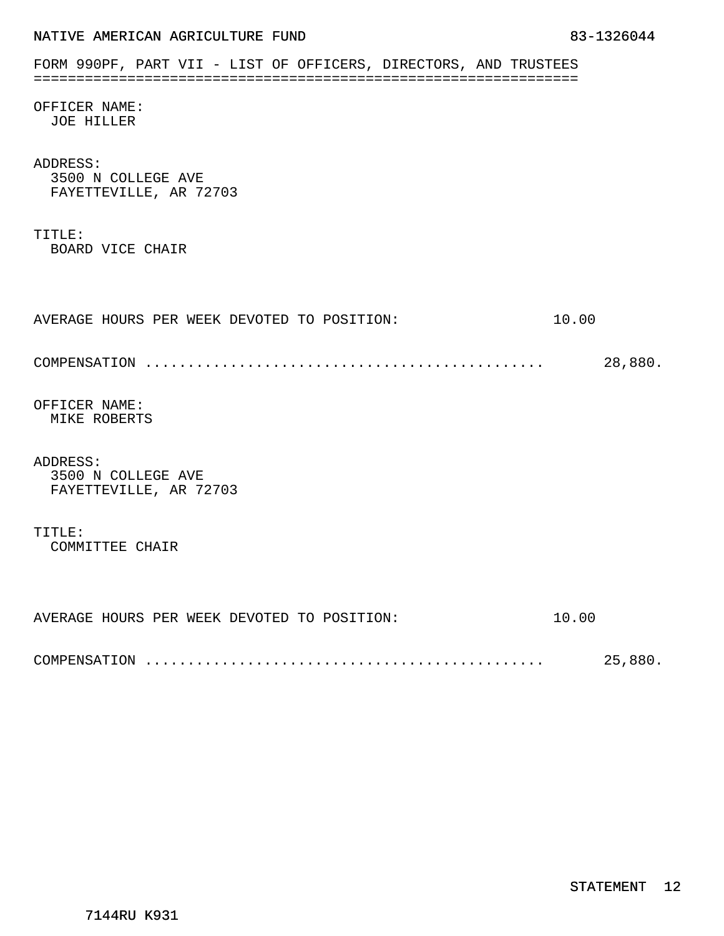| FORM 990PF, PART VII - LIST OF OFFICERS, DIRECTORS, AND TRUSTEES |         |
|------------------------------------------------------------------|---------|
| OFFICER NAME:<br><b>JOE HILLER</b>                               |         |
| ADDRESS:<br>3500 N COLLEGE AVE<br>FAYETTEVILLE, AR 72703         |         |
| TITLE:<br>BOARD VICE CHAIR                                       |         |
| AVERAGE HOURS PER WEEK DEVOTED TO POSITION:                      | 10.00   |
|                                                                  | 28,880. |
| OFFICER NAME:<br>MIKE ROBERTS                                    |         |
| ADDRESS:<br>3500 N COLLEGE AVE<br>FAYETTEVILLE, AR 72703         |         |
| TITLE:<br>COMMITTEE CHAIR                                        |         |
|                                                                  |         |
| AVERAGE HOURS PER WEEK DEVOTED TO POSITION:                      | 10.00   |
|                                                                  | 25,880. |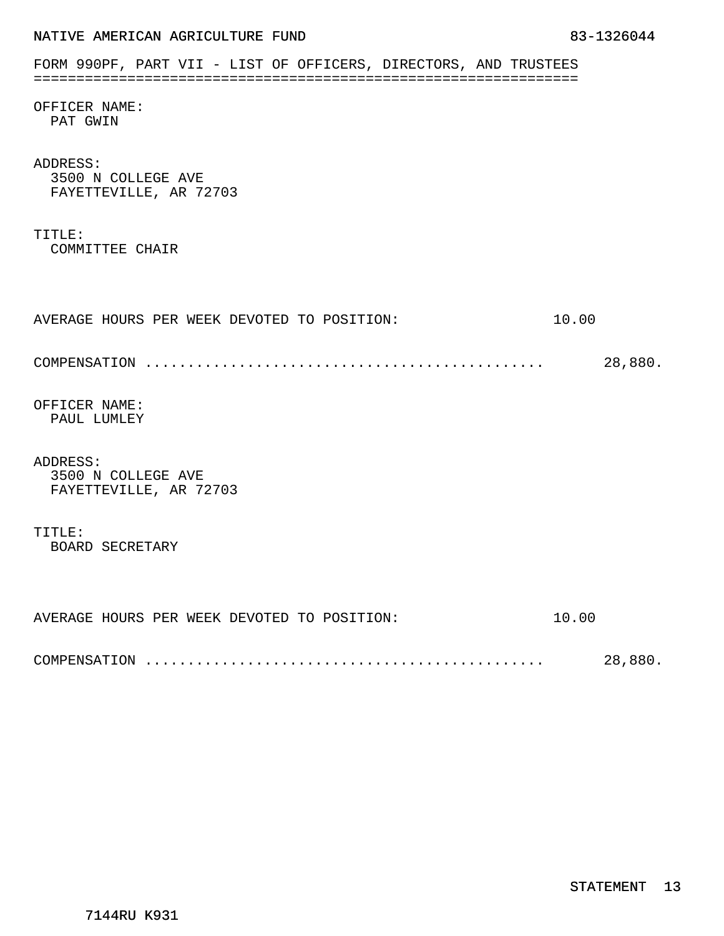| FORM 990PF, PART VII - LIST OF OFFICERS, DIRECTORS, AND TRUSTEES |         |
|------------------------------------------------------------------|---------|
| OFFICER NAME:<br>PAT GWIN                                        |         |
| ADDRESS:<br>3500 N COLLEGE AVE<br>FAYETTEVILLE, AR 72703         |         |
| TITLE:<br>COMMITTEE CHAIR                                        |         |
| AVERAGE HOURS PER WEEK DEVOTED TO POSITION:                      | 10.00   |
|                                                                  | 28,880. |
| OFFICER NAME:<br>PAUL LUMLEY                                     |         |
| ADDRESS:<br>3500 N COLLEGE AVE<br>FAYETTEVILLE, AR 72703         |         |
| TITLE:<br>BOARD SECRETARY                                        |         |
| AVERAGE HOURS PER WEEK DEVOTED TO POSITION:                      | 10.00   |
|                                                                  | 28,880. |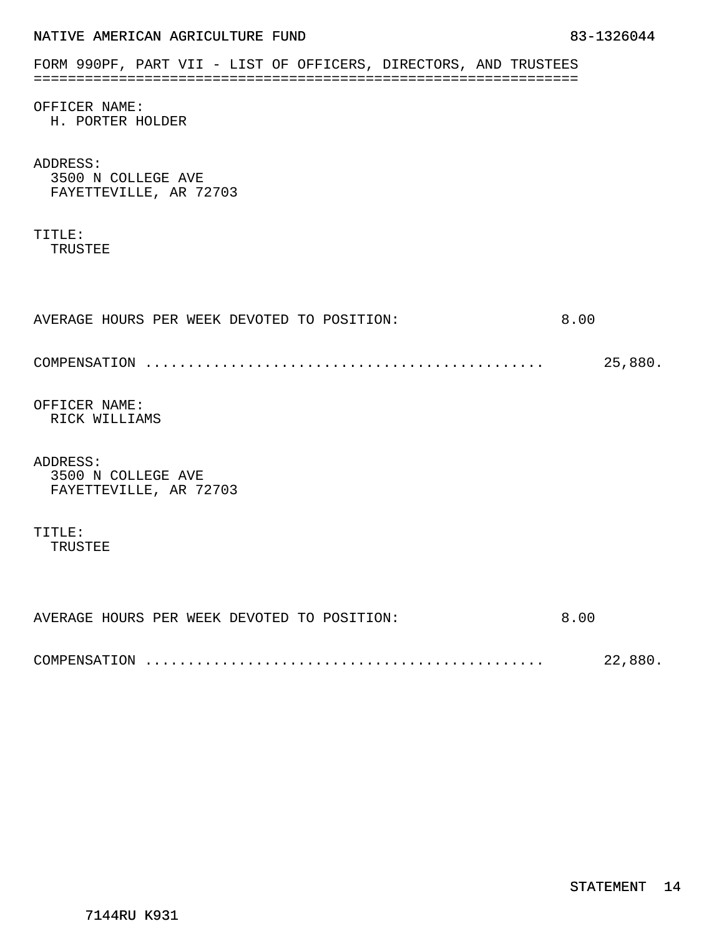|  | NATIVE AMERICAN AGRICULTURE FUND |  |
|--|----------------------------------|--|
|  |                                  |  |

|                                   | FORM 990PF, PART VII - LIST OF OFFICERS, DIRECTORS, AND TRUSTEES |  |  |      |         |
|-----------------------------------|------------------------------------------------------------------|--|--|------|---------|
| OFFICER NAME:<br>H. PORTER HOLDER |                                                                  |  |  |      |         |
| ADDRESS:<br>3500 N COLLEGE AVE    | FAYETTEVILLE, AR 72703                                           |  |  |      |         |
| TITLE:<br>TRUSTEE                 |                                                                  |  |  |      |         |
|                                   | AVERAGE HOURS PER WEEK DEVOTED TO POSITION:                      |  |  | 8.00 |         |
|                                   |                                                                  |  |  |      | 25,880. |
| OFFICER NAME:<br>RICK WILLIAMS    |                                                                  |  |  |      |         |
| ADDRESS:<br>3500 N COLLEGE AVE    | FAYETTEVILLE, AR 72703                                           |  |  |      |         |
| TITLE:<br>TRUSTEE                 |                                                                  |  |  |      |         |
|                                   |                                                                  |  |  |      |         |
|                                   | AVERAGE HOURS PER WEEK DEVOTED TO POSITION:                      |  |  | 8.00 |         |
|                                   |                                                                  |  |  |      | 22,880. |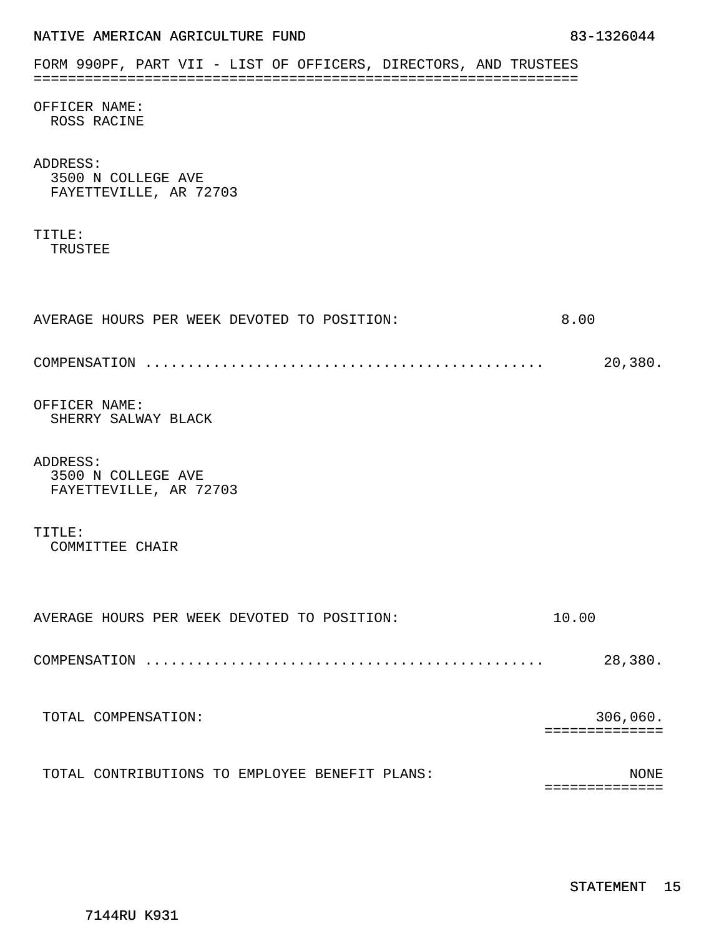| FORM 990PF, PART VII - LIST OF OFFICERS, DIRECTORS, AND TRUSTEES |             |
|------------------------------------------------------------------|-------------|
| OFFICER NAME:<br>ROSS RACINE                                     |             |
| ADDRESS:<br>3500 N COLLEGE AVE<br>FAYETTEVILLE, AR 72703         |             |
| TITLE:<br>TRUSTEE                                                |             |
|                                                                  |             |
| AVERAGE HOURS PER WEEK DEVOTED TO POSITION:                      | 8.00        |
|                                                                  | 20,380.     |
| OFFICER NAME:<br>SHERRY SALWAY BLACK                             |             |
| ADDRESS:<br>3500 N COLLEGE AVE<br>FAYETTEVILLE, AR 72703         |             |
| TITLE:<br>COMMITTEE CHAIR                                        |             |
| AVERAGE HOURS PER WEEK DEVOTED TO POSITION:                      | 10.00       |
|                                                                  | 28,380.     |
| TOTAL COMPENSATION:                                              | 306,060.    |
| TOTAL CONTRIBUTIONS TO EMPLOYEE BENEFIT PLANS:                   | <b>NONE</b> |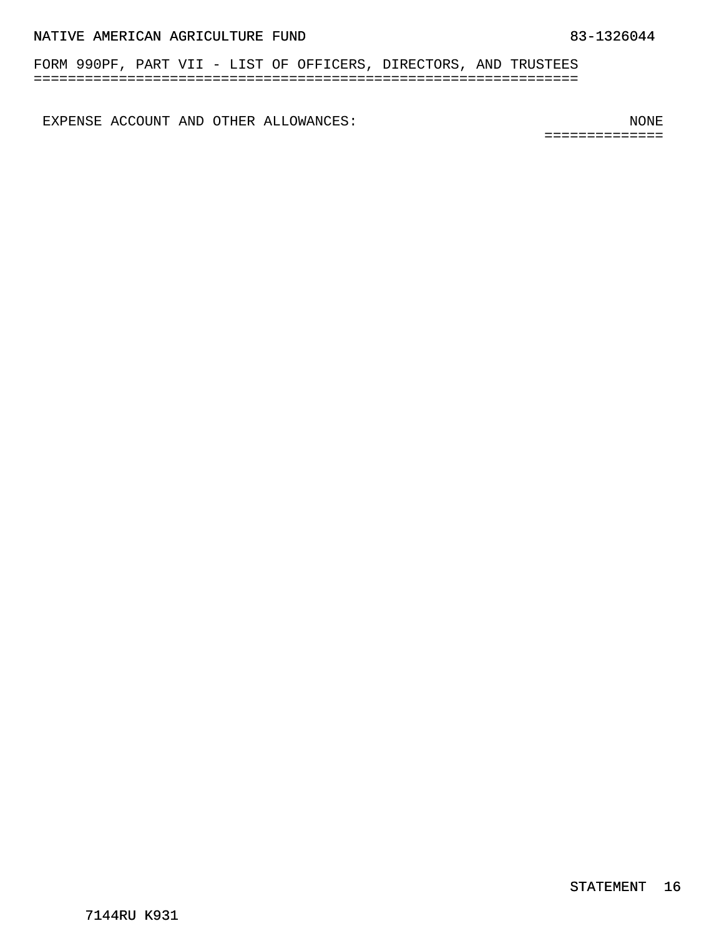FORM 990PF, PART VII - LIST OF OFFICERS, DIRECTORS, AND TRUSTEES ================================================================

EXPENSE ACCOUNT AND OTHER ALLOWANCES: NONE

==============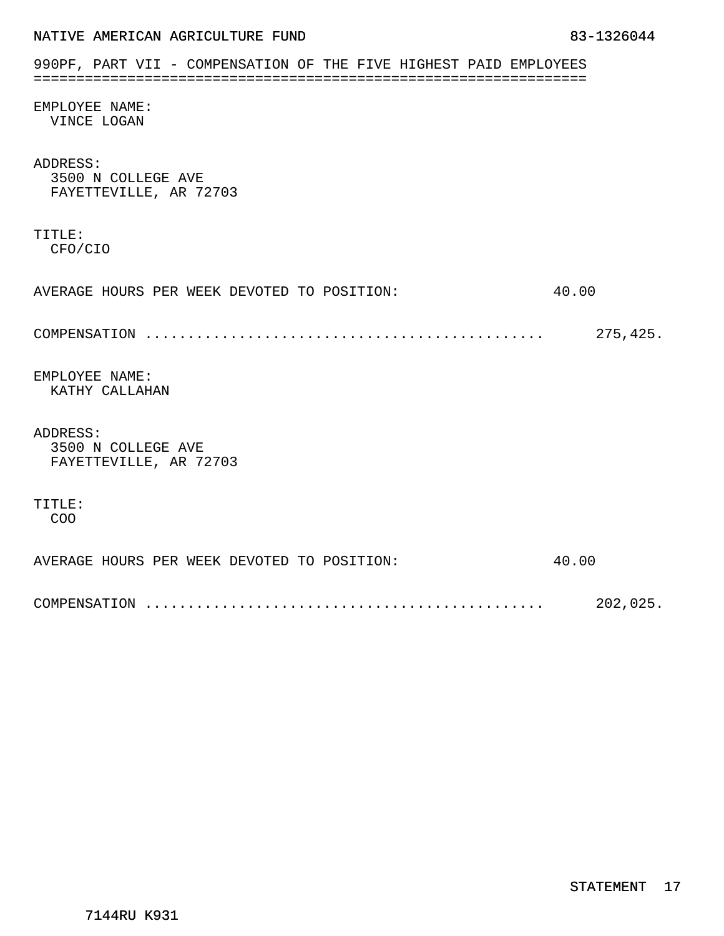<span id="page-32-0"></span>

|  | NATIVE AMERICAN AGRICULTURE FUND | 83-1326044 |  |
|--|----------------------------------|------------|--|
|  |                                  |            |  |

| 990PF, PART VII - COMPENSATION OF THE FIVE HIGHEST PAID EMPLOYEES |          |
|-------------------------------------------------------------------|----------|
| EMPLOYEE NAME:<br>VINCE LOGAN                                     |          |
| ADDRESS:<br>3500 N COLLEGE AVE<br>FAYETTEVILLE, AR 72703          |          |
| TITLE:<br>CFO/CIO                                                 |          |
| AVERAGE HOURS PER WEEK DEVOTED TO POSITION:                       | 40.00    |
|                                                                   | 275,425. |
| EMPLOYEE NAME:<br>KATHY CALLAHAN                                  |          |
| ADDRESS:<br>3500 N COLLEGE AVE<br>FAYETTEVILLE, AR 72703          |          |
| TITLE:<br>COO                                                     |          |
| AVERAGE HOURS PER WEEK DEVOTED TO POSITION:                       | 40.00    |
|                                                                   | 202,025. |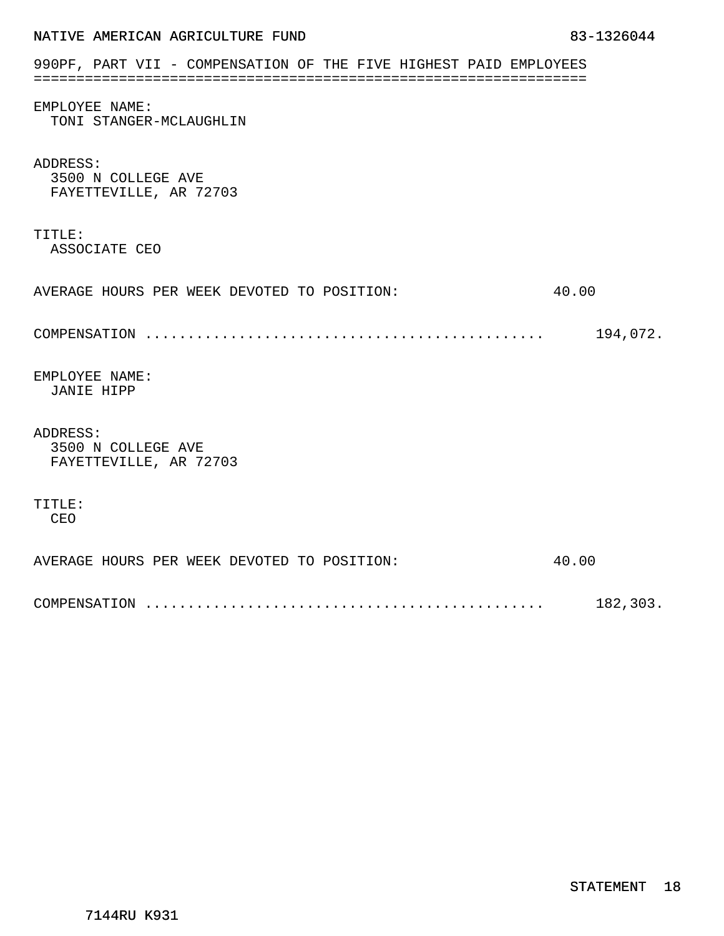| NATIVE AMERICAN AGRICULTURE FUND                                  | 83-1326044 |
|-------------------------------------------------------------------|------------|
| 990PF, PART VII - COMPENSATION OF THE FIVE HIGHEST PAID EMPLOYEES |            |
| EMPLOYEE NAME:<br>TONI STANGER-MCLAUGHLIN                         |            |
| ADDRESS:<br>3500 N COLLEGE AVE<br>FAYETTEVILLE, AR 72703          |            |
| TITLE:<br>ASSOCIATE CEO                                           |            |
| AVERAGE HOURS PER WEEK DEVOTED TO POSITION:                       | 40.00      |
|                                                                   | 194,072.   |
| EMPLOYEE NAME:<br><b>JANIE HIPP</b>                               |            |
| ADDRESS:<br>3500 N COLLEGE AVE<br>FAYETTEVILLE, AR 72703          |            |
| TITLE:<br>CEO                                                     |            |
| AVERAGE HOURS PER WEEK DEVOTED TO POSITION:                       | 40.00      |
|                                                                   | 182,303.   |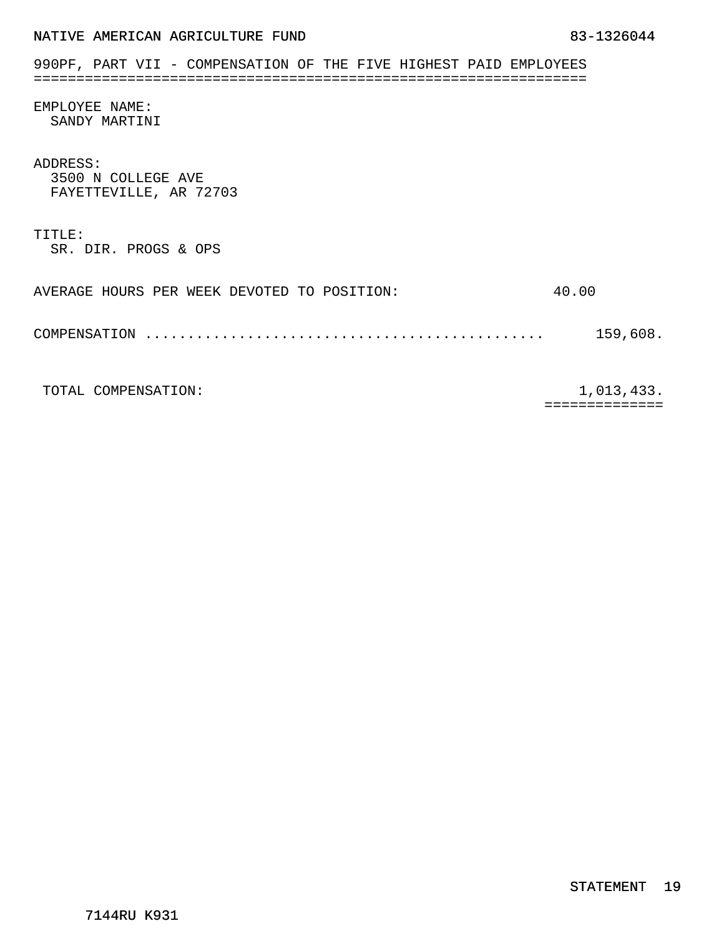| NATIVE AMERICAN AGRICULTURE FUND |  |  |  |  |
|----------------------------------|--|--|--|--|
|----------------------------------|--|--|--|--|

| 990PF, PART VII - COMPENSATION OF THE FIVE HIGHEST PAID EMPLOYEES |          |
|-------------------------------------------------------------------|----------|
| EMPLOYEE NAME:<br>SANDY MARTINI                                   |          |
| ADDRESS:<br>3500 N COLLEGE AVE<br>FAYETTEVILLE, AR 72703          |          |
| TITLE:<br>SR. DIR. PROGS & OPS                                    |          |
| AVERAGE HOURS PER WEEK DEVOTED TO POSITION:                       | 40.00    |
| .<br>COMPENSATION                                                 | 159,608. |

TOTAL COMPENSATION:  $1,013,433$ .

==============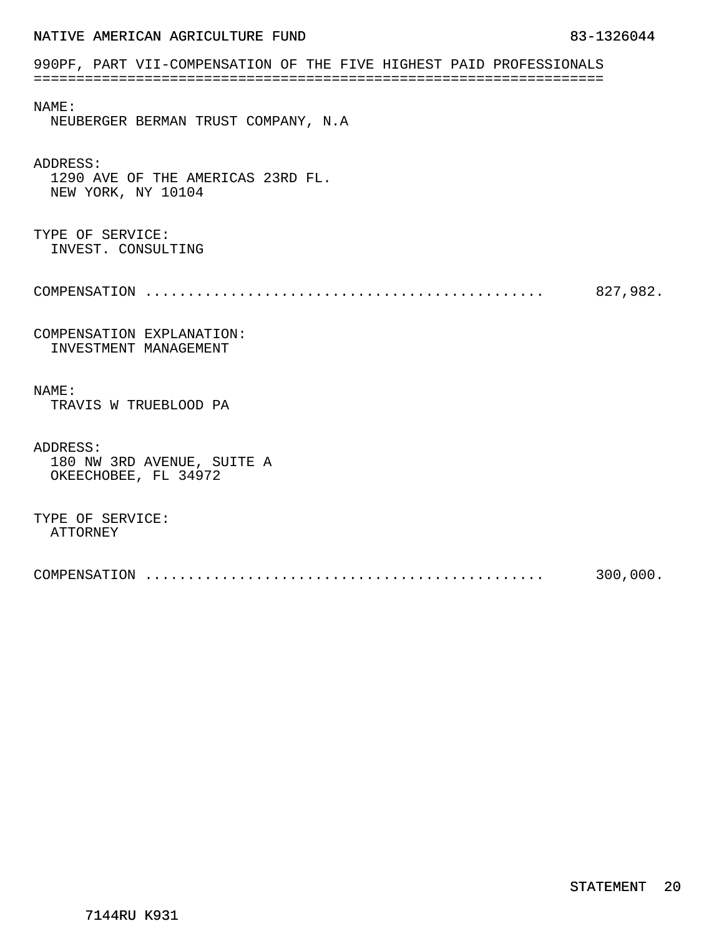## <span id="page-35-0"></span>990PF, PART VII-COMPENSATION OF THE FIVE HIGHEST PAID PROFESSIONALS =================================================================== NAME:

NEUBERGER BERMAN TRUST COMPANY, N.A

### ADDRESS:

1290 AVE OF THE AMERICAS 23RD FL. NEW YORK, NY 10104

#### TYPE OF SERVICE: INVEST. CONSULTING

|  | 827,982. |
|--|----------|
|--|----------|

### COMPENSATION EXPLANATION: INVESTMENT MANAGEMENT

#### NAME:

TRAVIS W TRUEBLOOD PA

#### ADDRESS:

180 NW 3RD AVENUE, SUITE A OKEECHOBEE, FL 34972

#### TYPE OF SERVICE: ATTORNEY

| COMPENSATION | 300,000. |
|--------------|----------|
|              |          |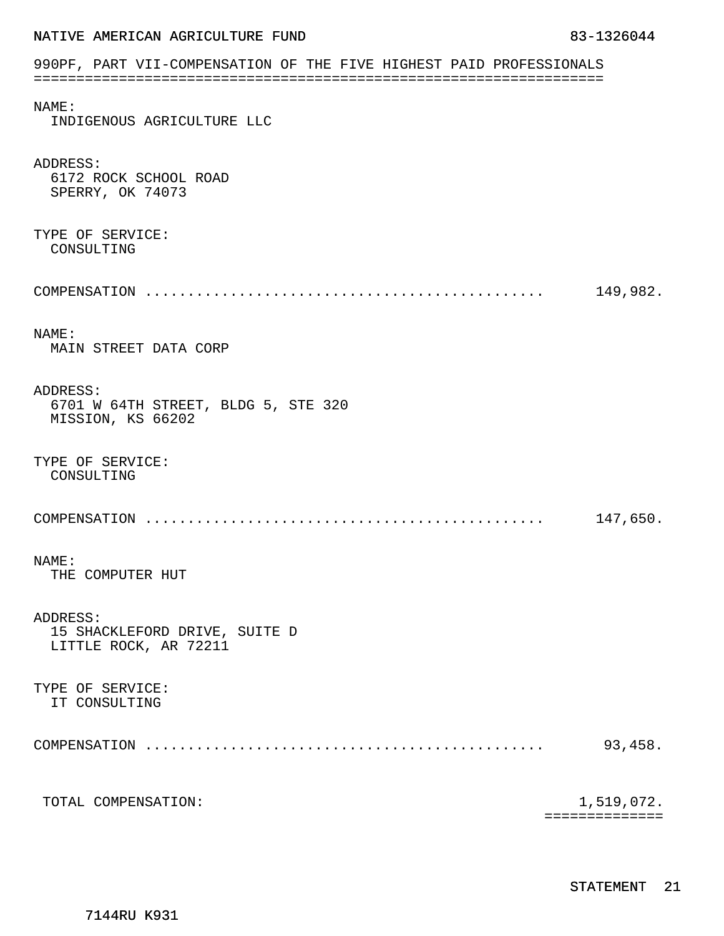## 990PF, PART VII-COMPENSATION OF THE FIVE HIGHEST PAID PROFESSIONALS =================================================================== NAME: INDIGENOUS AGRICULTURE LLC ADDRESS: 6172 ROCK SCHOOL ROAD SPERRY, OK 74073 TYPE OF SERVICE: CONSULTING COMPENSATION ............................................... 149,982. NAME: MAIN STREET DATA CORP ADDRESS: 6701 W 64TH STREET, BLDG 5, STE 320 MISSION, KS 66202 TYPE OF SERVICE: CONSULTING COMPENSATION ............................................... 147,650. NAME: THE COMPUTER HUT ADDRESS: 15 SHACKLEFORD DRIVE, SUITE D LITTLE ROCK, AR 72211 TYPE OF SERVICE: IT CONSULTING COMPENSATION ............................................... 93,458. TOTAL COMPENSATION:  $1,519,072$ . ==============

7144RU K931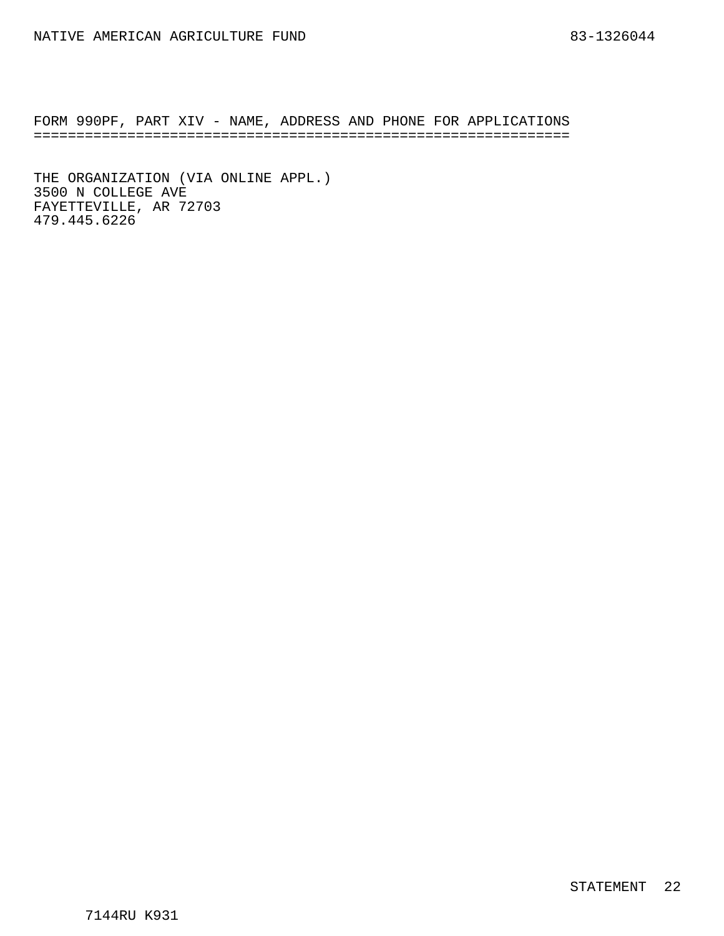<span id="page-37-0"></span>FORM 990PF, PART XIV - NAME, ADDRESS AND PHONE FOR APPLICATIONS ===============================================================

THE ORGANIZATION (VIA ONLINE APPL.) 3500 N COLLEGE AVE FAYETTEVILLE, AR 72703 479.445.6226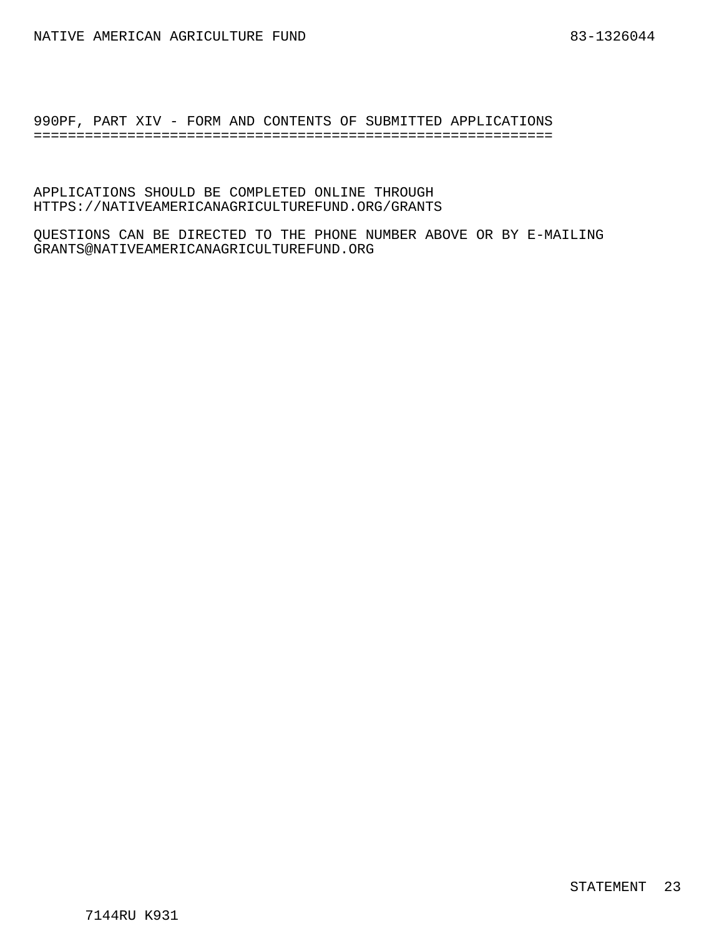<span id="page-38-0"></span>990PF, PART XIV - FORM AND CONTENTS OF SUBMITTED APPLICATIONS =============================================================

APPLICATIONS SHOULD BE COMPLETED ONLINE THROUGH HTTPS://NATIVEAMERICANAGRICULTUREFUND.ORG/GRANTS

QUESTIONS CAN BE DIRECTED TO THE PHONE NUMBER ABOVE OR BY E-MAILING GRANTS@NATIVEAMERICANAGRICULTUREFUND.ORG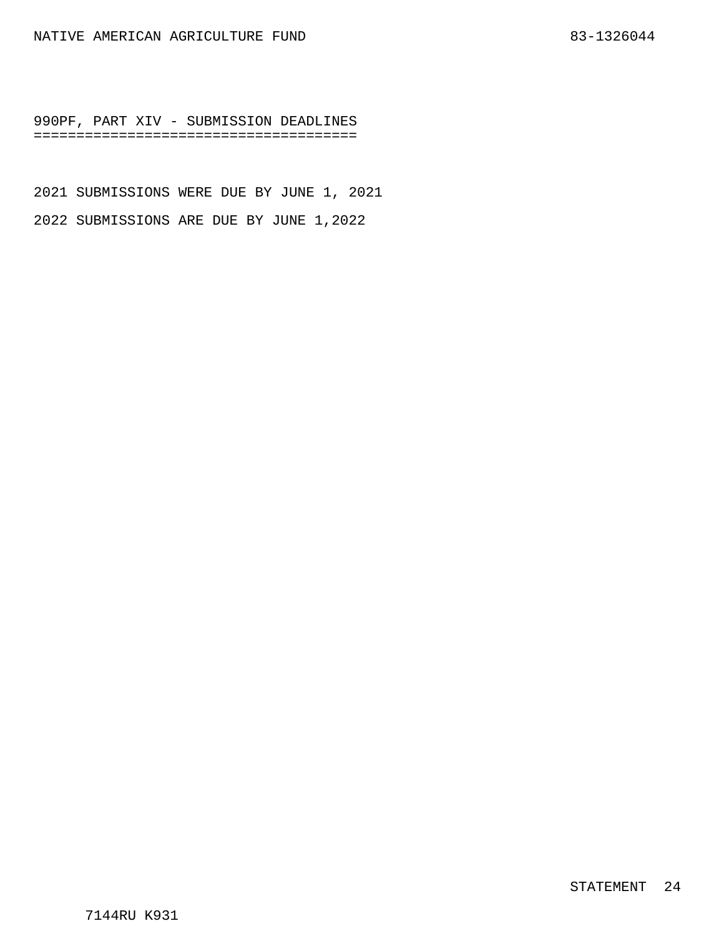<span id="page-39-0"></span>990PF, PART XIV - SUBMISSION DEADLINES ======================================

2021 SUBMISSIONS WERE DUE BY JUNE 1, 2021 2022 SUBMISSIONS ARE DUE BY JUNE 1,2022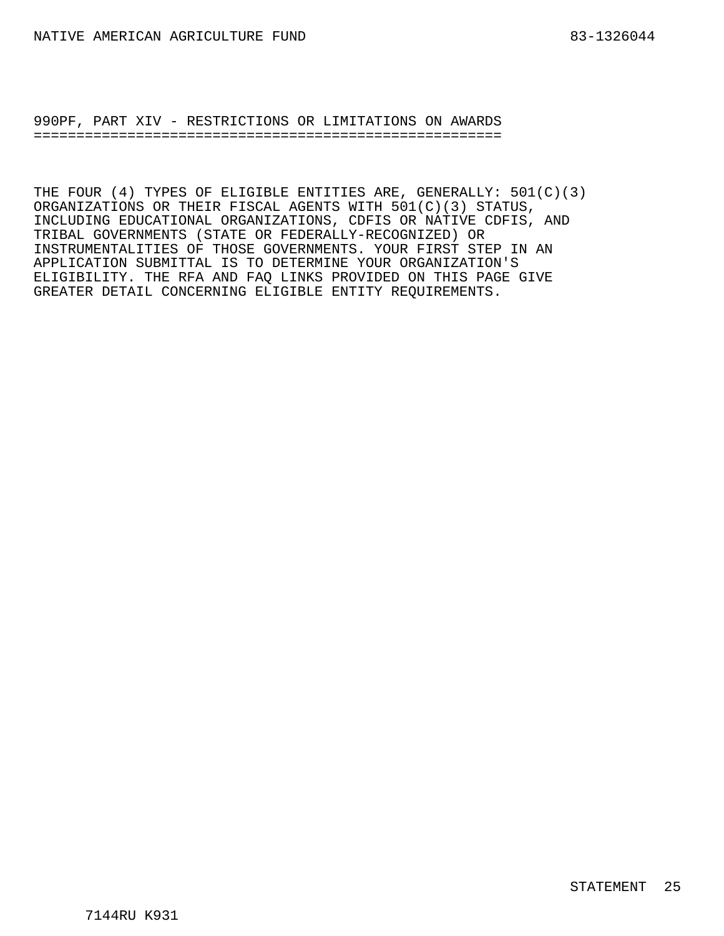<span id="page-40-0"></span>990PF, PART XIV - RESTRICTIONS OR LIMITATIONS ON AWARDS =======================================================

THE FOUR (4) TYPES OF ELIGIBLE ENTITIES ARE, GENERALLY: 501(C)(3) ORGANIZATIONS OR THEIR FISCAL AGENTS WITH 501(C)(3) STATUS, INCLUDING EDUCATIONAL ORGANIZATIONS, CDFIS OR NATIVE CDFIS, AND TRIBAL GOVERNMENTS (STATE OR FEDERALLY-RECOGNIZED) OR INSTRUMENTALITIES OF THOSE GOVERNMENTS. YOUR FIRST STEP IN AN APPLICATION SUBMITTAL IS TO DETERMINE YOUR ORGANIZATION'S ELIGIBILITY. THE RFA AND FAQ LINKS PROVIDED ON THIS PAGE GIVE GREATER DETAIL CONCERNING ELIGIBLE ENTITY REQUIREMENTS.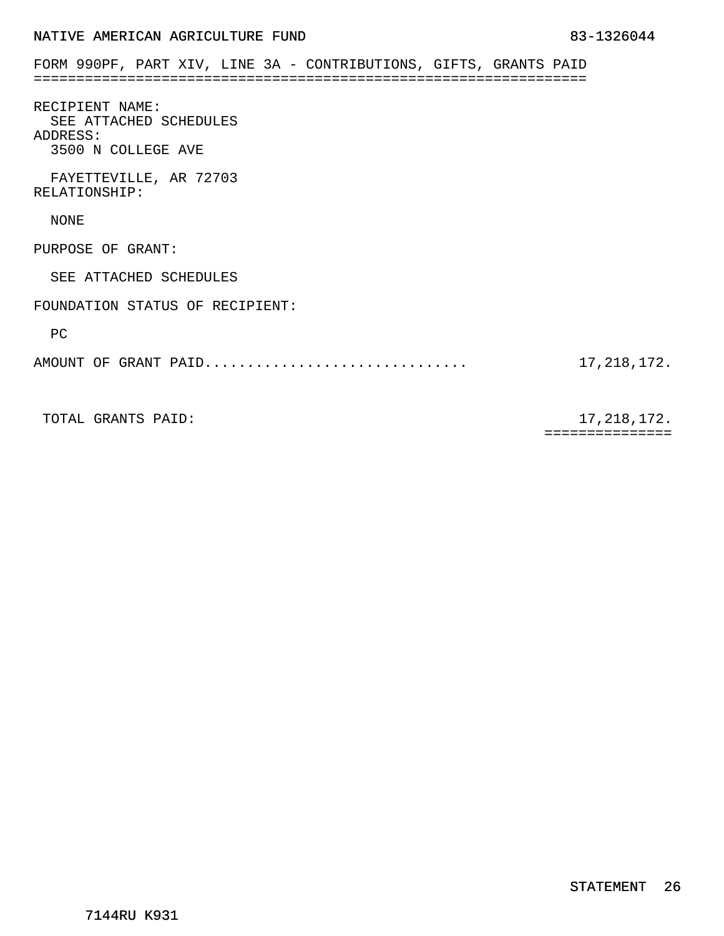<span id="page-41-0"></span>

| FORM 990PF, PART XIV, LINE 3A - CONTRIBUTIONS, GIFTS, GRANTS PAID |                        |  |  |  |  |               |
|-------------------------------------------------------------------|------------------------|--|--|--|--|---------------|
| RECIPIENT NAME:<br>ADDRESS:<br>3500 N COLLEGE AVE                 | SEE ATTACHED SCHEDULES |  |  |  |  |               |
| RELATIONSHIP:                                                     | FAYETTEVILLE, AR 72703 |  |  |  |  |               |
| NONE                                                              |                        |  |  |  |  |               |
| PURPOSE OF GRANT:                                                 |                        |  |  |  |  |               |
|                                                                   | SEE ATTACHED SCHEDULES |  |  |  |  |               |
| FOUNDATION STATUS OF RECIPIENT:                                   |                        |  |  |  |  |               |
| PC                                                                |                        |  |  |  |  |               |
| AMOUNT OF GRANT PAID                                              |                        |  |  |  |  | 17, 218, 172. |
|                                                                   |                        |  |  |  |  |               |

TOTAL GRANTS PAID: 17, 218, 172.

===============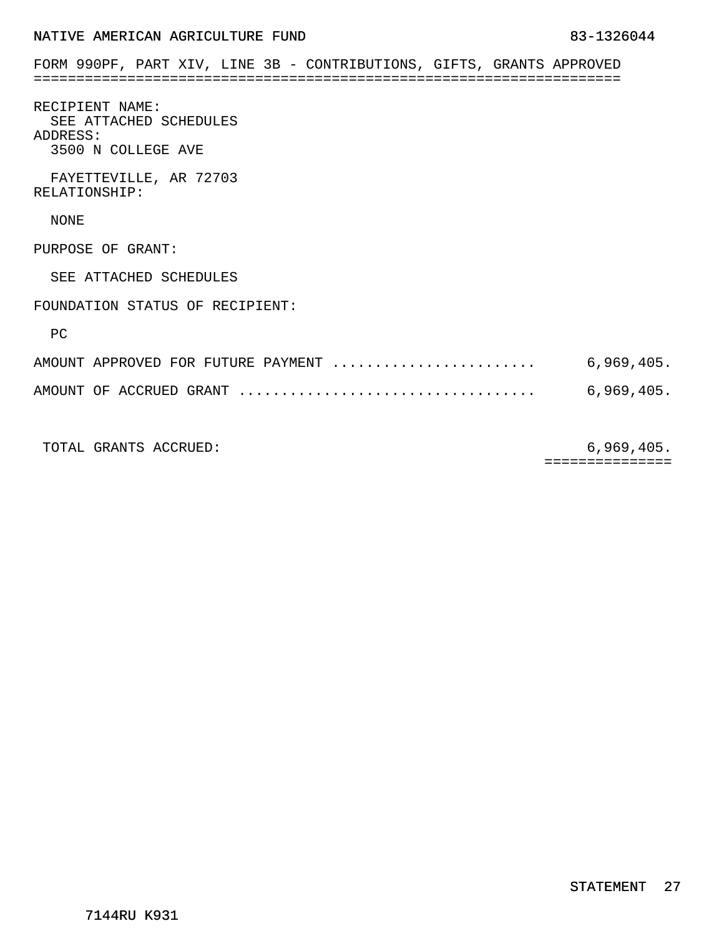<span id="page-42-0"></span>

| FORM 990PF, PART XIV, LINE 3B - CONTRIBUTIONS, GIFTS, GRANTS APPROVED       |            |
|-----------------------------------------------------------------------------|------------|
| RECIPIENT NAME:<br>SEE ATTACHED SCHEDULES<br>ADDRESS:<br>3500 N COLLEGE AVE |            |
| FAYETTEVILLE, AR 72703<br>RELATIONSHIP:                                     |            |
| NONE                                                                        |            |
| PURPOSE OF GRANT:                                                           |            |
| SEE ATTACHED SCHEDULES                                                      |            |
| FOUNDATION STATUS OF RECIPIENT:                                             |            |
| PC                                                                          |            |
| AMOUNT APPROVED FOR FUTURE PAYMENT                                          | 6,969,405. |
|                                                                             | 6,969,405. |
|                                                                             |            |

TOTAL GRANTS ACCRUED: 6,969,405.

===============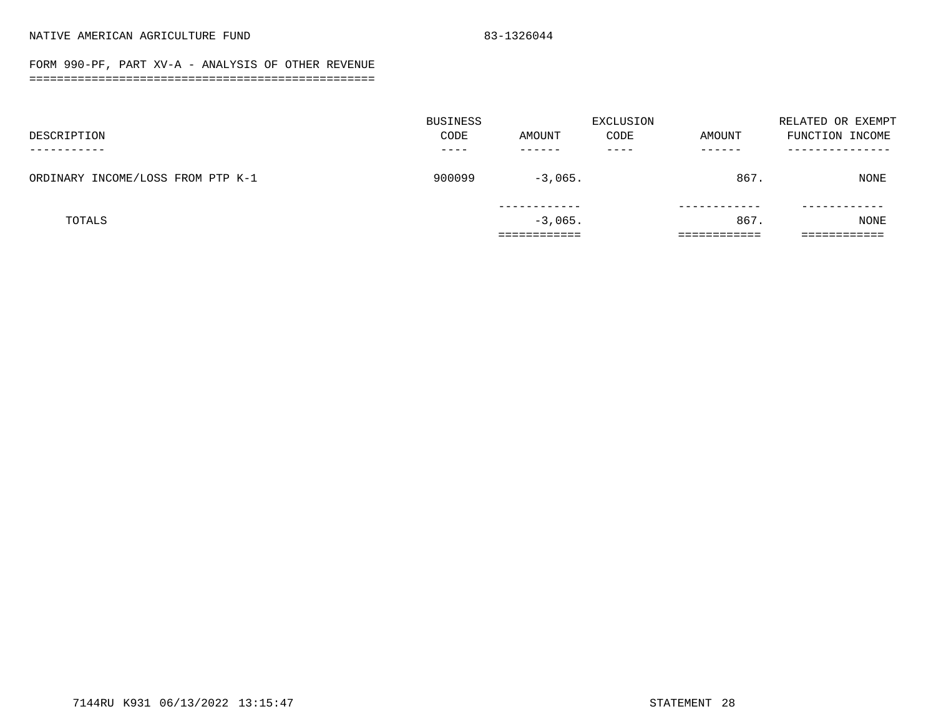#### FORM 990-PF, PART XV-A - ANALYSIS OF OTHER REVENUE ==================================================

<span id="page-43-0"></span>

|                                   | BUSINESS |           | EXCLUSION |        | RELATED OR EXEMPT |
|-----------------------------------|----------|-----------|-----------|--------|-------------------|
| DESCRIPTION                       | CODE     | AMOUNT    | CODE      | AMOUNT | FUNCTION INCOME   |
|                                   |          |           |           |        |                   |
| ORDINARY INCOME/LOSS FROM PTP K-1 | 900099   | $-3,065.$ |           | 867.   | <b>NONE</b>       |
|                                   |          |           |           |        |                   |
| TOTALS                            |          | $-3,065.$ |           | 867.   | NONE              |
|                                   |          |           |           |        |                   |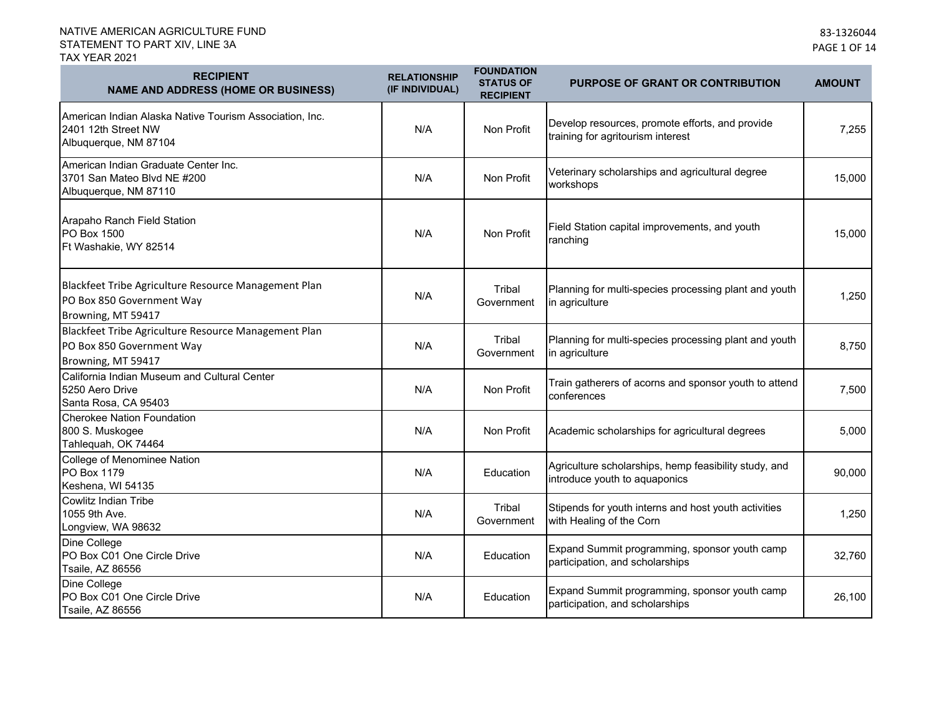| <b>RECIPIENT</b><br><b>NAME AND ADDRESS (HOME OR BUSINESS)</b>                                          | <b>RELATIONSHIP</b><br>(IF INDIVIDUAL) | <b>FOUNDATION</b><br><b>STATUS OF</b><br><b>RECIPIENT</b> | PURPOSE OF GRANT OR CONTRIBUTION                                                       | <b>AMOUNT</b> |
|---------------------------------------------------------------------------------------------------------|----------------------------------------|-----------------------------------------------------------|----------------------------------------------------------------------------------------|---------------|
| American Indian Alaska Native Tourism Association, Inc.<br>2401 12th Street NW<br>Albuquerque, NM 87104 | N/A                                    | Non Profit                                                | Develop resources, promote efforts, and provide<br>training for agritourism interest   | 7,255         |
| American Indian Graduate Center Inc.<br>3701 San Mateo Blvd NE #200<br>Albuquerque, NM 87110            | N/A                                    | Non Profit                                                | Veterinary scholarships and agricultural degree<br>workshops                           | 15,000        |
| Arapaho Ranch Field Station<br>PO Box 1500<br>Ft Washakie, WY 82514                                     | N/A                                    | Non Profit                                                | Field Station capital improvements, and youth<br>ranching                              | 15,000        |
| Blackfeet Tribe Agriculture Resource Management Plan<br>PO Box 850 Government Way<br>Browning, MT 59417 | N/A                                    | Tribal<br>Government                                      | Planning for multi-species processing plant and youth<br>in agriculture                | 1,250         |
| Blackfeet Tribe Agriculture Resource Management Plan<br>PO Box 850 Government Way<br>Browning, MT 59417 | N/A                                    | Tribal<br>Government                                      | Planning for multi-species processing plant and youth<br>in agriculture                | 8,750         |
| California Indian Museum and Cultural Center<br>5250 Aero Drive<br>Santa Rosa, CA 95403                 | N/A                                    | Non Profit                                                | Train gatherers of acorns and sponsor youth to attend<br>conferences                   | 7,500         |
| <b>Cherokee Nation Foundation</b><br>800 S. Muskogee<br>Tahlequah, OK 74464                             | N/A                                    | Non Profit                                                | Academic scholarships for agricultural degrees                                         | 5,000         |
| College of Menominee Nation<br>PO Box 1179<br>Keshena, WI 54135                                         | N/A                                    | Education                                                 | Agriculture scholarships, hemp feasibility study, and<br>introduce youth to aquaponics | 90,000        |
| Cowlitz Indian Tribe<br>1055 9th Ave.<br>Longview, WA 98632                                             | N/A                                    | Tribal<br>Government                                      | Stipends for youth interns and host youth activities<br>with Healing of the Corn       | 1,250         |
| Dine College<br>PO Box C01 One Circle Drive<br><b>Tsaile, AZ 86556</b>                                  | N/A                                    | Education                                                 | Expand Summit programming, sponsor youth camp<br>participation, and scholarships       | 32,760        |
| Dine College<br>PO Box C01 One Circle Drive<br><b>Tsaile, AZ 86556</b>                                  | N/A                                    | Education                                                 | Expand Summit programming, sponsor youth camp<br>participation, and scholarships       | 26,100        |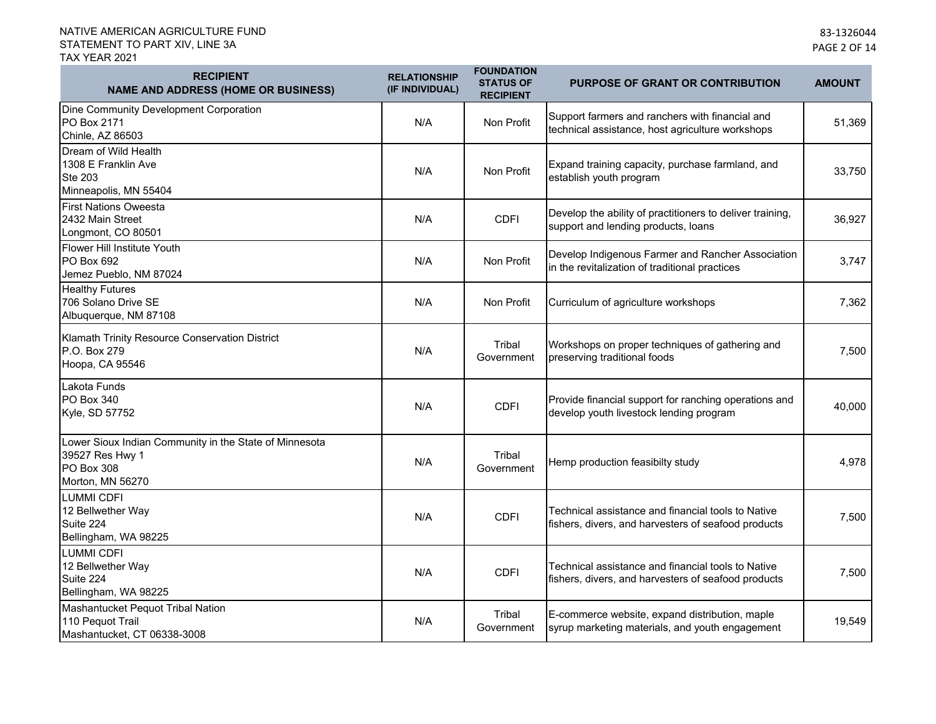| <b>RECIPIENT</b><br><b>NAME AND ADDRESS (HOME OR BUSINESS)</b>                                              | <b>RELATIONSHIP</b><br>(IF INDIVIDUAL) | <b>FOUNDATION</b><br><b>STATUS OF</b><br><b>RECIPIENT</b> | <b>PURPOSE OF GRANT OR CONTRIBUTION</b>                                                                   | <b>AMOUNT</b> |
|-------------------------------------------------------------------------------------------------------------|----------------------------------------|-----------------------------------------------------------|-----------------------------------------------------------------------------------------------------------|---------------|
| Dine Community Development Corporation<br>PO Box 2171<br>Chinle, AZ 86503                                   | N/A                                    | Non Profit                                                | Support farmers and ranchers with financial and<br>technical assistance, host agriculture workshops       | 51,369        |
| Dream of Wild Health<br>1308 E Franklin Ave<br><b>Ste 203</b><br>Minneapolis, MN 55404                      | N/A                                    | Non Profit                                                | Expand training capacity, purchase farmland, and<br>establish youth program                               | 33,750        |
| <b>First Nations Oweesta</b><br>2432 Main Street<br>Longmont, CO 80501                                      | N/A                                    | <b>CDFI</b>                                               | Develop the ability of practitioners to deliver training,<br>support and lending products, loans          | 36,927        |
| <b>Flower Hill Institute Youth</b><br>PO Box 692<br>Jemez Pueblo, NM 87024                                  | N/A                                    | Non Profit                                                | Develop Indigenous Farmer and Rancher Association<br>in the revitalization of traditional practices       | 3,747         |
| <b>Healthy Futures</b><br>706 Solano Drive SE<br>Albuquerque, NM 87108                                      | N/A                                    | Non Profit                                                | Curriculum of agriculture workshops                                                                       | 7,362         |
| Klamath Trinity Resource Conservation District<br>P.O. Box 279<br>Hoopa, CA 95546                           | N/A                                    | Tribal<br>Government                                      | Workshops on proper techniques of gathering and<br>preserving traditional foods                           | 7,500         |
| Lakota Funds<br><b>PO Box 340</b><br>Kyle, SD 57752                                                         | N/A                                    | <b>CDFI</b>                                               | Provide financial support for ranching operations and<br>develop youth livestock lending program          | 40,000        |
| Lower Sioux Indian Community in the State of Minnesota<br>39527 Res Hwy 1<br>PO Box 308<br>Morton, MN 56270 | N/A                                    | Tribal<br>Government                                      | Hemp production feasibilty study                                                                          | 4,978         |
| <b>LUMMI CDFI</b><br>12 Bellwether Way<br>Suite 224<br>Bellingham, WA 98225                                 | N/A                                    | <b>CDFI</b>                                               | Technical assistance and financial tools to Native<br>fishers, divers, and harvesters of seafood products | 7,500         |
| LUMMI CDFI<br>12 Bellwether Way<br>Suite 224<br>Bellingham, WA 98225                                        | N/A                                    | <b>CDFI</b>                                               | Technical assistance and financial tools to Native<br>fishers, divers, and harvesters of seafood products | 7,500         |
| Mashantucket Pequot Tribal Nation<br>110 Pequot Trail<br>Mashantucket, CT 06338-3008                        | N/A                                    | Tribal<br>Government                                      | E-commerce website, expand distribution, maple<br>syrup marketing materials, and youth engagement         | 19,549        |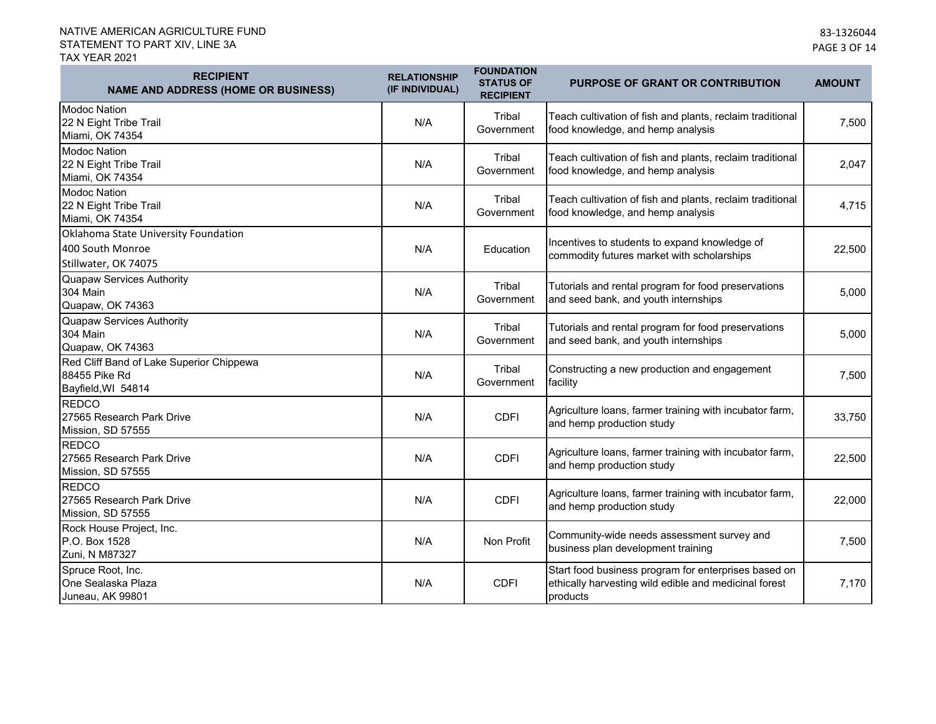| <b>RECIPIENT</b><br><b>NAME AND ADDRESS (HOME OR BUSINESS)</b>                   | <b>RELATIONSHIP</b><br>(IF INDIVIDUAL) | <b>FOUNDATION</b><br><b>STATUS OF</b><br><b>RECIPIENT</b> | PURPOSE OF GRANT OR CONTRIBUTION                                                                                          | <b>AMOUNT</b> |
|----------------------------------------------------------------------------------|----------------------------------------|-----------------------------------------------------------|---------------------------------------------------------------------------------------------------------------------------|---------------|
| <b>Modoc Nation</b><br>22 N Eight Tribe Trail<br>Miami, OK 74354                 | N/A                                    | Tribal<br>Government                                      | Teach cultivation of fish and plants, reclaim traditional<br>food knowledge, and hemp analysis                            | 7,500         |
| <b>Modoc Nation</b><br>22 N Eight Tribe Trail<br>Miami, OK 74354                 | N/A                                    | Tribal<br>Government                                      | Teach cultivation of fish and plants, reclaim traditional<br>food knowledge, and hemp analysis                            | 2,047         |
| <b>Modoc Nation</b><br>22 N Eight Tribe Trail<br>Miami, OK 74354                 | N/A                                    | Tribal<br>Government                                      | Teach cultivation of fish and plants, reclaim traditional<br>food knowledge, and hemp analysis                            | 4,715         |
| Oklahoma State University Foundation<br>400 South Monroe<br>Stillwater, OK 74075 | N/A                                    | Education                                                 | Incentives to students to expand knowledge of<br>commodity futures market with scholarships                               | 22,500        |
| Quapaw Services Authority<br>304 Main<br>Quapaw, OK 74363                        | N/A                                    | Tribal<br>Government                                      | Tutorials and rental program for food preservations<br>and seed bank, and youth internships                               | 5,000         |
| <b>Quapaw Services Authority</b><br><b>304 Main</b><br>Quapaw, OK 74363          | N/A                                    | Tribal<br>Government                                      | Tutorials and rental program for food preservations<br>and seed bank, and youth internships                               | 5,000         |
| Red Cliff Band of Lake Superior Chippewa<br>88455 Pike Rd<br>Bayfield, WI 54814  | N/A                                    | Tribal<br>Government                                      | Constructing a new production and engagement<br>facility                                                                  | 7,500         |
| <b>REDCO</b><br>27565 Research Park Drive<br>Mission, SD 57555                   | N/A                                    | <b>CDFI</b>                                               | Agriculture loans, farmer training with incubator farm,<br>and hemp production study                                      | 33,750        |
| <b>REDCO</b><br>27565 Research Park Drive<br>Mission, SD 57555                   | N/A                                    | <b>CDFI</b>                                               | Agriculture loans, farmer training with incubator farm,<br>and hemp production study                                      | 22,500        |
| <b>REDCO</b><br>27565 Research Park Drive<br>Mission, SD 57555                   | N/A                                    | <b>CDFI</b>                                               | Agriculture loans, farmer training with incubator farm,<br>and hemp production study                                      | 22,000        |
| Rock House Project, Inc.<br>P.O. Box 1528<br>Zuni, N M87327                      | N/A                                    | Non Profit                                                | Community-wide needs assessment survey and<br>business plan development training                                          | 7,500         |
| Spruce Root, Inc.<br>One Sealaska Plaza<br>Juneau, AK 99801                      | N/A                                    | <b>CDFI</b>                                               | Start food business program for enterprises based on<br>ethically harvesting wild edible and medicinal forest<br>products | 7,170         |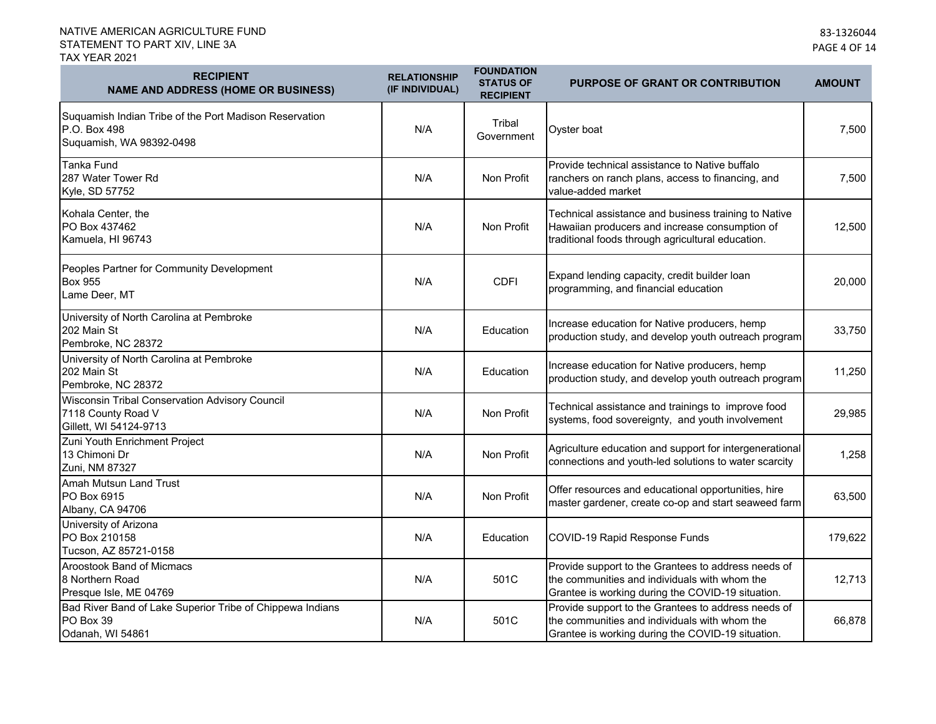| <b>RECIPIENT</b><br><b>NAME AND ADDRESS (HOME OR BUSINESS)</b>                                     | <b>RELATIONSHIP</b><br>(IF INDIVIDUAL) | <b>FOUNDATION</b><br><b>STATUS OF</b><br><b>RECIPIENT</b> | <b>PURPOSE OF GRANT OR CONTRIBUTION</b>                                                                                                                     | <b>AMOUNT</b> |
|----------------------------------------------------------------------------------------------------|----------------------------------------|-----------------------------------------------------------|-------------------------------------------------------------------------------------------------------------------------------------------------------------|---------------|
| Suquamish Indian Tribe of the Port Madison Reservation<br>P.O. Box 498<br>Suquamish, WA 98392-0498 | N/A                                    | Tribal<br>Government                                      | Oyster boat                                                                                                                                                 | 7,500         |
| <b>Tanka Fund</b><br>287 Water Tower Rd<br>Kyle, SD 57752                                          | N/A                                    | Non Profit                                                | Provide technical assistance to Native buffalo<br>ranchers on ranch plans, access to financing, and<br>value-added market                                   | 7,500         |
| Kohala Center, the<br>PO Box 437462<br>Kamuela, HI 96743                                           | N/A                                    | Non Profit                                                | Technical assistance and business training to Native<br>Hawaiian producers and increase consumption of<br>traditional foods through agricultural education. | 12,500        |
| Peoples Partner for Community Development<br><b>Box 955</b><br>Lame Deer, MT                       | N/A                                    | <b>CDFI</b>                                               | Expand lending capacity, credit builder loan<br>programming, and financial education                                                                        | 20,000        |
| University of North Carolina at Pembroke<br>202 Main St<br>Pembroke, NC 28372                      | N/A                                    | Education                                                 | Increase education for Native producers, hemp<br>production study, and develop youth outreach program                                                       | 33,750        |
| University of North Carolina at Pembroke<br>202 Main St<br>Pembroke, NC 28372                      | N/A                                    | Education                                                 | Increase education for Native producers, hemp<br>production study, and develop youth outreach program                                                       | 11,250        |
| Wisconsin Tribal Conservation Advisory Council<br>7118 County Road V<br>Gillett, WI 54124-9713     | N/A                                    | Non Profit                                                | Technical assistance and trainings to improve food<br>systems, food sovereignty, and youth involvement                                                      | 29,985        |
| Zuni Youth Enrichment Project<br>13 Chimoni Dr<br>Zuni, NM 87327                                   | N/A                                    | Non Profit                                                | Agriculture education and support for intergenerational<br>connections and youth-led solutions to water scarcity                                            | 1,258         |
| Amah Mutsun Land Trust<br>PO Box 6915<br>Albany, CA 94706                                          | N/A                                    | Non Profit                                                | Offer resources and educational opportunities, hire<br>master gardener, create co-op and start seaweed farm                                                 | 63,500        |
| University of Arizona<br>PO Box 210158<br>Tucson, AZ 85721-0158                                    | N/A                                    | Education                                                 | COVID-19 Rapid Response Funds                                                                                                                               | 179,622       |
| Aroostook Band of Micmacs<br>8 Northern Road<br>Presque Isle, ME 04769                             | N/A                                    | 501C                                                      | Provide support to the Grantees to address needs of<br>the communities and individuals with whom the<br>Grantee is working during the COVID-19 situation.   | 12,713        |
| Bad River Band of Lake Superior Tribe of Chippewa Indians<br>PO Box 39<br>Odanah, WI 54861         | N/A                                    | 501C                                                      | Provide support to the Grantees to address needs of<br>the communities and individuals with whom the<br>Grantee is working during the COVID-19 situation.   | 66,878        |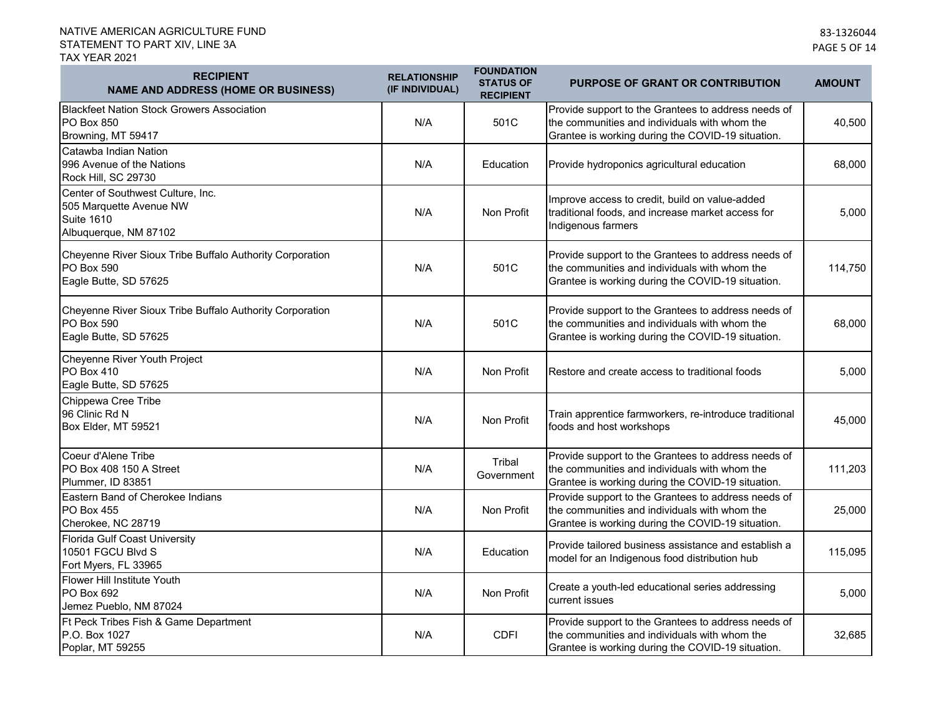| <b>RECIPIENT</b><br><b>NAME AND ADDRESS (HOME OR BUSINESS)</b>                                             | <b>RELATIONSHIP</b><br>(IF INDIVIDUAL) | <b>FOUNDATION</b><br><b>STATUS OF</b><br><b>RECIPIENT</b> | <b>PURPOSE OF GRANT OR CONTRIBUTION</b>                                                                                                                   | <b>AMOUNT</b> |
|------------------------------------------------------------------------------------------------------------|----------------------------------------|-----------------------------------------------------------|-----------------------------------------------------------------------------------------------------------------------------------------------------------|---------------|
| <b>Blackfeet Nation Stock Growers Association</b><br><b>PO Box 850</b><br>Browning, MT 59417               | N/A                                    | 501C                                                      | Provide support to the Grantees to address needs of<br>the communities and individuals with whom the<br>Grantee is working during the COVID-19 situation. | 40,500        |
| Catawba Indian Nation<br>996 Avenue of the Nations<br>Rock Hill, SC 29730                                  | N/A                                    | Education                                                 | Provide hydroponics agricultural education                                                                                                                | 68,000        |
| Center of Southwest Culture, Inc.<br>505 Marquette Avenue NW<br><b>Suite 1610</b><br>Albuquerque, NM 87102 | N/A                                    | Non Profit                                                | Improve access to credit, build on value-added<br>traditional foods, and increase market access for<br>Indigenous farmers                                 | 5,000         |
| Cheyenne River Sioux Tribe Buffalo Authority Corporation<br>PO Box 590<br>Eagle Butte, SD 57625            | N/A                                    | 501C                                                      | Provide support to the Grantees to address needs of<br>the communities and individuals with whom the<br>Grantee is working during the COVID-19 situation. | 114,750       |
| Cheyenne River Sioux Tribe Buffalo Authority Corporation<br>PO Box 590<br>Eagle Butte, SD 57625            | N/A                                    | 501C                                                      | Provide support to the Grantees to address needs of<br>the communities and individuals with whom the<br>Grantee is working during the COVID-19 situation. | 68,000        |
| Cheyenne River Youth Project<br>PO Box 410<br>Eagle Butte, SD 57625                                        | N/A                                    | Non Profit                                                | Restore and create access to traditional foods                                                                                                            | 5,000         |
| Chippewa Cree Tribe<br>96 Clinic Rd N<br>Box Elder, MT 59521                                               | N/A                                    | Non Profit                                                | Train apprentice farmworkers, re-introduce traditional<br>foods and host workshops                                                                        | 45,000        |
| Coeur d'Alene Tribe<br>PO Box 408 150 A Street<br>Plummer, ID 83851                                        | N/A                                    | Tribal<br>Government                                      | Provide support to the Grantees to address needs of<br>the communities and individuals with whom the<br>Grantee is working during the COVID-19 situation. | 111,203       |
| Eastern Band of Cherokee Indians<br>PO Box 455<br>Cherokee, NC 28719                                       | N/A                                    | Non Profit                                                | Provide support to the Grantees to address needs of<br>the communities and individuals with whom the<br>Grantee is working during the COVID-19 situation. | 25,000        |
| Florida Gulf Coast University<br>10501 FGCU Blvd S<br>Fort Myers, FL 33965                                 | N/A                                    | Education                                                 | Provide tailored business assistance and establish a<br>model for an Indigenous food distribution hub                                                     | 115,095       |
| Flower Hill Institute Youth<br>PO Box 692<br>Jemez Pueblo, NM 87024                                        | N/A                                    | Non Profit                                                | Create a youth-led educational series addressing<br>current issues                                                                                        | 5,000         |
| Ft Peck Tribes Fish & Game Department<br>P.O. Box 1027<br>Poplar, MT 59255                                 | N/A                                    | <b>CDFI</b>                                               | Provide support to the Grantees to address needs of<br>the communities and individuals with whom the<br>Grantee is working during the COVID-19 situation. | 32,685        |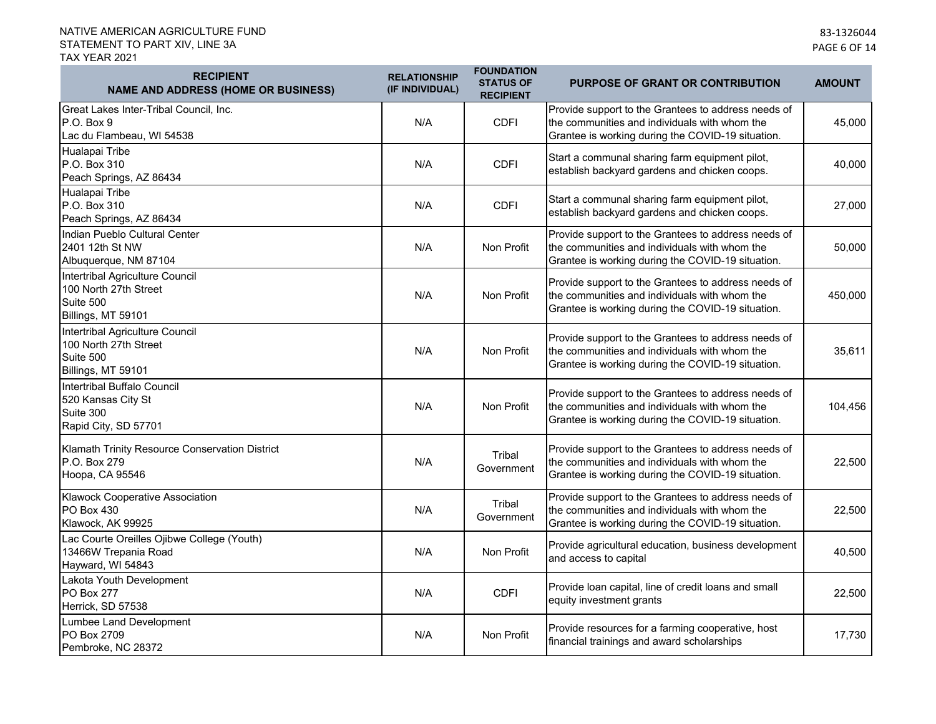| <b>RECIPIENT</b><br><b>NAME AND ADDRESS (HOME OR BUSINESS)</b>                              | <b>RELATIONSHIP</b><br>(IF INDIVIDUAL) | <b>FOUNDATION</b><br><b>STATUS OF</b><br><b>RECIPIENT</b> | <b>PURPOSE OF GRANT OR CONTRIBUTION</b>                                                                                                                   | <b>AMOUNT</b> |
|---------------------------------------------------------------------------------------------|----------------------------------------|-----------------------------------------------------------|-----------------------------------------------------------------------------------------------------------------------------------------------------------|---------------|
| Great Lakes Inter-Tribal Council, Inc.<br>P.O. Box 9<br>Lac du Flambeau, WI 54538           | N/A                                    | <b>CDFI</b>                                               | Provide support to the Grantees to address needs of<br>the communities and individuals with whom the<br>Grantee is working during the COVID-19 situation. | 45,000        |
| Hualapai Tribe<br>P.O. Box 310<br>Peach Springs, AZ 86434                                   | N/A                                    | <b>CDFI</b>                                               | Start a communal sharing farm equipment pilot,<br>establish backyard gardens and chicken coops.                                                           | 40,000        |
| Hualapai Tribe<br>P.O. Box 310<br>Peach Springs, AZ 86434                                   | N/A                                    | <b>CDFI</b>                                               | Start a communal sharing farm equipment pilot,<br>establish backyard gardens and chicken coops.                                                           | 27,000        |
| Indian Pueblo Cultural Center<br>2401 12th St NW<br>Albuquerque, NM 87104                   | N/A                                    | Non Profit                                                | Provide support to the Grantees to address needs of<br>the communities and individuals with whom the<br>Grantee is working during the COVID-19 situation. | 50,000        |
| Intertribal Agriculture Council<br>100 North 27th Street<br>Suite 500<br>Billings, MT 59101 | N/A                                    | Non Profit                                                | Provide support to the Grantees to address needs of<br>the communities and individuals with whom the<br>Grantee is working during the COVID-19 situation. | 450,000       |
| Intertribal Agriculture Council<br>100 North 27th Street<br>Suite 500<br>Billings, MT 59101 | N/A                                    | Non Profit                                                | Provide support to the Grantees to address needs of<br>the communities and individuals with whom the<br>Grantee is working during the COVID-19 situation. | 35,611        |
| Intertribal Buffalo Council<br>520 Kansas City St<br>Suite 300<br>Rapid City, SD 57701      | N/A                                    | Non Profit                                                | Provide support to the Grantees to address needs of<br>the communities and individuals with whom the<br>Grantee is working during the COVID-19 situation. | 104,456       |
| Klamath Trinity Resource Conservation District<br>P.O. Box 279<br>Hoopa, CA 95546           | N/A                                    | Tribal<br>Government                                      | Provide support to the Grantees to address needs of<br>the communities and individuals with whom the<br>Grantee is working during the COVID-19 situation. | 22,500        |
| <b>Klawock Cooperative Association</b><br>PO Box 430<br>Klawock, AK 99925                   | N/A                                    | Tribal<br>Government                                      | Provide support to the Grantees to address needs of<br>the communities and individuals with whom the<br>Grantee is working during the COVID-19 situation. | 22,500        |
| Lac Courte Oreilles Ojibwe College (Youth)<br>13466W Trepania Road<br>Hayward, WI 54843     | N/A                                    | Non Profit                                                | Provide agricultural education, business development<br>and access to capital                                                                             | 40,500        |
| Lakota Youth Development<br><b>PO Box 277</b><br>Herrick, SD 57538                          | N/A                                    | <b>CDFI</b>                                               | Provide loan capital, line of credit loans and small<br>equity investment grants                                                                          | 22,500        |
| Lumbee Land Development<br>PO Box 2709<br>Pembroke, NC 28372                                | N/A                                    | Non Profit                                                | Provide resources for a farming cooperative, host<br>financial trainings and award scholarships                                                           | 17,730        |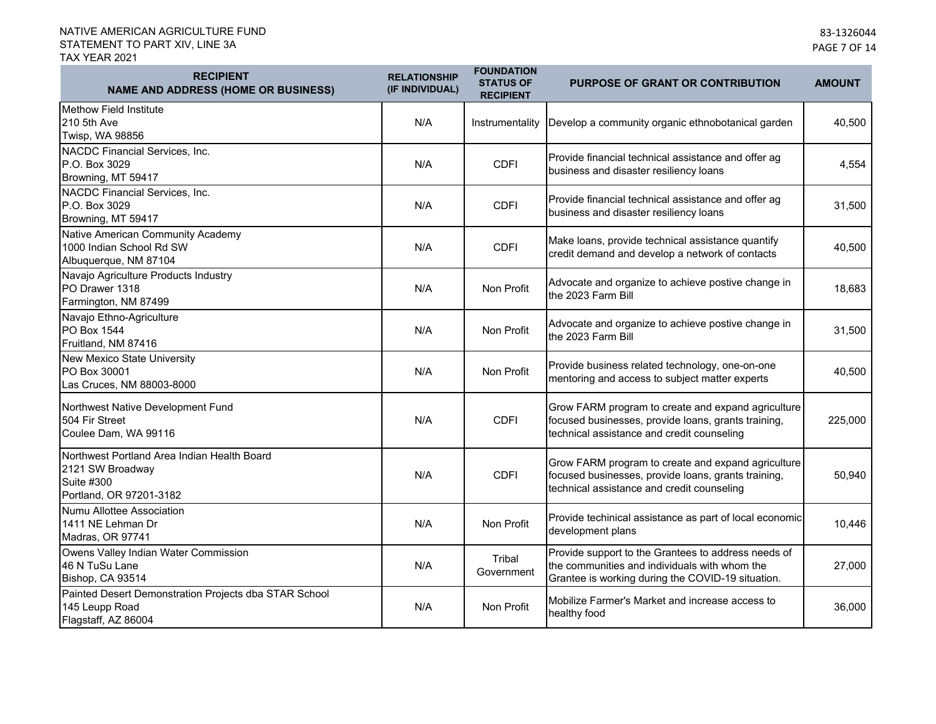| <b>RECIPIENT</b><br><b>NAME AND ADDRESS (HOME OR BUSINESS)</b>                                           | <b>RELATIONSHIP</b><br>(IF INDIVIDUAL) | <b>FOUNDATION</b><br><b>STATUS OF</b><br><b>RECIPIENT</b> | <b>PURPOSE OF GRANT OR CONTRIBUTION</b>                                                                                                                   | <b>AMOUNT</b> |
|----------------------------------------------------------------------------------------------------------|----------------------------------------|-----------------------------------------------------------|-----------------------------------------------------------------------------------------------------------------------------------------------------------|---------------|
| Methow Field Institute<br>210 5th Ave<br>Twisp, WA 98856                                                 | N/A                                    | Instrumentality                                           | Develop a community organic ethnobotanical garden                                                                                                         | 40,500        |
| NACDC Financial Services, Inc.<br>P.O. Box 3029<br>Browning, MT 59417                                    | N/A                                    | <b>CDFI</b>                                               | Provide financial technical assistance and offer ag<br>business and disaster resiliency loans                                                             | 4,554         |
| NACDC Financial Services, Inc.<br>P.O. Box 3029<br>Browning, MT 59417                                    | N/A                                    | <b>CDFI</b>                                               | Provide financial technical assistance and offer ag<br>business and disaster resiliency loans                                                             | 31,500        |
| Native American Community Academy<br>1000 Indian School Rd SW<br>Albuquerque, NM 87104                   | N/A                                    | <b>CDFI</b>                                               | Make loans, provide technical assistance quantify<br>credit demand and develop a network of contacts                                                      | 40,500        |
| Navajo Agriculture Products Industry<br>PO Drawer 1318<br>Farmington, NM 87499                           | N/A                                    | Non Profit                                                | Advocate and organize to achieve postive change in<br>the 2023 Farm Bill                                                                                  | 18,683        |
| Navajo Ethno-Agriculture<br>PO Box 1544<br>Fruitland, NM 87416                                           | N/A                                    | Non Profit                                                | Advocate and organize to achieve postive change in<br>the 2023 Farm Bill                                                                                  | 31,500        |
| New Mexico State University<br>PO Box 30001<br>Las Cruces, NM 88003-8000                                 | N/A                                    | Non Profit                                                | Provide business related technology, one-on-one<br>mentoring and access to subject matter experts                                                         | 40,500        |
| Northwest Native Development Fund<br>504 Fir Street<br>Coulee Dam, WA 99116                              | N/A                                    | <b>CDFI</b>                                               | Grow FARM program to create and expand agriculture<br>focused businesses, provide loans, grants training,<br>technical assistance and credit counseling   | 225,000       |
| Northwest Portland Area Indian Health Board<br>2121 SW Broadway<br>Suite #300<br>Portland, OR 97201-3182 | N/A                                    | <b>CDFI</b>                                               | Grow FARM program to create and expand agriculture<br>focused businesses, provide loans, grants training,<br>technical assistance and credit counseling   | 50,940        |
| Numu Allottee Association<br>1411 NE Lehman Dr<br>Madras, OR 97741                                       | N/A                                    | Non Profit                                                | Provide techinical assistance as part of local economic<br>development plans                                                                              | 10,446        |
| Owens Valley Indian Water Commission<br>46 N TuSu Lane<br>Bishop, CA 93514                               | N/A                                    | Tribal<br>Government                                      | Provide support to the Grantees to address needs of<br>the communities and individuals with whom the<br>Grantee is working during the COVID-19 situation. | 27,000        |
| Painted Desert Demonstration Projects dba STAR School<br>145 Leupp Road<br>Flagstaff, AZ 86004           | N/A                                    | Non Profit                                                | Mobilize Farmer's Market and increase access to<br>healthy food                                                                                           | 36,000        |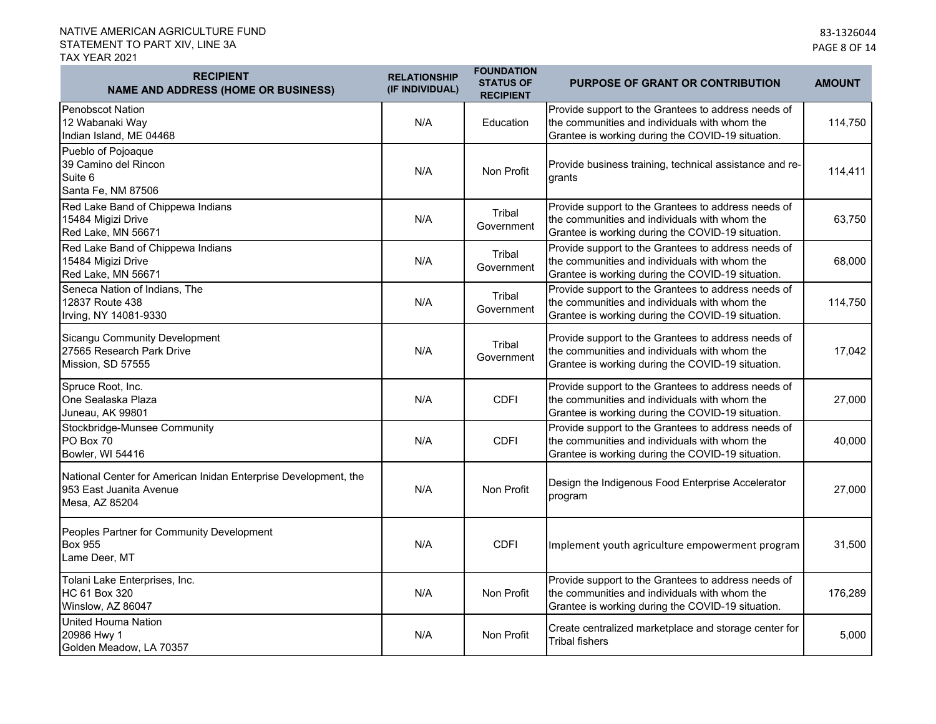| <b>RECIPIENT</b><br><b>NAME AND ADDRESS (HOME OR BUSINESS)</b>                                               | <b>RELATIONSHIP</b><br>(IF INDIVIDUAL) | <b>FOUNDATION</b><br><b>STATUS OF</b><br><b>RECIPIENT</b> | <b>PURPOSE OF GRANT OR CONTRIBUTION</b>                                                                                                                   | <b>AMOUNT</b> |
|--------------------------------------------------------------------------------------------------------------|----------------------------------------|-----------------------------------------------------------|-----------------------------------------------------------------------------------------------------------------------------------------------------------|---------------|
| Penobscot Nation<br>12 Wabanaki Way<br>Indian Island, ME 04468                                               | N/A                                    | Education                                                 | Provide support to the Grantees to address needs of<br>the communities and individuals with whom the<br>Grantee is working during the COVID-19 situation. | 114,750       |
| Pueblo of Pojoaque<br>39 Camino del Rincon<br>Suite 6<br>Santa Fe, NM 87506                                  | N/A                                    | Non Profit                                                | Provide business training, technical assistance and re-<br>grants                                                                                         | 114,411       |
| Red Lake Band of Chippewa Indians<br>15484 Migizi Drive<br>Red Lake, MN 56671                                | N/A                                    | Tribal<br>Government                                      | Provide support to the Grantees to address needs of<br>the communities and individuals with whom the<br>Grantee is working during the COVID-19 situation. | 63,750        |
| Red Lake Band of Chippewa Indians<br>15484 Migizi Drive<br>Red Lake, MN 56671                                | N/A                                    | Tribal<br>Government                                      | Provide support to the Grantees to address needs of<br>the communities and individuals with whom the<br>Grantee is working during the COVID-19 situation. | 68,000        |
| Seneca Nation of Indians, The<br>12837 Route 438<br>Irving, NY 14081-9330                                    | N/A                                    | Tribal<br>Government                                      | Provide support to the Grantees to address needs of<br>the communities and individuals with whom the<br>Grantee is working during the COVID-19 situation. | 114,750       |
| Sicangu Community Development<br>27565 Research Park Drive<br>Mission, SD 57555                              | N/A                                    | Tribal<br>Government                                      | Provide support to the Grantees to address needs of<br>the communities and individuals with whom the<br>Grantee is working during the COVID-19 situation. | 17,042        |
| Spruce Root, Inc.<br>One Sealaska Plaza<br>Juneau, AK 99801                                                  | N/A                                    | <b>CDFI</b>                                               | Provide support to the Grantees to address needs of<br>the communities and individuals with whom the<br>Grantee is working during the COVID-19 situation. | 27,000        |
| Stockbridge-Munsee Community<br>PO Box 70<br>Bowler, WI 54416                                                | N/A                                    | <b>CDFI</b>                                               | Provide support to the Grantees to address needs of<br>the communities and individuals with whom the<br>Grantee is working during the COVID-19 situation. | 40,000        |
| National Center for American Inidan Enterprise Development, the<br>953 East Juanita Avenue<br>Mesa, AZ 85204 | N/A                                    | Non Profit                                                | Design the Indigenous Food Enterprise Accelerator<br>program                                                                                              | 27,000        |
| Peoples Partner for Community Development<br><b>Box 955</b><br>Lame Deer, MT                                 | N/A                                    | <b>CDFI</b>                                               | Implement youth agriculture empowerment program                                                                                                           | 31,500        |
| Tolani Lake Enterprises, Inc.<br>HC 61 Box 320<br>Winslow, AZ 86047                                          | N/A                                    | Non Profit                                                | Provide support to the Grantees to address needs of<br>the communities and individuals with whom the<br>Grantee is working during the COVID-19 situation. | 176,289       |
| United Houma Nation<br>20986 Hwy 1<br>Golden Meadow, LA 70357                                                | N/A                                    | Non Profit                                                | Create centralized marketplace and storage center for<br><b>Tribal fishers</b>                                                                            | 5,000         |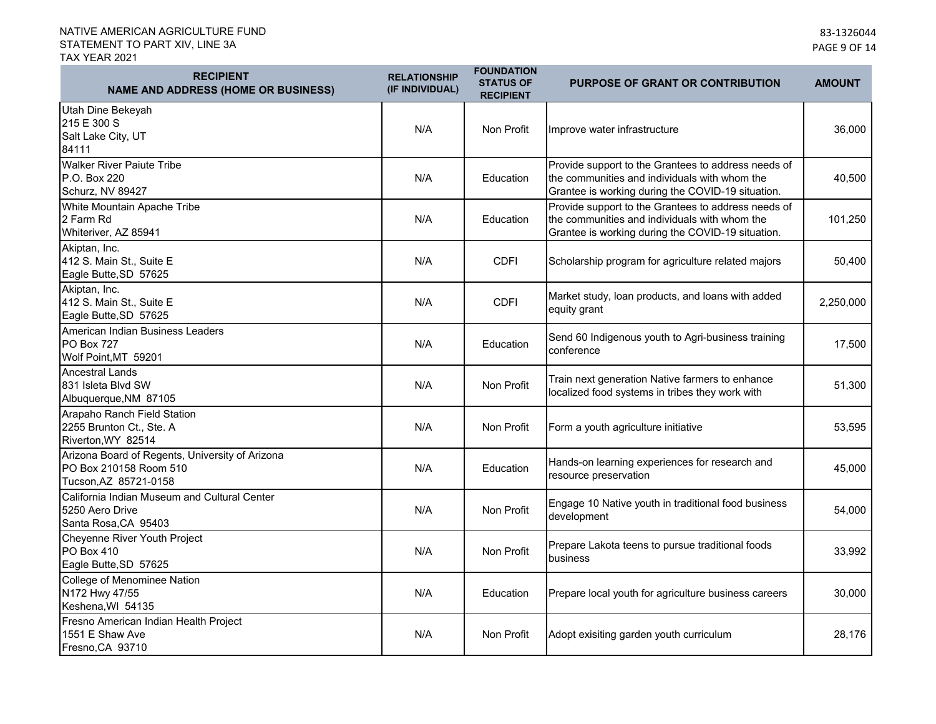| <b>RECIPIENT</b><br><b>NAME AND ADDRESS (HOME OR BUSINESS)</b>                                     | <b>RELATIONSHIP</b><br>(IF INDIVIDUAL) | <b>FOUNDATION</b><br><b>STATUS OF</b><br><b>RECIPIENT</b> | <b>PURPOSE OF GRANT OR CONTRIBUTION</b>                                                                                                                   | <b>AMOUNT</b> |
|----------------------------------------------------------------------------------------------------|----------------------------------------|-----------------------------------------------------------|-----------------------------------------------------------------------------------------------------------------------------------------------------------|---------------|
| Utah Dine Bekeyah<br>215 E 300 S<br>Salt Lake City, UT<br>84111                                    | N/A                                    | Non Profit                                                | Improve water infrastructure                                                                                                                              | 36,000        |
| <b>Walker River Paiute Tribe</b><br>P.O. Box 220<br>Schurz, NV 89427                               | N/A                                    | Education                                                 | Provide support to the Grantees to address needs of<br>the communities and individuals with whom the<br>Grantee is working during the COVID-19 situation. | 40,500        |
| White Mountain Apache Tribe<br>2 Farm Rd<br>Whiteriver, AZ 85941                                   | N/A                                    | Education                                                 | Provide support to the Grantees to address needs of<br>the communities and individuals with whom the<br>Grantee is working during the COVID-19 situation. | 101,250       |
| Akiptan, Inc.<br>412 S. Main St., Suite E<br>Eagle Butte, SD 57625                                 | N/A                                    | <b>CDFI</b>                                               | Scholarship program for agriculture related majors                                                                                                        | 50,400        |
| Akiptan, Inc.<br>412 S. Main St., Suite E<br>Eagle Butte, SD 57625                                 | N/A                                    | <b>CDFI</b>                                               | Market study, loan products, and loans with added<br>equity grant                                                                                         | 2,250,000     |
| American Indian Business Leaders<br><b>PO Box 727</b><br>Wolf Point, MT 59201                      | N/A                                    | Education                                                 | Send 60 Indigenous youth to Agri-business training<br>conference                                                                                          | 17,500        |
| Ancestral Lands<br>831 Isleta Blvd SW<br>Albuquerque, NM 87105                                     | N/A                                    | Non Profit                                                | Train next generation Native farmers to enhance<br>localized food systems in tribes they work with                                                        | 51,300        |
| Arapaho Ranch Field Station<br>2255 Brunton Ct., Ste. A<br>Riverton, WY 82514                      | N/A                                    | Non Profit                                                | Form a youth agriculture initiative                                                                                                                       | 53,595        |
| Arizona Board of Regents, University of Arizona<br>PO Box 210158 Room 510<br>Tucson, AZ 85721-0158 | N/A                                    | Education                                                 | Hands-on learning experiences for research and<br>resource preservation                                                                                   | 45,000        |
| California Indian Museum and Cultural Center<br>5250 Aero Drive<br>Santa Rosa, CA 95403            | N/A                                    | Non Profit                                                | Engage 10 Native youth in traditional food business<br>development                                                                                        | 54,000        |
| Cheyenne River Youth Project<br>PO Box 410<br>Eagle Butte, SD 57625                                | N/A                                    | Non Profit                                                | Prepare Lakota teens to pursue traditional foods<br>business                                                                                              | 33,992        |
| College of Menominee Nation<br>N172 Hwy 47/55<br>Keshena, WI 54135                                 | N/A                                    | Education                                                 | Prepare local youth for agriculture business careers                                                                                                      | 30,000        |
| Fresno American Indian Health Project<br>1551 E Shaw Ave<br>Fresno, CA 93710                       | N/A                                    | Non Profit                                                | Adopt exisiting garden youth curriculum                                                                                                                   | 28,176        |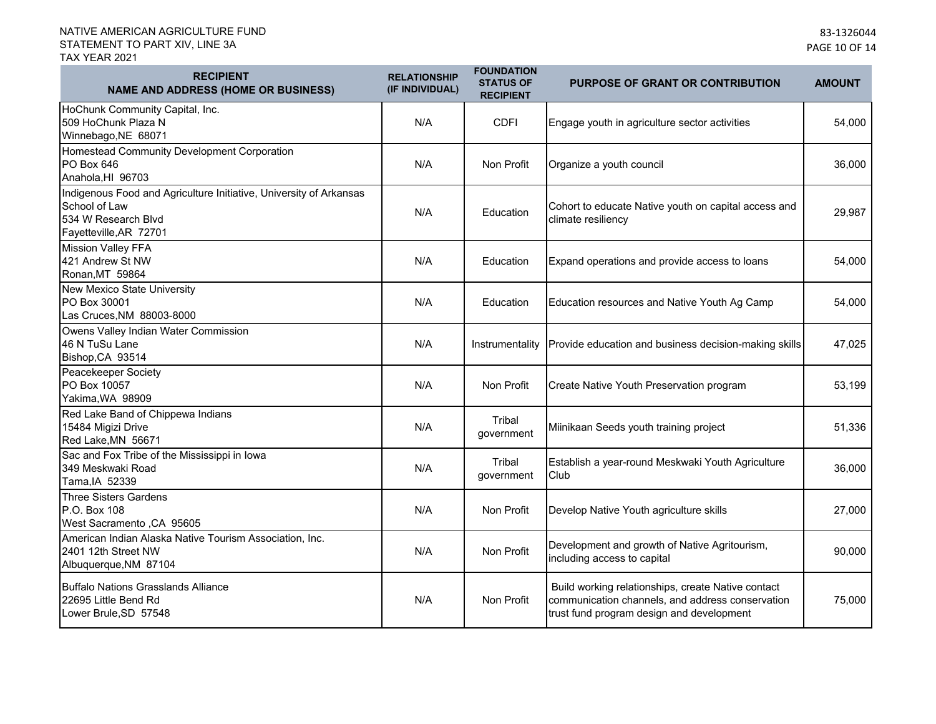| <b>RECIPIENT</b><br><b>NAME AND ADDRESS (HOME OR BUSINESS)</b>                                                                       | <b>RELATIONSHIP</b><br>(IF INDIVIDUAL) | <b>FOUNDATION</b><br><b>STATUS OF</b><br><b>RECIPIENT</b> | <b>PURPOSE OF GRANT OR CONTRIBUTION</b>                                                                                                             | <b>AMOUNT</b> |
|--------------------------------------------------------------------------------------------------------------------------------------|----------------------------------------|-----------------------------------------------------------|-----------------------------------------------------------------------------------------------------------------------------------------------------|---------------|
| HoChunk Community Capital, Inc.<br>509 HoChunk Plaza N<br>Winnebago, NE 68071                                                        | N/A                                    | <b>CDFI</b>                                               | Engage youth in agriculture sector activities                                                                                                       | 54,000        |
| Homestead Community Development Corporation<br>PO Box 646<br>Anahola, HI 96703                                                       | N/A                                    | Non Profit                                                | Organize a youth council                                                                                                                            | 36,000        |
| Indigenous Food and Agriculture Initiative, University of Arkansas<br>School of Law<br>534 W Research Blvd<br>Fayetteville, AR 72701 | N/A                                    | Education                                                 | Cohort to educate Native youth on capital access and<br>climate resiliency                                                                          | 29,987        |
| <b>Mission Valley FFA</b><br>421 Andrew St NW<br>Ronan, MT 59864                                                                     | N/A                                    | Education                                                 | Expand operations and provide access to loans                                                                                                       | 54,000        |
| New Mexico State University<br><b>PO Box 30001</b><br>Las Cruces, NM 88003-8000                                                      | N/A                                    | Education                                                 | Education resources and Native Youth Ag Camp                                                                                                        | 54,000        |
| Owens Valley Indian Water Commission<br>46 N TuSu Lane<br>Bishop, CA 93514                                                           | N/A                                    | Instrumentality                                           | Provide education and business decision-making skills                                                                                               | 47,025        |
| Peacekeeper Society<br>PO Box 10057<br>Yakima, WA 98909                                                                              | N/A                                    | Non Profit                                                | Create Native Youth Preservation program                                                                                                            | 53,199        |
| Red Lake Band of Chippewa Indians<br>15484 Migizi Drive<br>Red Lake, MN 56671                                                        | N/A                                    | Tribal<br>government                                      | Miinikaan Seeds youth training project                                                                                                              | 51,336        |
| Sac and Fox Tribe of the Mississippi in Iowa<br>349 Meskwaki Road<br>Tama, IA 52339                                                  | N/A                                    | Tribal<br>government                                      | Establish a year-round Meskwaki Youth Agriculture<br>Club                                                                                           | 36,000        |
| <b>Three Sisters Gardens</b><br>P.O. Box 108<br>West Sacramento , CA 95605                                                           | N/A                                    | Non Profit                                                | Develop Native Youth agriculture skills                                                                                                             | 27,000        |
| American Indian Alaska Native Tourism Association, Inc.<br>2401 12th Street NW<br>Albuquerque, NM 87104                              | N/A                                    | Non Profit                                                | Development and growth of Native Agritourism,<br>including access to capital                                                                        | 90,000        |
| Buffalo Nations Grasslands Alliance<br>22695 Little Bend Rd<br>Lower Brule, SD 57548                                                 | N/A                                    | Non Profit                                                | Build working relationships, create Native contact<br>communication channels, and address conservation<br>trust fund program design and development | 75,000        |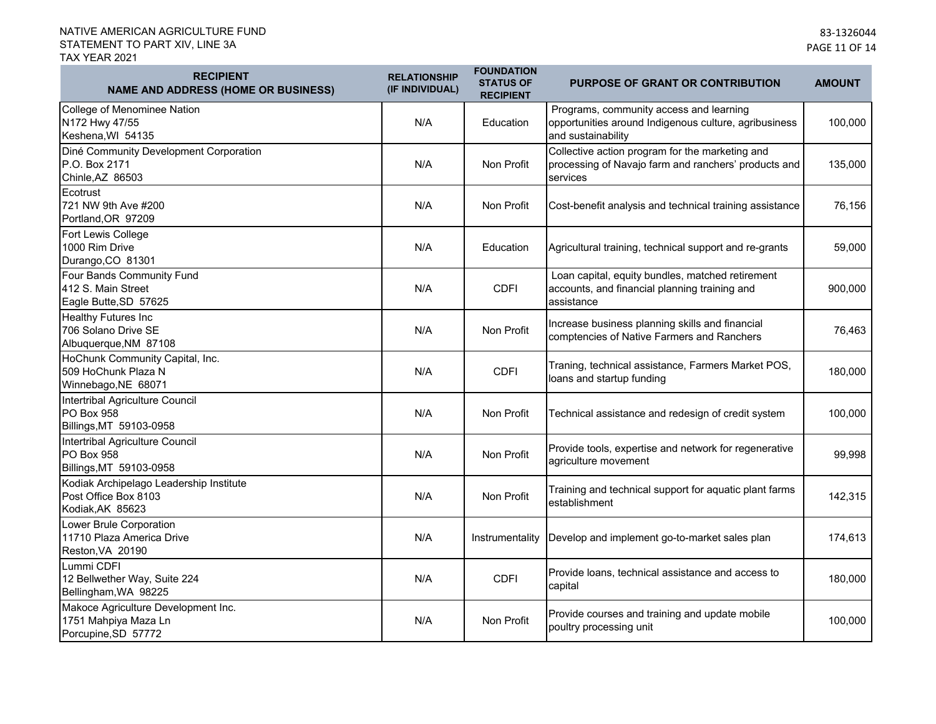| <b>RECIPIENT</b><br><b>NAME AND ADDRESS (HOME OR BUSINESS)</b>                      | <b>RELATIONSHIP</b><br>(IF INDIVIDUAL) | <b>FOUNDATION</b><br><b>STATUS OF</b><br><b>RECIPIENT</b> | <b>PURPOSE OF GRANT OR CONTRIBUTION</b>                                                                                | <b>AMOUNT</b> |
|-------------------------------------------------------------------------------------|----------------------------------------|-----------------------------------------------------------|------------------------------------------------------------------------------------------------------------------------|---------------|
| College of Menominee Nation<br>N172 Hwy 47/55<br>Keshena, WI 54135                  | N/A                                    | Education                                                 | Programs, community access and learning<br>opportunities around Indigenous culture, agribusiness<br>and sustainability | 100,000       |
| Diné Community Development Corporation<br>P.O. Box 2171<br>Chinle, AZ 86503         | N/A                                    | Non Profit                                                | Collective action program for the marketing and<br>processing of Navajo farm and ranchers' products and<br>services    | 135,000       |
| Ecotrust<br>721 NW 9th Ave #200<br>Portland, OR 97209                               | N/A                                    | Non Profit                                                | Cost-benefit analysis and technical training assistance                                                                | 76,156        |
| Fort Lewis College<br>1000 Rim Drive<br>Durango, CO 81301                           | N/A                                    | Education                                                 | Agricultural training, technical support and re-grants                                                                 | 59,000        |
| Four Bands Community Fund<br>412 S. Main Street<br>Eagle Butte, SD 57625            | N/A                                    | <b>CDFI</b>                                               | Loan capital, equity bundles, matched retirement<br>accounts, and financial planning training and<br>assistance        | 900,000       |
| Healthy Futures Inc<br>706 Solano Drive SE<br>Albuquerque, NM 87108                 | N/A                                    | Non Profit                                                | Increase business planning skills and financial<br>comptencies of Native Farmers and Ranchers                          | 76,463        |
| HoChunk Community Capital, Inc.<br>509 HoChunk Plaza N<br>Winnebago, NE 68071       | N/A                                    | <b>CDFI</b>                                               | Traning, technical assistance, Farmers Market POS,<br>loans and startup funding                                        | 180,000       |
| Intertribal Agriculture Council<br>PO Box 958<br>Billings, MT 59103-0958            | N/A                                    | Non Profit                                                | Technical assistance and redesign of credit system                                                                     | 100,000       |
| Intertribal Agriculture Council<br><b>PO Box 958</b><br>Billings, MT 59103-0958     | N/A                                    | Non Profit                                                | Provide tools, expertise and network for regenerative<br>agriculture movement                                          | 99,998        |
| Kodiak Archipelago Leadership Institute<br>Post Office Box 8103<br>Kodiak, AK 85623 | N/A                                    | Non Profit                                                | Training and technical support for aquatic plant farms<br>establishment                                                | 142,315       |
| Lower Brule Corporation<br>11710 Plaza America Drive<br>Reston, VA 20190            | N/A                                    | Instrumentality                                           | Develop and implement go-to-market sales plan                                                                          | 174,613       |
| Lummi CDFI<br>12 Bellwether Way, Suite 224<br>Bellingham, WA 98225                  | N/A                                    | <b>CDFI</b>                                               | Provide loans, technical assistance and access to<br>capital                                                           | 180,000       |
| Makoce Agriculture Development Inc.<br>1751 Mahpiya Maza Ln<br>Porcupine, SD 57772  | N/A                                    | Non Profit                                                | Provide courses and training and update mobile<br>poultry processing unit                                              | 100,000       |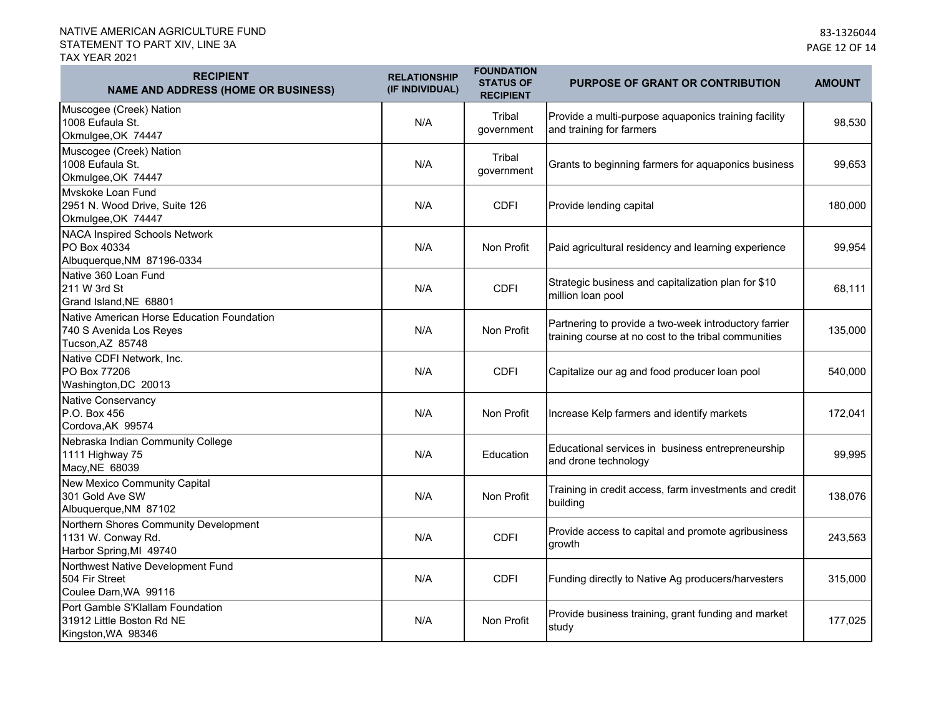| <b>RECIPIENT</b><br><b>NAME AND ADDRESS (HOME OR BUSINESS)</b>                            | <b>RELATIONSHIP</b><br>(IF INDIVIDUAL) | <b>FOUNDATION</b><br><b>STATUS OF</b><br><b>RECIPIENT</b> | <b>PURPOSE OF GRANT OR CONTRIBUTION</b>                                                                       | <b>AMOUNT</b> |
|-------------------------------------------------------------------------------------------|----------------------------------------|-----------------------------------------------------------|---------------------------------------------------------------------------------------------------------------|---------------|
| Muscogee (Creek) Nation<br>1008 Eufaula St.<br>Okmulgee, OK 74447                         | N/A                                    | Tribal<br>government                                      | Provide a multi-purpose aquaponics training facility<br>and training for farmers                              | 98,530        |
| Muscogee (Creek) Nation<br>1008 Eufaula St.<br>Okmulgee, OK 74447                         | N/A                                    | Tribal<br>government                                      | Grants to beginning farmers for aquaponics business                                                           | 99,653        |
| Myskoke Loan Fund<br>2951 N. Wood Drive, Suite 126<br>Okmulgee, OK 74447                  | N/A                                    | <b>CDFI</b>                                               | Provide lending capital                                                                                       | 180,000       |
| <b>NACA Inspired Schools Network</b><br>PO Box 40334<br>Albuquerque, NM 87196-0334        | N/A                                    | Non Profit                                                | Paid agricultural residency and learning experience                                                           | 99,954        |
| Native 360 Loan Fund<br>211 W 3rd St<br>Grand Island, NE 68801                            | N/A                                    | <b>CDFI</b>                                               | Strategic business and capitalization plan for \$10<br>million loan pool                                      | 68,111        |
| Native American Horse Education Foundation<br>740 S Avenida Los Reyes<br>Tucson, AZ 85748 | N/A                                    | Non Profit                                                | Partnering to provide a two-week introductory farrier<br>training course at no cost to the tribal communities | 135,000       |
| Native CDFI Network, Inc.<br>PO Box 77206<br>Washington, DC 20013                         | N/A                                    | <b>CDFI</b>                                               | Capitalize our ag and food producer loan pool                                                                 | 540,000       |
| Native Conservancy<br>P.O. Box 456<br>Cordova, AK 99574                                   | N/A                                    | Non Profit                                                | Increase Kelp farmers and identify markets                                                                    | 172,041       |
| Nebraska Indian Community College<br>1111 Highway 75<br>Macy, NE 68039                    | N/A                                    | Education                                                 | Educational services in business entrepreneurship<br>and drone technology                                     | 99,995        |
| New Mexico Community Capital<br>301 Gold Ave SW<br>Albuquerque, NM 87102                  | N/A                                    | Non Profit                                                | Training in credit access, farm investments and credit<br>building                                            | 138,076       |
| Northern Shores Community Development<br>1131 W. Conway Rd.<br>Harbor Spring, MI 49740    | N/A                                    | <b>CDFI</b>                                               | Provide access to capital and promote agribusiness<br>growth                                                  | 243,563       |
| Northwest Native Development Fund<br>504 Fir Street<br>Coulee Dam, WA 99116               | N/A                                    | <b>CDFI</b>                                               | Funding directly to Native Ag producers/harvesters                                                            | 315,000       |
| Port Gamble S'Klallam Foundation<br>31912 Little Boston Rd NE<br>Kingston, WA 98346       | N/A                                    | Non Profit                                                | Provide business training, grant funding and market<br>study                                                  | 177,025       |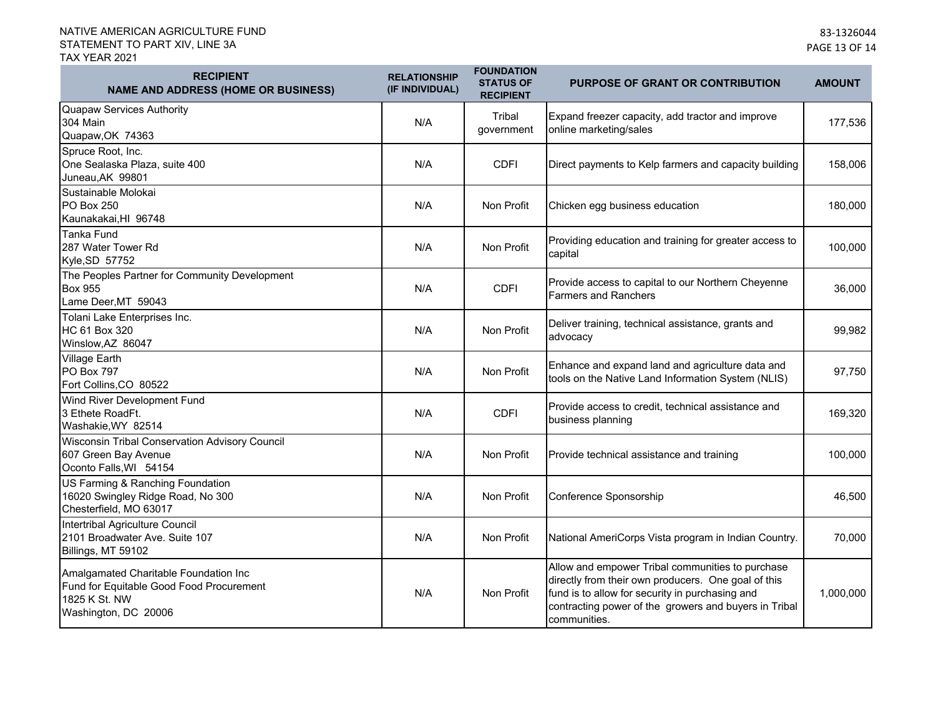| <b>RECIPIENT</b><br><b>NAME AND ADDRESS (HOME OR BUSINESS)</b>                                                             | <b>RELATIONSHIP</b><br>(IF INDIVIDUAL) | <b>FOUNDATION</b><br><b>STATUS OF</b><br><b>RECIPIENT</b> | <b>PURPOSE OF GRANT OR CONTRIBUTION</b>                                                                                                                                                                                             | <b>AMOUNT</b> |
|----------------------------------------------------------------------------------------------------------------------------|----------------------------------------|-----------------------------------------------------------|-------------------------------------------------------------------------------------------------------------------------------------------------------------------------------------------------------------------------------------|---------------|
| Quapaw Services Authority<br>304 Main<br>Quapaw, OK 74363                                                                  | N/A                                    | Tribal<br>government                                      | Expand freezer capacity, add tractor and improve<br>online marketing/sales                                                                                                                                                          | 177,536       |
| Spruce Root, Inc.<br>One Sealaska Plaza, suite 400<br>Juneau, AK 99801                                                     | N/A                                    | <b>CDFI</b>                                               | Direct payments to Kelp farmers and capacity building                                                                                                                                                                               | 158,006       |
| Sustainable Molokai<br><b>PO Box 250</b><br>Kaunakakai, HI 96748                                                           | N/A                                    | Non Profit                                                | Chicken egg business education                                                                                                                                                                                                      | 180,000       |
| <b>Tanka Fund</b><br>287 Water Tower Rd<br>Kyle, SD 57752                                                                  | N/A                                    | Non Profit                                                | Providing education and training for greater access to<br>capital                                                                                                                                                                   | 100,000       |
| The Peoples Partner for Community Development<br><b>Box 955</b><br>Lame Deer, MT 59043                                     | N/A                                    | <b>CDFI</b>                                               | Provide access to capital to our Northern Cheyenne<br><b>Farmers and Ranchers</b>                                                                                                                                                   | 36,000        |
| Tolani Lake Enterprises Inc.<br>HC 61 Box 320<br>Winslow, AZ 86047                                                         | N/A                                    | Non Profit                                                | Deliver training, technical assistance, grants and<br>advocacy                                                                                                                                                                      | 99,982        |
| <b>Village Earth</b><br>PO Box 797<br>Fort Collins, CO 80522                                                               | N/A                                    | Non Profit                                                | Enhance and expand land and agriculture data and<br>tools on the Native Land Information System (NLIS)                                                                                                                              | 97,750        |
| Wind River Development Fund<br>3 Ethete RoadFt.<br>Washakie, WY 82514                                                      | N/A                                    | <b>CDFI</b>                                               | Provide access to credit, technical assistance and<br>business planning                                                                                                                                                             | 169,320       |
| Wisconsin Tribal Conservation Advisory Council<br>607 Green Bay Avenue<br>Oconto Falls, WI 54154                           | N/A                                    | Non Profit                                                | Provide technical assistance and training                                                                                                                                                                                           | 100,000       |
| US Farming & Ranching Foundation<br>16020 Swingley Ridge Road, No 300<br>Chesterfield, MO 63017                            | N/A                                    | Non Profit                                                | Conference Sponsorship                                                                                                                                                                                                              | 46,500        |
| Intertribal Agriculture Council<br>2101 Broadwater Ave. Suite 107<br>Billings, MT 59102                                    | N/A                                    | Non Profit                                                | National AmeriCorps Vista program in Indian Country.                                                                                                                                                                                | 70,000        |
| Amalgamated Charitable Foundation Inc<br>Fund for Equitable Good Food Procurement<br>1825 K St. NW<br>Washington, DC 20006 | N/A                                    | Non Profit                                                | Allow and empower Tribal communities to purchase<br>directly from their own producers. One goal of this<br>fund is to allow for security in purchasing and<br>contracting power of the growers and buyers in Tribal<br>communities. | 1,000,000     |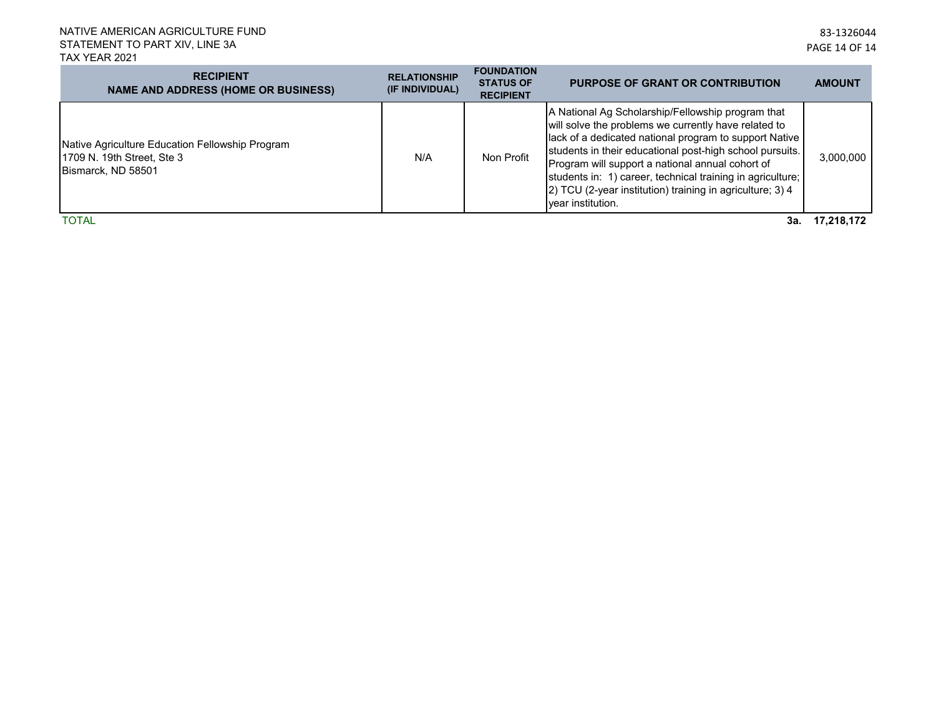| <b>RECIPIENT</b><br><b>NAME AND ADDRESS (HOME OR BUSINESS)</b>                                      | <b>RELATIONSHIP</b><br>(IF INDIVIDUAL) | <b>FOUNDATION</b><br><b>STATUS OF</b><br><b>RECIPIENT</b> | <b>PURPOSE OF GRANT OR CONTRIBUTION</b>                                                                                                                                                                                                                                                                                                                                                                                             | <b>AMOUNT</b> |
|-----------------------------------------------------------------------------------------------------|----------------------------------------|-----------------------------------------------------------|-------------------------------------------------------------------------------------------------------------------------------------------------------------------------------------------------------------------------------------------------------------------------------------------------------------------------------------------------------------------------------------------------------------------------------------|---------------|
| Native Agriculture Education Fellowship Program<br>1709 N. 19th Street, Ste 3<br>Bismarck, ND 58501 | N/A                                    | Non Profit                                                | A National Ag Scholarship/Fellowship program that<br>will solve the problems we currently have related to<br>lack of a dedicated national program to support Native<br>students in their educational post-high school pursuits.<br>Program will support a national annual cohort of<br>students in: 1) career, technical training in agriculture;<br>2) TCU (2-year institution) training in agriculture; 3) 4<br>vear institution. | 3,000,000     |
| <b>TOTAL</b>                                                                                        |                                        |                                                           | 3а.                                                                                                                                                                                                                                                                                                                                                                                                                                 | 17.218.172    |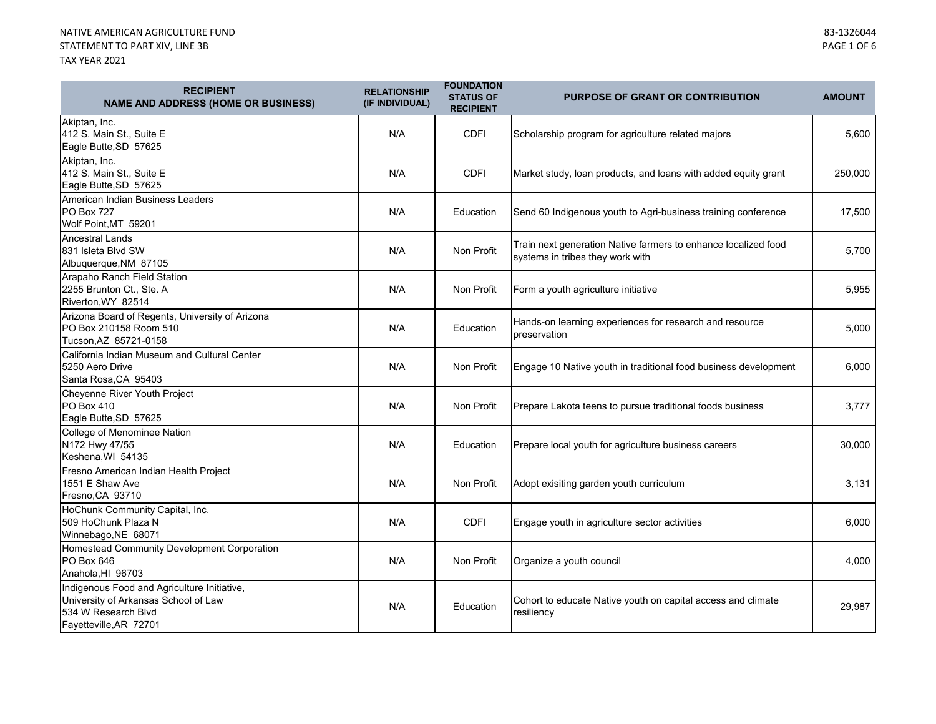×.

**Contract Contract Contract Contract** 

| <b>RECIPIENT</b><br><b>NAME AND ADDRESS (HOME OR BUSINESS)</b>                                                                       | <b>RELATIONSHIP</b><br>(IF INDIVIDUAL) | <b>FOUNDATION</b><br><b>STATUS OF</b><br><b>RECIPIENT</b> | <b>PURPOSE OF GRANT OR CONTRIBUTION</b>                                                            | <b>AMOUNT</b> |
|--------------------------------------------------------------------------------------------------------------------------------------|----------------------------------------|-----------------------------------------------------------|----------------------------------------------------------------------------------------------------|---------------|
| Akiptan, Inc.<br>412 S. Main St., Suite E<br>Eagle Butte, SD 57625                                                                   | N/A                                    | <b>CDFI</b>                                               | Scholarship program for agriculture related majors                                                 | 5,600         |
| Akiptan, Inc.<br>412 S. Main St., Suite E<br>Eagle Butte, SD 57625                                                                   | N/A                                    | <b>CDFI</b>                                               | Market study, loan products, and loans with added equity grant                                     | 250,000       |
| American Indian Business Leaders<br><b>PO Box 727</b><br>Wolf Point, MT 59201                                                        | N/A                                    | Education                                                 | Send 60 Indigenous youth to Agri-business training conference                                      | 17,500        |
| <b>Ancestral Lands</b><br>831 Isleta Blvd SW<br>Albuquerque, NM 87105                                                                | N/A                                    | Non Profit                                                | Train next generation Native farmers to enhance localized food<br>systems in tribes they work with | 5,700         |
| Arapaho Ranch Field Station<br>2255 Brunton Ct., Ste. A<br>Riverton, WY 82514                                                        | N/A                                    | Non Profit                                                | Form a youth agriculture initiative                                                                | 5,955         |
| Arizona Board of Regents, University of Arizona<br>PO Box 210158 Room 510<br>Tucson, AZ 85721-0158                                   | N/A                                    | Education                                                 | Hands-on learning experiences for research and resource<br>preservation                            | 5,000         |
| California Indian Museum and Cultural Center<br>5250 Aero Drive<br>Santa Rosa, CA 95403                                              | N/A                                    | Non Profit                                                | Engage 10 Native youth in traditional food business development                                    | 6,000         |
| Cheyenne River Youth Project<br>PO Box 410<br>Eagle Butte, SD 57625                                                                  | N/A                                    | Non Profit                                                | Prepare Lakota teens to pursue traditional foods business                                          | 3,777         |
| College of Menominee Nation<br>N172 Hwy 47/55<br>Keshena, WI 54135                                                                   | N/A                                    | Education                                                 | Prepare local youth for agriculture business careers                                               | 30,000        |
| Fresno American Indian Health Project<br>1551 E Shaw Ave<br>Fresno, CA 93710                                                         | N/A                                    | Non Profit                                                | Adopt exisiting garden youth curriculum                                                            | 3,131         |
| HoChunk Community Capital, Inc.<br>509 HoChunk Plaza N<br>Winnebago, NE 68071                                                        | N/A                                    | <b>CDFI</b>                                               | Engage youth in agriculture sector activities                                                      | 6,000         |
| Homestead Community Development Corporation<br>PO Box 646<br>Anahola, HI 96703                                                       | N/A                                    | Non Profit                                                | Organize a youth council                                                                           | 4,000         |
| Indigenous Food and Agriculture Initiative,<br>University of Arkansas School of Law<br>534 W Research Blvd<br>Fayetteville, AR 72701 | N/A                                    | Education                                                 | Cohort to educate Native youth on capital access and climate<br>resiliencv                         | 29,987        |

**Contract Contract Contract Contract**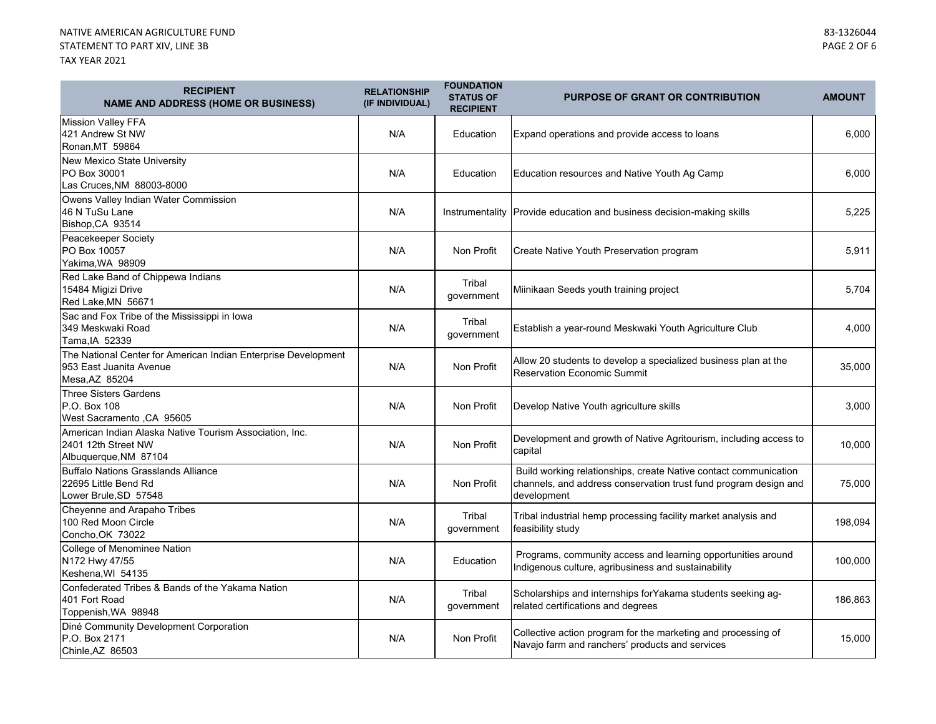| <b>RECIPIENT</b><br><b>NAME AND ADDRESS (HOME OR BUSINESS)</b>                                              | <b>RELATIONSHIP</b><br>(IF INDIVIDUAL) | <b>FOUNDATION</b><br><b>STATUS OF</b><br><b>RECIPIENT</b> | <b>PURPOSE OF GRANT OR CONTRIBUTION</b>                                                                                                             | <b>AMOUNT</b> |
|-------------------------------------------------------------------------------------------------------------|----------------------------------------|-----------------------------------------------------------|-----------------------------------------------------------------------------------------------------------------------------------------------------|---------------|
| <b>Mission Valley FFA</b><br>421 Andrew St NW<br>Ronan, MT 59864                                            | N/A                                    | Education                                                 | Expand operations and provide access to loans                                                                                                       | 6,000         |
| New Mexico State University<br>PO Box 30001<br>Las Cruces, NM 88003-8000                                    | N/A                                    | Education                                                 | Education resources and Native Youth Ag Camp                                                                                                        | 6,000         |
| Owens Valley Indian Water Commission<br>46 N TuSu Lane<br>Bishop, CA 93514                                  | N/A                                    |                                                           | Instrumentality Provide education and business decision-making skills                                                                               | 5,225         |
| Peacekeeper Society<br>PO Box 10057<br>Yakima.WA 98909                                                      | N/A                                    | Non Profit                                                | Create Native Youth Preservation program                                                                                                            | 5,911         |
| Red Lake Band of Chippewa Indians<br>15484 Migizi Drive<br>Red Lake, MN 56671                               | N/A                                    | Tribal<br>government                                      | Miinikaan Seeds youth training project                                                                                                              | 5.704         |
| Sac and Fox Tribe of the Mississippi in Iowa<br>349 Meskwaki Road<br>Tama, IA 52339                         | N/A                                    | Tribal<br>government                                      | Establish a year-round Meskwaki Youth Agriculture Club                                                                                              | 4,000         |
| The National Center for American Indian Enterprise Development<br>953 East Juanita Avenue<br>Mesa, AZ 85204 | N/A                                    | Non Profit                                                | Allow 20 students to develop a specialized business plan at the<br><b>Reservation Economic Summit</b>                                               | 35,000        |
| Three Sisters Gardens<br>P.O. Box 108<br>West Sacramento , CA 95605                                         | N/A                                    | Non Profit                                                | Develop Native Youth agriculture skills                                                                                                             | 3,000         |
| American Indian Alaska Native Tourism Association, Inc.<br>2401 12th Street NW<br>Albuquerque, NM 87104     | N/A                                    | Non Profit                                                | Development and growth of Native Agritourism, including access to<br>capital                                                                        | 10,000        |
| <b>Buffalo Nations Grasslands Alliance</b><br>22695 Little Bend Rd<br>Lower Brule, SD 57548                 | N/A                                    | Non Profit                                                | Build working relationships, create Native contact communication<br>channels, and address conservation trust fund program design and<br>development | 75,000        |
| Cheyenne and Arapaho Tribes<br>100 Red Moon Circle<br>Concho, OK 73022                                      | N/A                                    | Tribal<br>government                                      | Tribal industrial hemp processing facility market analysis and<br>feasibility study                                                                 | 198,094       |
| College of Menominee Nation<br>N172 Hwy 47/55<br>Keshena, WI 54135                                          | N/A                                    | Education                                                 | Programs, community access and learning opportunities around<br>Indigenous culture, agribusiness and sustainability                                 | 100,000       |
| Confederated Tribes & Bands of the Yakama Nation<br>401 Fort Road<br>Toppenish, WA 98948                    | N/A                                    | Tribal<br>government                                      | Scholarships and internships for Yakama students seeking ag-<br>related certifications and degrees                                                  | 186,863       |
| Diné Community Development Corporation<br>P.O. Box 2171<br>Chinle, AZ 86503                                 | N/A                                    | Non Profit                                                | Collective action program for the marketing and processing of<br>Navajo farm and ranchers' products and services                                    | 15,000        |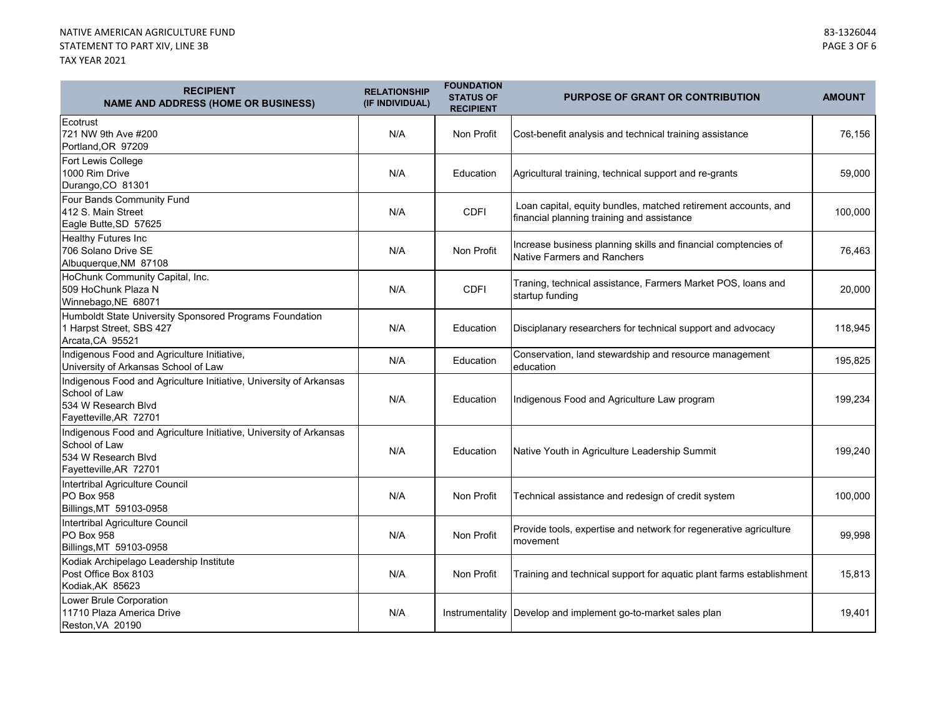×.

**Contract Contract Contract Contract** 

| <b>RECIPIENT</b><br><b>NAME AND ADDRESS (HOME OR BUSINESS)</b>                                                                       | <b>RELATIONSHIP</b><br>(IF INDIVIDUAL) | <b>FOUNDATION</b><br><b>STATUS OF</b><br><b>RECIPIENT</b> | <b>PURPOSE OF GRANT OR CONTRIBUTION</b>                                                                      | <b>AMOUNT</b> |
|--------------------------------------------------------------------------------------------------------------------------------------|----------------------------------------|-----------------------------------------------------------|--------------------------------------------------------------------------------------------------------------|---------------|
| Ecotrust<br>721 NW 9th Ave #200<br>Portland, OR 97209                                                                                | N/A                                    | Non Profit                                                | Cost-benefit analysis and technical training assistance                                                      | 76,156        |
| Fort Lewis College<br>1000 Rim Drive<br>Durango, CO 81301                                                                            | N/A                                    | Education                                                 | Agricultural training, technical support and re-grants                                                       | 59,000        |
| Four Bands Community Fund<br>412 S. Main Street<br>Eagle Butte, SD 57625                                                             | N/A                                    | <b>CDFI</b>                                               | Loan capital, equity bundles, matched retirement accounts, and<br>financial planning training and assistance | 100,000       |
| <b>Healthy Futures Inc</b><br>706 Solano Drive SE<br>Albuquerque, NM 87108                                                           | N/A                                    | Non Profit                                                | Increase business planning skills and financial comptencies of<br>Native Farmers and Ranchers                | 76,463        |
| HoChunk Community Capital, Inc.<br>509 HoChunk Plaza N<br>Winnebago, NE 68071                                                        | N/A                                    | <b>CDFI</b>                                               | Traning, technical assistance, Farmers Market POS, loans and<br>startup funding                              | 20,000        |
| Humboldt State University Sponsored Programs Foundation<br>1 Harpst Street, SBS 427<br>Arcata, CA 95521                              | N/A                                    | Education                                                 | Disciplanary researchers for technical support and advocacy                                                  | 118,945       |
| Indigenous Food and Agriculture Initiative,<br>University of Arkansas School of Law                                                  | N/A                                    | Education                                                 | Conservation, land stewardship and resource management<br>education                                          | 195,825       |
| Indigenous Food and Agriculture Initiative, University of Arkansas<br>School of Law<br>534 W Research Blvd<br>Fayetteville, AR 72701 | N/A                                    | Education                                                 | Indigenous Food and Agriculture Law program                                                                  | 199,234       |
| Indigenous Food and Agriculture Initiative, University of Arkansas<br>School of Law<br>534 W Research Blvd<br>Fayetteville, AR 72701 | N/A                                    | Education                                                 | Native Youth in Agriculture Leadership Summit                                                                | 199,240       |
| Intertribal Agriculture Council<br><b>PO Box 958</b><br>Billings, MT 59103-0958                                                      | N/A                                    | Non Profit                                                | Technical assistance and redesign of credit system                                                           | 100,000       |
| Intertribal Agriculture Council<br><b>PO Box 958</b><br>Billings, MT 59103-0958                                                      | N/A                                    | Non Profit                                                | Provide tools, expertise and network for regenerative agriculture<br>movement                                | 99,998        |
| Kodiak Archipelago Leadership Institute<br>Post Office Box 8103<br>Kodiak, AK 85623                                                  | N/A                                    | Non Profit                                                | Training and technical support for aquatic plant farms establishment                                         | 15,813        |
| Lower Brule Corporation<br>11710 Plaza America Drive<br>Reston, VA 20190                                                             | N/A                                    |                                                           | Instrumentality Develop and implement go-to-market sales plan                                                | 19,401        |

۰

**Contract Contract Contract Contract**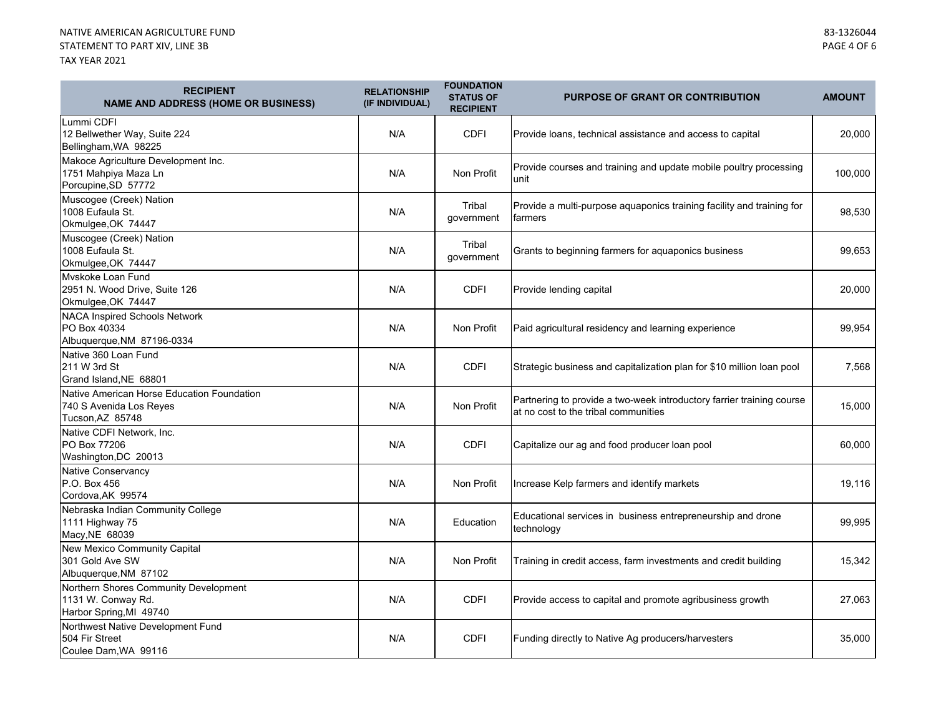| <b>RECIPIENT</b><br><b>NAME AND ADDRESS (HOME OR BUSINESS)</b>                            | <b>RELATIONSHIP</b><br>(IF INDIVIDUAL) | <b>FOUNDATION</b><br><b>STATUS OF</b><br><b>RECIPIENT</b> | PURPOSE OF GRANT OR CONTRIBUTION                                                                              | <b>AMOUNT</b> |
|-------------------------------------------------------------------------------------------|----------------------------------------|-----------------------------------------------------------|---------------------------------------------------------------------------------------------------------------|---------------|
| Lummi CDFI<br>12 Bellwether Way, Suite 224<br>Bellingham, WA 98225                        | N/A                                    | <b>CDFI</b>                                               | Provide loans, technical assistance and access to capital                                                     | 20,000        |
| Makoce Agriculture Development Inc.<br>1751 Mahpiya Maza Ln<br>Porcupine, SD 57772        | N/A                                    | Non Profit                                                | Provide courses and training and update mobile poultry processing<br>unit                                     | 100,000       |
| Muscogee (Creek) Nation<br>1008 Eufaula St.<br>Okmulgee, OK 74447                         | N/A                                    | Tribal<br>government                                      | Provide a multi-purpose aquaponics training facility and training for<br>farmers                              | 98,530        |
| Muscogee (Creek) Nation<br>1008 Eufaula St.<br>Okmulgee, OK 74447                         | N/A                                    | Tribal<br>government                                      | Grants to beginning farmers for aquaponics business                                                           | 99,653        |
| Myskoke Loan Fund<br>2951 N. Wood Drive, Suite 126<br>Okmulgee, OK 74447                  | N/A                                    | <b>CDFI</b>                                               | Provide lending capital                                                                                       | 20,000        |
| <b>NACA Inspired Schools Network</b><br>PO Box 40334<br>Albuquerque, NM 87196-0334        | N/A                                    | Non Profit                                                | Paid agricultural residency and learning experience                                                           | 99,954        |
| Native 360 Loan Fund<br>211 W 3rd St<br>Grand Island, NE 68801                            | N/A                                    | <b>CDFI</b>                                               | Strategic business and capitalization plan for \$10 million loan pool                                         | 7,568         |
| Native American Horse Education Foundation<br>740 S Avenida Los Reyes<br>Tucson, AZ 85748 | N/A                                    | Non Profit                                                | Partnering to provide a two-week introductory farrier training course<br>at no cost to the tribal communities | 15,000        |
| Native CDFI Network, Inc.<br>PO Box 77206<br>Washington, DC 20013                         | N/A                                    | <b>CDFI</b>                                               | Capitalize our ag and food producer loan pool                                                                 | 60,000        |
| <b>Native Conservancy</b><br>P.O. Box 456<br>Cordova, AK 99574                            | N/A                                    | Non Profit                                                | Increase Kelp farmers and identify markets                                                                    | 19,116        |
| Nebraska Indian Community College<br>1111 Highway 75<br>Macy, NE 68039                    | N/A                                    | Education                                                 | Educational services in business entrepreneurship and drone<br>technology                                     | 99.995        |
| New Mexico Community Capital<br>301 Gold Ave SW<br>Albuquerque, NM 87102                  | N/A                                    | Non Profit                                                | Training in credit access, farm investments and credit building                                               | 15,342        |
| Northern Shores Community Development<br>1131 W. Conway Rd.<br>Harbor Spring, MI 49740    | N/A                                    | <b>CDFI</b>                                               | Provide access to capital and promote agribusiness growth                                                     | 27,063        |
| Northwest Native Development Fund<br>504 Fir Street<br>Coulee Dam, WA 99116               | N/A                                    | <b>CDFI</b>                                               | Funding directly to Native Ag producers/harvesters                                                            | 35,000        |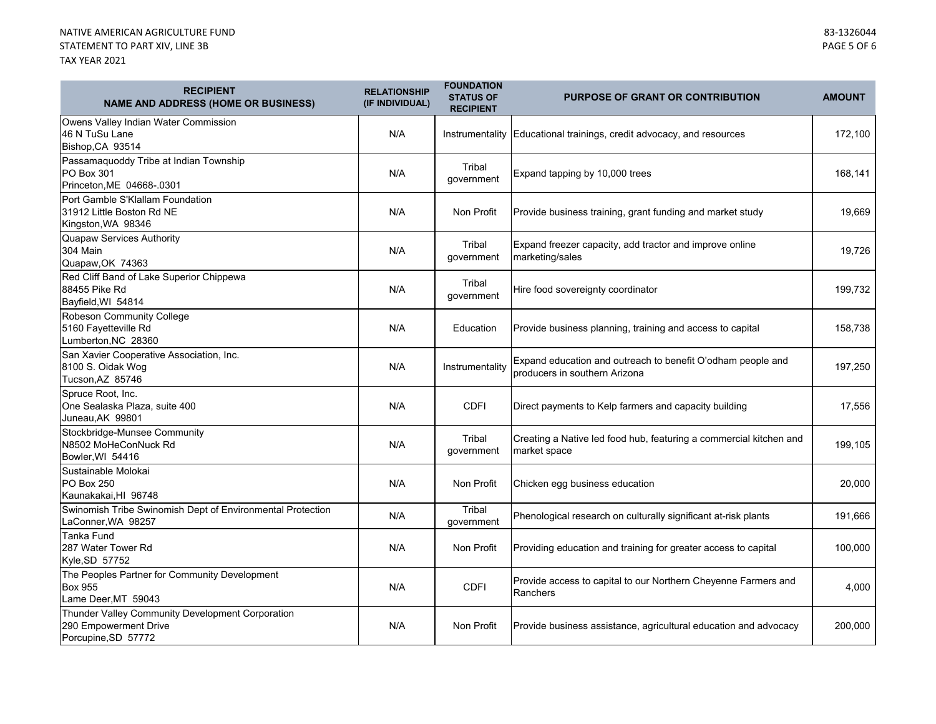| <b>RECIPIENT</b><br><b>NAME AND ADDRESS (HOME OR BUSINESS)</b>                                   | <b>RELATIONSHIP</b><br>(IF INDIVIDUAL) | <b>FOUNDATION</b><br><b>STATUS OF</b><br><b>RECIPIENT</b> | <b>PURPOSE OF GRANT OR CONTRIBUTION</b>                                                      | <b>AMOUNT</b> |
|--------------------------------------------------------------------------------------------------|----------------------------------------|-----------------------------------------------------------|----------------------------------------------------------------------------------------------|---------------|
| Owens Valley Indian Water Commission<br>46 N TuSu Lane<br>Bishop, CA 93514                       | N/A                                    | Instrumentality                                           | Educational trainings, credit advocacy, and resources                                        | 172,100       |
| Passamaquoddy Tribe at Indian Township<br><b>PO Box 301</b><br>Princeton, ME 04668-.0301         | N/A                                    | Tribal<br>government                                      | Expand tapping by 10,000 trees                                                               | 168,141       |
| Port Gamble S'Klallam Foundation<br>31912 Little Boston Rd NE<br>Kingston, WA 98346              | N/A                                    | Non Profit                                                | Provide business training, grant funding and market study                                    | 19,669        |
| <b>Quapaw Services Authority</b><br><b>304 Main</b><br>Quapaw, OK 74363                          | N/A                                    | Tribal<br>government                                      | Expand freezer capacity, add tractor and improve online<br>marketing/sales                   | 19,726        |
| Red Cliff Band of Lake Superior Chippewa<br>88455 Pike Rd<br>Bayfield, WI 54814                  | N/A                                    | Tribal<br>government                                      | Hire food sovereignty coordinator                                                            | 199,732       |
| Robeson Community College<br>5160 Fayetteville Rd<br>Lumberton, NC 28360                         | N/A                                    | Education                                                 | Provide business planning, training and access to capital                                    | 158,738       |
| San Xavier Cooperative Association, Inc.<br>8100 S. Oidak Wog<br>Tucson, AZ 85746                | N/A                                    | Instrumentality                                           | Expand education and outreach to benefit O'odham people and<br>producers in southern Arizona | 197,250       |
| Spruce Root. Inc.<br>One Sealaska Plaza, suite 400<br>Juneau, AK 99801                           | N/A                                    | CDFI                                                      | Direct payments to Kelp farmers and capacity building                                        | 17,556        |
| Stockbridge-Munsee Community<br>N8502 MoHeConNuck Rd<br>Bowler, WI 54416                         | N/A                                    | Tribal<br>government                                      | Creating a Native led food hub, featuring a commercial kitchen and<br>market space           | 199,105       |
| Sustainable Molokai<br><b>PO Box 250</b><br>Kaunakakai, HI 96748                                 | N/A                                    | Non Profit                                                | Chicken egg business education                                                               | 20,000        |
| Swinomish Tribe Swinomish Dept of Environmental Protection<br>LaConner, WA 98257                 | N/A                                    | Tribal<br>government                                      | Phenological research on culturally significant at-risk plants                               | 191,666       |
| <b>Tanka Fund</b><br>287 Water Tower Rd<br>Kyle, SD 57752                                        | N/A                                    | Non Profit                                                | Providing education and training for greater access to capital                               | 100,000       |
| The Peoples Partner for Community Development<br><b>Box 955</b><br>Lame Deer, MT 59043           | N/A                                    | <b>CDFI</b>                                               | Provide access to capital to our Northern Cheyenne Farmers and<br>Ranchers                   | 4,000         |
| Thunder Valley Community Development Corporation<br>290 Empowerment Drive<br>Porcupine, SD 57772 | N/A                                    | Non Profit                                                | Provide business assistance, agricultural education and advocacy                             | 200,000       |